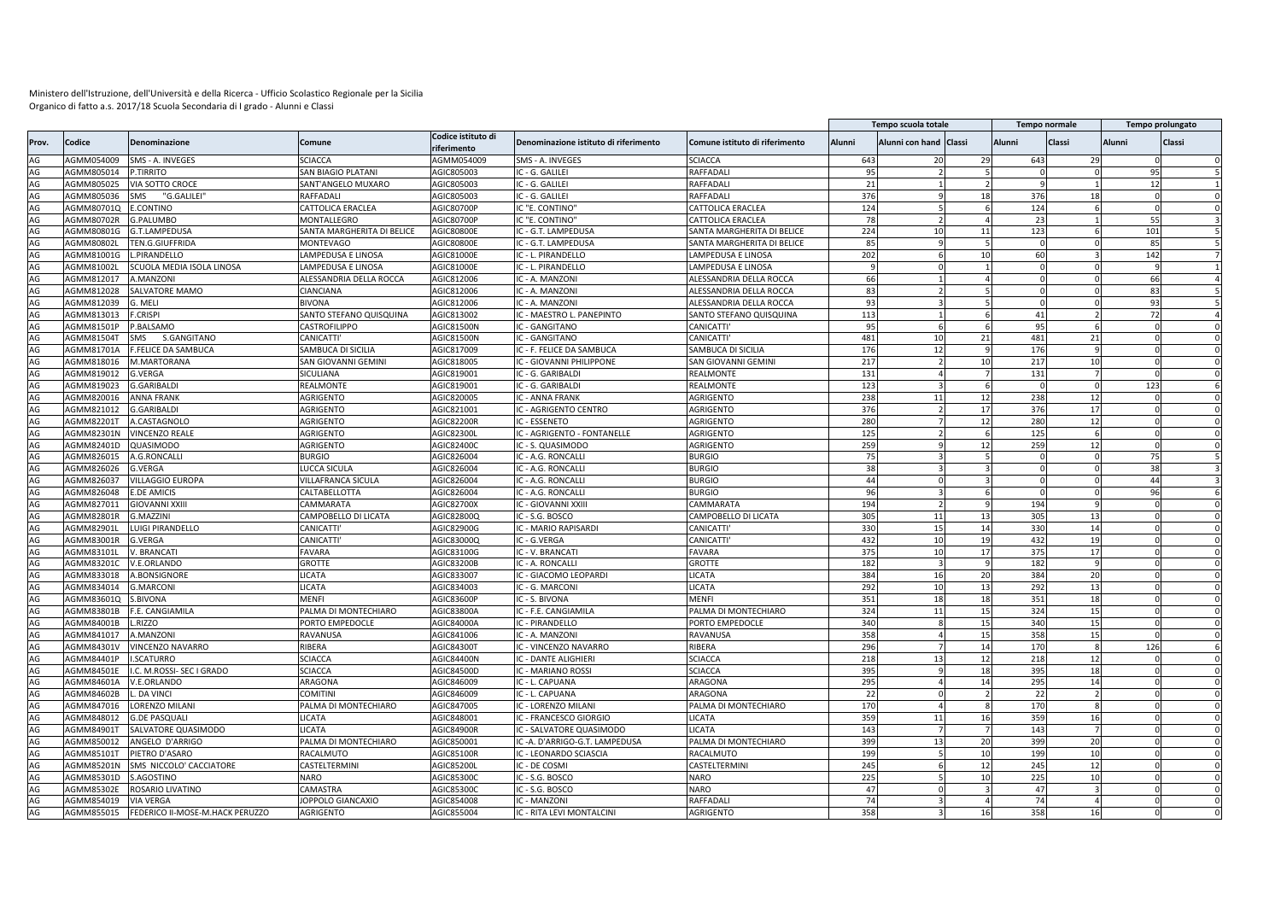|          |            |                                 |                            |                                   |                                       |                                |               | Tempo scuola totale    |                          |                | <b>Tempo normale</b> |               | Tempo prolungato     |
|----------|------------|---------------------------------|----------------------------|-----------------------------------|---------------------------------------|--------------------------------|---------------|------------------------|--------------------------|----------------|----------------------|---------------|----------------------|
| Prov.    | Codice     | Denominazione                   | Comune                     | Codice istituto di<br>riferimento | Denominazione istituto di riferimento | Comune istituto di riferimento | <b>Alunni</b> | Alunni con hand Classi |                          | Alunni         | Classi               | <b>Alunni</b> | Classi               |
| AG       | AGMM054009 | SMS - A. INVEGES                | <b>SCIACCA</b>             | AGMM054009                        | SMS - A. INVEGES                      | SCIACCA                        | 643           |                        | 29                       | 643            | 29                   |               |                      |
| AG       | AGMM805014 | P.TIRRITO                       | SAN BIAGIO PLATANI         | AGIC805003                        | IC - G. GALILEI                       | RAFFADALI                      | 95            |                        |                          |                |                      |               | 95<br>5              |
| AG       | AGMM805025 | VIA SOTTO CROCE                 | SANT'ANGELO MUXARO         | AGIC805003                        | IC - G. GALILEI                       | RAFFADALI                      | 21            |                        |                          |                |                      |               | 12                   |
| AG       | AGMM805036 | "G.GALILEI"<br>SMS              | RAFFADALI                  | AGIC805003                        | IC - G. GALILEI                       | RAFFADALI                      | 376           |                        | 18                       | 376            | 18                   |               |                      |
| AG       | AGMM80701Q | E.CONTINO                       | CATTOLICA ERACLEA          | AGIC80700P                        | C "E. CONTINO"                        | CATTOLICA ERACLEA              | 124           |                        |                          | 124            |                      |               |                      |
| AG       | AGMM80702R | <b>G.PALUMBO</b>                | MONTALLEGRO                | AGIC80700P                        | IC "E. CONTINO"                       | CATTOLICA ERACLEA              | 78            |                        |                          | 23             |                      |               | 55<br>$\mathbf{R}$   |
| AG       | AGMM80801G | G.T.LAMPEDUSA                   | SANTA MARGHERITA DI BELICE | AGIC80800E                        | C - G.T. LAMPEDUSA                    | SANTA MARGHERITA DI BELICE     | 224           | 10                     | 11                       | 123            |                      |               | 101                  |
| AG       | AGMM80802L | TEN.G.GIUFFRIDA                 | <b>MONTEVAGO</b>           | AGIC80800I                        | IC - G.T. LAMPEDUSA                   | SANTA MARGHERITA DI BELICE     | 85            |                        | 5                        | $\Omega$       |                      |               | 85                   |
| AG       | AGMM81001G | L.PIRANDELLO                    | LAMPEDUSA E LINOSA         | AGIC81000E                        | IC - L. PIRANDELLO                    | LAMPEDUSA E LINOSA             | 202           |                        | 10                       | 60             |                      |               | 142                  |
| AG       | AGMM81002L | SCUOLA MEDIA ISOLA LINOSA       | LAMPEDUSA E LINOSA         | AGIC81000E                        | IC - L. PIRANDELLO                    | AMPEDUSA E LINOSA              |               |                        |                          | $\overline{0}$ |                      |               |                      |
| AG       | AGMM812017 | A.MANZONI                       | ALESSANDRIA DELLA ROCCA    | AGIC812006                        | IC - A. MANZONI                       | ALESSANDRIA DELLA ROCCA        | 66            |                        |                          |                |                      |               | 66                   |
| AG       | AGMM812028 | SALVATORE MAMO                  | CIANCIANA                  | AGIC812006                        | IC - A. MANZONI                       | ALESSANDRIA DELLA ROCCA        | 83            |                        |                          |                |                      |               | 83                   |
| AG       | AGMM812039 | G. MELI                         | <b>BIVONA</b>              | AGIC812006                        | C - A. MANZONI                        | ALESSANDRIA DELLA ROCCA        | 93            |                        |                          |                |                      |               | 93                   |
| AG       | AGMM813013 | <b>CRISPI</b>                   | SANTO STEFANO QUISQUINA    | AGIC813002                        | C - MAESTRO L. PANEPINTO              | SANTO STEFANO QUISQUINA        | 113           |                        |                          | 41             |                      |               | 72                   |
| AG       | AGMM81501P | P.BALSAMO                       | CASTROFILIPPO              | AGIC81500N                        | IC - GANGITANO                        | CANICATTI'                     | 95            |                        |                          | 95             |                      |               |                      |
| AG       | AGMM81504T | SMS<br>S.GANGITANO              | CANICATTI'                 | AGIC81500N                        | <b>C - GANGITANO</b>                  | CANICATTI                      | 481           | 10                     | 21                       | 481            | 21                   |               |                      |
| AG       | AGMM81701A | F.FELICE DA SAMBUCA             | SAMBUCA DI SICILIA         | AGIC817009                        | C - F. FELICE DA SAMBUCA              | SAMBUCA DI SICILIA             | 176           | 12                     |                          | 176            |                      |               |                      |
| AG       | AGMM818016 | M.MARTORANA                     | SAN GIOVANNI GEMIN         | AGIC818005                        | <b>C - GIOVANNI PHILIPPONE</b>        | SAN GIOVANNI GEMINI            | 217           |                        | 10                       | 217            |                      |               |                      |
| AG       | AGMM819012 | <b>G.VERGA</b>                  | SICULIANA                  | AGIC819001                        | IC - G. GARIBALDI                     | REALMONTE                      | 131           |                        |                          | 131            |                      |               |                      |
| AG       | AGMM819023 | G.GARIBALDI                     | REALMONTE                  | AGIC819001                        | C - G. GARIBALDI                      | REALMONTE                      | 123           |                        |                          |                |                      |               | 123                  |
| AG       | AGMM820016 | <b>ANNA FRANK</b>               | AGRIGENTO                  | AGIC820005                        | IC - ANNA FRANK                       | AGRIGENTO                      | 238           | 11                     | 12                       | 238            | 12                   |               | $\Omega$             |
| AG       | AGMM821012 | <b>G.GARIBALDI</b>              | AGRIGENTO                  | AGIC821001                        | C - AGRIGENTO CENTRO                  | <b>AGRIGENTO</b>               | 376           |                        | 17                       | 376            | 17                   |               |                      |
| AG       | AGMM82201T | A.CASTAGNOLO                    | AGRIGENTO                  | AGIC82200R                        | IC - ESSENETO                         | AGRIGENTO                      | 280           |                        | 12                       | 280            | 12                   |               |                      |
| AG       | AGMM82301N | <b>VINCENZO REALE</b>           | AGRIGENTO                  | AGIC82300I                        | IC - AGRIGENTO - FONTANELLE           | AGRIGENTO                      | 125           |                        | 6                        | 125            |                      |               | $\Omega$             |
| AG       | AGMM82401D | QUASIMODO                       | AGRIGENTO                  | AGIC82400C                        | IC - S. QUASIMODC                     | AGRIGENTO                      | 259           |                        | 12                       | 259            | 12                   |               | $\Omega$<br>$\Omega$ |
| AG       | AGMM826015 | A.G.RONCALLI                    | <b>BURGIO</b>              | AGIC826004                        | IC - A.G. RONCALLI                    | <b>BURGIO</b>                  | 75            |                        |                          |                |                      |               | 75                   |
| AG       | AGMM826026 | <b>G.VERGA</b>                  | LUCCA SICULA               | AGIC826004                        | IC - A.G. RONCALLI                    | <b>BURGIO</b>                  | 38            |                        | $\mathbf{a}$             | $\Omega$       | $\Omega$             |               | 38                   |
| AG       | AGMM826037 | <b>VILLAGGIO EUROPA</b>         | VILLAFRANCA SICULA         | AGIC826004                        | C - A.G. RONCALLI                     | <b>BURGIO</b>                  | 44            |                        |                          |                |                      |               | 44                   |
| AG       | AGMM826048 | E.DE AMICIS                     | CALTABELLOTTA              | AGIC826004                        | IC - A.G. RONCALLI                    | <b>BURGIO</b>                  | 96            |                        |                          |                |                      |               | 96                   |
| AG       | AGMM827011 | <b>GIOVANNI XXIII</b>           | CAMMARATA                  | AGIC82700X                        | IC - GIOVANNI XXIII                   | CAMMARATA                      | 194           |                        |                          | 194            |                      |               |                      |
| AG       | AGMM82801R | G.MAZZINI                       | CAMPOBELLO DI LICATA       | AGIC82800Q                        | IC - S.G. BOSCO                       | CAMPOBELLO DI LICATA           | 305           | 11                     | 13                       | 305            | 13                   |               |                      |
| AG       | AGMM82901L | LUIGI PIRANDELLO                | CANICATTI'                 | AGIC82900G                        | IC - MARIO RAPISARDI                  | CANICATTI                      | 330           | 15                     | 14                       | 330            |                      |               |                      |
| AG       | AGMM83001R | G.VERGA                         | CANICATTI                  | AGIC83000Q                        | C - G.VERGA                           | CANICATTI                      | 432           | 10                     | 19                       | 432            | 14<br>19             |               |                      |
| AG       | AGMM83101L | V. BRANCATI                     | FAVARA                     | AGIC83100G                        | IC - V. BRANCATI                      | <b>AVARA</b>                   | 375           | 10                     | 17                       | 375            | 17                   |               |                      |
|          | AGMM83201C |                                 |                            |                                   |                                       | <b>GROTTE</b>                  | 182           |                        |                          |                |                      |               |                      |
| AG<br>AG |            | V.E.ORLANDO                     | <b>GROTTE</b>              | AGIC83200B                        | <b>C - A. RONCALLI</b>                |                                | 384           |                        |                          | 182            |                      |               |                      |
|          | AGMM833018 | A.BONSIGNORE                    | <b>ICATA</b>               | AGIC833007                        | IC - GIACOMO LEOPARDI                 | <b>ICATA</b>                   |               | 16                     | 20                       | 384            | 20                   |               | $\Omega$             |
| AG       | AGMM834014 | <b>G.MARCONI</b>                | <b>ICATA</b>               | AGIC834003                        | C - G. MARCONI                        | <b>ICATA</b>                   | 292           | 10                     | 13                       | 292            | 13                   |               |                      |
| AG<br>AG | AGMM83601Q | S.BIVONA                        | MENFI                      | AGIC83600P                        | IC - S. BIVONA                        | MENFI                          | 351<br>324    | 18                     | 18<br>15                 | 351            | 18<br>15             |               |                      |
| AG       | AGMM83801B | F.E. CANGIAMILA                 | PALMA DI MONTECHIARO       | AGIC83800A                        | IC - F.E. CANGIAMILA                  | PALMA DI MONTECHIARO           |               | 11                     |                          | 324            |                      |               |                      |
|          | AGMM84001B | L.RIZZO                         | PORTO EMPEDOCLE            | AGIC84000A                        | IC - PIRANDELLO                       | PORTO EMPEDOCLE                | 340           |                        | 15                       | 340            | 15                   |               | $\Omega$<br>$\Omega$ |
| AG       | AGMM841017 | A.MANZON                        | RAVANUSA                   | AGIC841006                        | C - A. MANZONI                        | RAVANUSA                       | 358           |                        | 15                       | 358            | 15                   |               |                      |
| AG       | AGMM84301V | VINCENZO NAVARRO                | RIBERA                     | AGIC84300T                        | IC - VINCENZO NAVARRO                 | RIBERA                         | 296           |                        | 14                       | 170            | $\mathbf{R}$         |               | 126<br>$\mathsf{f}$  |
| AG       | AGMM84401P | I.SCATURRO                      | <b>SCIACCA</b>             | AGIC84400N                        | IC - DANTE ALIGHIERI                  | <b>SCIACCA</b>                 | 218           | 13                     | 12                       | 218            | 12                   |               | $\Omega$             |
| AG       | AGMM84501E | I.C. M.ROSSI- SEC I GRADO       | <b>SCIACCA</b>             | AGIC84500D                        | IC - MARIANO ROSSI                    | <b>SCIACCA</b>                 | 395           |                        | 18                       | 395            | 18                   |               | $\Omega$             |
| AG       | AGMM84601A | V.E.ORLANDO                     | ARAGONA                    | AGIC846009                        | IC - L. CAPUANA                       | ARAGONA                        | 295           |                        | 14                       | 295            | 14                   |               | $\Omega$             |
| AG       | AGMM84602B | DA VINCI                        | <b>COMITINI</b>            | AGIC846009                        | IC - L. CAPUANA                       | ARAGONA                        | 22            |                        | $\overline{\phantom{a}}$ | 22             |                      |               | $\Omega$             |
| AG       | AGMM847016 | <b>LORENZO MILANI</b>           | PALMA DI MONTECHIARO       | AGIC847005                        | IC - LORENZO MILANI                   | ALMA DI MONTECHIARO            | 170           |                        |                          | 170            |                      |               |                      |
| AG       | AGMM848012 | <b>G.DE PASQUALI</b>            | LICATA                     | AGIC848001                        | IC - FRANCESCO GIORGIO                | <b>ICATA</b>                   | 359           | $1^{\circ}$            | 16                       | 359            | 16                   |               |                      |
| AG       | AGMM84901T | SALVATORE QUASIMODO             | <b>LICATA</b>              | AGIC84900R                        | <b>C - SALVATORE QUASIMODO</b>        | <b>ICATA</b>                   | 143           |                        |                          | 143            |                      |               |                      |
| AG       | AGMM850012 | ANGELO D'ARRIGO                 | PALMA DI MONTECHIARO       | AGIC850001                        | C-A. D'ARRIGO-G.T. LAMPEDUSA          | PALMA DI MONTECHIARO           | 399           | 13                     | 20                       | 399            | 20                   |               |                      |
| AG       | AGMM85101T | PIETRO D'ASARO                  | RACALMUTO                  | AGIC85100R                        | C - LEONARDO SCIASCIA                 | RACALMUTO                      | 199           |                        | 10                       | 199            | 10                   |               | $\Omega$             |
| AG       | AGMM85201N | SMS NICCOLO' CACCIATORE         | CASTELTERMINI              | AGIC85200L                        | C - DE COSMI                          | CASTELTERMIN                   | 245           |                        | 12                       | 245            | 12                   |               |                      |
| AG       | AGMM85301D | S.AGOSTINO                      | NARO                       | AGIC85300C                        | IC - S.G. BOSCO                       | <b>NARO</b>                    | 225           |                        | 10                       | 225            | 10                   |               | $\Omega$             |
| AG       | AGMM85302E | ROSARIO LIVATINO                | CAMASTRA                   | AGIC85300C                        | IC - S.G. BOSCO                       | <b>NARO</b>                    | 47            |                        |                          | 47             |                      |               |                      |
| AG       | AGMM854019 | <b>VIA VERGA</b>                | JOPPOLO GIANCAXIO          | AGIC854008                        | IC - MANZONI                          | RAFFADALI                      | 74            |                        |                          | 74             | 4                    |               | $\Omega$             |
| AG       | AGMM855015 | FEDERICO II-MOSE-M.HACK PERUZZO | AGRIGENTO                  | AGIC855004                        | IC - RITA LEVI MONTALCINI             | <b>AGRIGENTO</b>               | 358           |                        | 16                       | 358            | 16                   |               |                      |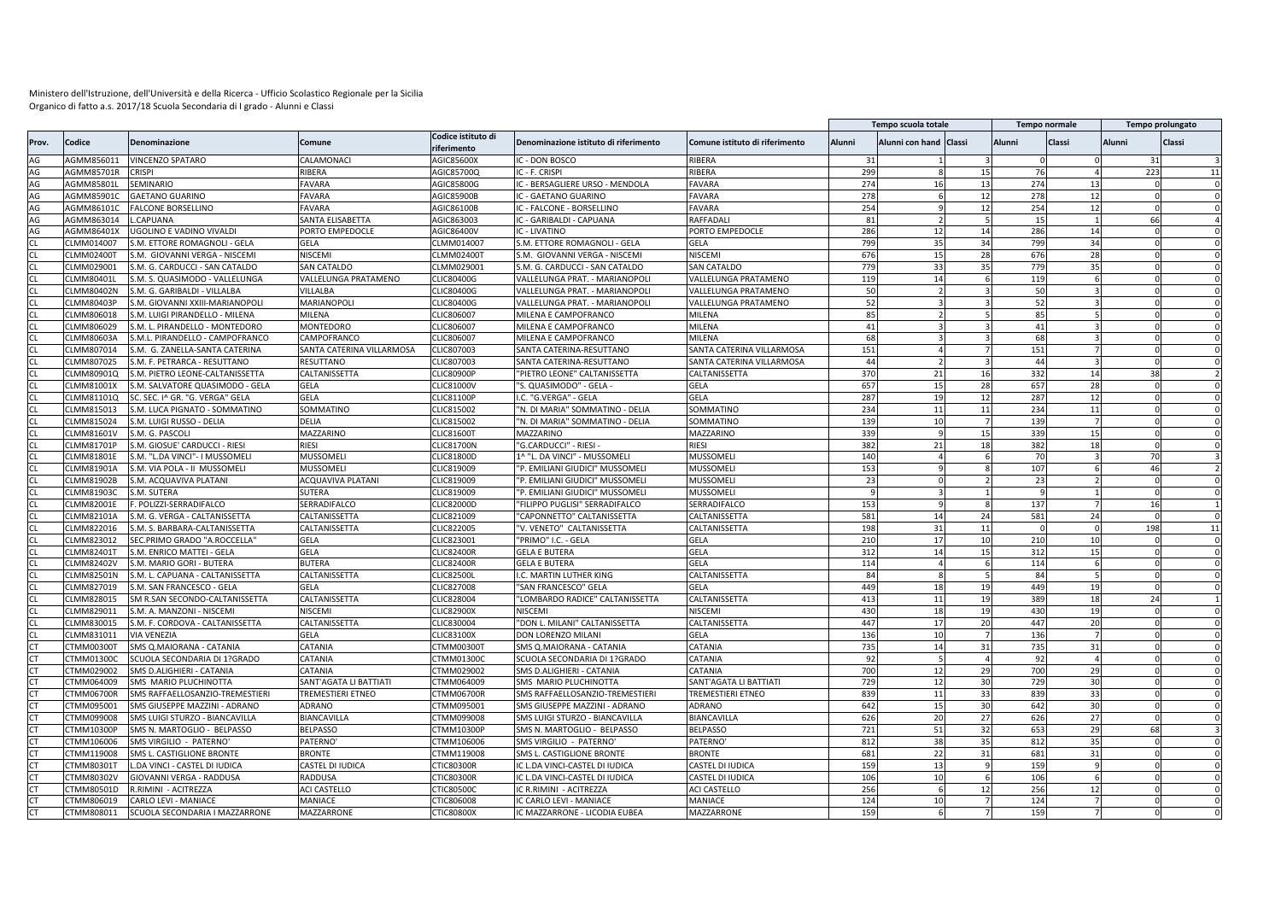|                 |                                 |                                 |                           |                                  |                                       |                                |        | Tempo scuola totale    |    |                       | Tempo normale   |        | Tempo prolungato |
|-----------------|---------------------------------|---------------------------------|---------------------------|----------------------------------|---------------------------------------|--------------------------------|--------|------------------------|----|-----------------------|-----------------|--------|------------------|
| Prov.           | Codice                          | <b>Denominazione</b>            | Comune                    | Codice istituto di<br>iferimento | Denominazione istituto di riferimento | Comune istituto di riferimento | Alunni | Alunni con hand Classi |    | Alunni                | Classi          | Alunni | Classi           |
| AG              | AGMM856011                      | <b>VINCENZO SPATARO</b>         | CALAMONACI                | AGIC85600X                       | <b>C - DON BOSCO</b>                  | RIBERA                         | 31     |                        |    |                       |                 |        | 31               |
| AG              | AGMM85701R                      | CRISPI                          | RIBERA                    | AGIC85700Q                       | IC - F. CRISPI                        | RIBERA                         | 299    |                        | 15 | 76                    |                 |        | 223<br>11        |
| AG              | AGMM85801L                      | SEMINARIO                       | <b>AVARA</b>              | AGIC85800G                       | C - BERSAGLIERE URSO - MENDOLA        | <b>AVARA</b>                   | 274    | 16                     | 13 | 274                   | 13              |        |                  |
| AG              | AGMM85901C                      | <b>GAETANO GUARINO</b>          | FAVARA                    | AGIC85900B                       | <b>C - GAETANO GUARINO</b>            | <b>AVARA</b>                   | 278    |                        | 12 | 278                   | 12              |        |                  |
| AG              | AGMM86101C                      | FALCONE BORSELLINO              | FAVARA                    | AGIC86100B                       | C - FALCONE - BORSELLINO              | <b>AVARA</b>                   | 254    |                        | 12 | 254                   | 12              |        |                  |
| AG              | AGMM863014                      | L.CAPUANA                       | SANTA ELISABETTA          | AGIC863003                       | IC - GARIBALDI - CAPUANA              | RAFFADALI                      | 81     |                        |    | 15                    |                 |        | 66               |
| AG              | AGMM86401X                      | UGOLINO E VADINO VIVALDI        | ORTO EMPEDOCLE            | <b>AGIC86400V</b>                | <b>C - LIVATINO</b>                   | <b>PORTO EMPEDOCLE</b>         | 286    | 12                     | 14 | 286                   | 14              |        |                  |
| <b>CL</b>       | CLMM014007                      | S.M. ETTORE ROMAGNOLI - GELA    | gela                      | CLMM014007                       | S.M. ETTORE ROMAGNOLI - GELA          | GELA                           | 799    | 35                     | 34 | 799                   | 34              |        |                  |
| <b>CL</b>       | CLMM02400T                      | S.M. GIOVANNI VERGA - NISCEMI   | NISCEMI                   | CLMM024001                       | S.M. GIOVANNI VERGA - NISCEMI         | <b>NISCEMI</b>                 | 676    | 15                     | 28 | 676                   | 28              |        |                  |
| <b>CL</b>       | CLMM029001                      | S.M. G. CARDUCCI - SAN CATALDO  | SAN CATALDO               | CLMM029001                       | S.M. G. CARDUCCI - SAN CATALDO        | SAN CATALDO                    | 779    | 33                     | 35 | 779                   | 35              |        |                  |
| $\cap$          | CLMM80401L                      | S.M. S. QUASIMODO - VALLELUNGA  | VALLELUNGA PRATAMENO      | CLIC80400G                       | VALLELUNGA PRAT. - MARIANOPOLI        | VALLELUNGA PRATAMENO           | 119    | 14                     |    | 119                   |                 |        |                  |
| <b>CL</b>       | <b>CLMM80402N</b>               | S.M. G. GARIBALDI - VILLALBA    | VILLALBA                  | CLIC80400G                       | VALLELUNGA PRAT. - MARIANOPOLI        | VALLELUNGA PRATAMENO           | 50     |                        |    | 50                    |                 |        |                  |
| $\cap$          | CLMM80403P                      | S.M. GIOVANNI XXIII-MARIANOPOLI | <b>MARIANOPOLI</b>        | CLIC80400G                       | VALLELUNGA PRAT. - MARIANOPOLI        | VALLELUNGA PRATAMENO           | 52     |                        |    | 52                    |                 |        |                  |
| CL              | CLMM806018                      | S.M. LUIGI PIRANDELLO - MILENA  | MILENA                    | CLIC806007                       | MILENA E CAMPOFRANCO                  | MILENA                         | 85     |                        |    | 85                    |                 |        |                  |
| CL              | CLMM806029                      | S.M. L. PIRANDELLO - MONTEDORO  | MONTEDORO                 | CLIC806007                       | MILENA E CAMPOFRANCO                  | MILENA                         | 41     |                        |    | 41                    |                 |        |                  |
| CL              | CLMM80603A                      | S.M.L. PIRANDELLO - CAMPOFRANCO | CAMPOFRANCO               | CLIC806007                       | MILENA E CAMPOFRANCO                  | MILENA                         | 68     |                        |    | 68                    |                 |        |                  |
|                 | LMM807014                       | S.M. G. ZANELLA-SANTA CATERINA  | SANTA CATERINA VILLARMOSA | LIC807003                        | SANTA CATERINA-RESUTTANO              | SANTA CATERINA VILLARMOSA      | 151    |                        |    | 151                   |                 |        |                  |
| CL              | CLMM807025                      | S.M. F. PETRARCA - RESUTTANO    | RESUTTANO                 | CLIC807003                       | SANTA CATERINA-RESUTTANO              | SANTA CATERINA VILLARMOSA      | 44     |                        |    | 44                    |                 |        |                  |
| CL              | CLMM80901Q                      | S.M. PIETRO LEONE-CALTANISSETTA | CALTANISSETTA             | <b>CLIC80900F</b>                | "PIETRO LEONE" CALTANISSETTA          | CALTANISSETTA                  | 370    | 21                     | 16 | 332                   | 14              |        | 38               |
| CL              | CLMM81001X                      | S.M. SALVATORE QUASIMODO - GELA | GELA                      | CLIC81000\                       | "S. QUASIMODO" - GELA                 | GELA                           | 657    | 15                     | 28 | 657                   | 28              |        |                  |
| <b>CL</b>       | CLMM81101Q                      | SC. SEC. I^ GR. "G. VERGA" GELA | GELA                      | CLIC81100P                       | I.C. "G.VERGA" - GELA                 | GELA                           | 287    | 19                     | 12 | 287                   | 12              |        |                  |
| CL              | CLMM815013                      | S.M. LUCA PIGNATO - SOMMATINO   | SOMMATINO                 | CLIC815002                       | "N. DI MARIA" SOMMATINO - DELIA       | SOMMATINO                      | 234    | 11                     | 11 | 234                   | 11              |        |                  |
| <b>CL</b>       | CLMM815024                      | S.M. LUIGI RUSSO - DELIA        | DELIA                     | CLIC815002                       | "N. DI MARIA" SOMMATINO - DELIA       | SOMMATINO                      | 139    | 10                     |    | 139                   |                 |        |                  |
| CL              | CLMM81601V                      | S.M. G. PASCOLI                 | <b>MAZZARINO</b>          | CLIC81600T                       | MAZZARINO                             | MAZZARINO                      | 339    |                        | 15 | 339                   | 15              |        |                  |
| CL              | CLMM81701P                      | S.M. GIOSUE' CARDUCCI - RIESI   | RIESI                     | <b>CLIC81700N</b>                | "G.CARDUCCI" - RIESI                  | RIESI                          | 382    | 21                     | 18 | 382                   | 18              |        |                  |
| CL              | CLMM81801E                      | S.M. "L.DA VINCI"- I MUSSOMEL   | MUSSOMELI                 | CLIC81800D                       | 1^ "L. DA VINCI" - MUSSOMELI          | MUSSOMELI                      | 140    |                        |    | 70                    |                 |        | 70               |
| CL              | CLMM81901A                      | S.M. VIA POLA - II MUSSOMELI    | MUSSOMELI                 | CLIC819009                       | "P. EMILIANI GIUDICI" MUSSOMELI       | MUSSOMELI                      | 153    |                        |    | 107                   |                 |        | 46               |
| CL              | CLMM81902B                      | S.M. ACQUAVIVA PLATANI          | ACQUAVIVA PLATANI         | CLIC819009                       | "P. EMILIANI GIUDICI" MUSSOMELI       | MUSSOMELI                      | 23     |                        |    | 23                    |                 |        |                  |
| CL              | CLMM81903C                      | S.M. SUTERA                     | SUTERA                    | CLIC819009                       | "P. EMILIANI GIUDICI" MUSSOMEL        | MUSSOMELI                      |        |                        |    | $\mathbf{Q}$          |                 |        |                  |
| CL              | CLMM82001E                      | . POLIZZI-SERRADIFALCO          | SERRADIFALCO              | CLIC82000D                       | "FILIPPO PUGLISI" SERRADIFALCO        | SERRADIFALCO                   | 153    |                        |    | 137                   |                 |        | 16               |
|                 | CLMM82101A                      |                                 | CALTANISSETTA             | CLIC821009                       |                                       | CALTANISSETTA                  | 581    | 14                     | 24 | 581                   | 24              |        |                  |
|                 |                                 | S.M. G. VERGA - CALTANISSETTA   |                           |                                  | "CAPONNETTO" CALTANISSETTA            |                                | 198    |                        | 11 |                       | $\Omega$        |        |                  |
| <b>CL</b><br>CL | CLMM822016                      | S.M. S. BARBARA-CALTANISSETTA   | CALTANISSETTA             | CLIC822005                       | "V. VENETO" CALTANISSETTA             | CALTANISSETTA                  | 210    | 31<br>17               |    | $\overline{0}$<br>210 | 10              |        | 198<br>11        |
| CL              | CLMM823012<br><b>CLMM82401T</b> | SEC.PRIMO GRADO "A.ROCCELLA"    | GELA                      | CLIC823001                       | "PRIMO" I.C. - GELA                   | GELA                           | 312    |                        | 10 | 312                   |                 |        |                  |
| CL              |                                 | S.M. ENRICO MATTEI - GELA       | GELA                      | <b>CLIC82400F</b>                | <b>GELA E BUTERA</b>                  | GELA                           |        | 14                     | 15 |                       | 15 <sup>1</sup> |        |                  |
|                 | CLMM82402V                      | S.M. MARIO GORI - BUTERA        | <b>BUTERA</b>             | <b>CLIC82400F</b>                | <b>GELA E BUTERA</b>                  | GELA                           | 114    |                        |    | 114                   |                 |        |                  |
| <b>CL</b>       | <b>CLMM82501N</b>               | S.M. L. CAPUANA - CALTANISSETTA | CALTANISSETTA             | <b>CLIC82500L</b>                | I.C. MARTIN LUTHER KING               | CALTANISSETTA                  | 84     |                        |    | 84                    |                 |        |                  |
| CL              | CLMM827019                      | S.M. SAN FRANCESCO - GELA       | GELA                      | CLIC827008                       | "SAN FRANCESCO" GELA                  | GELA                           | 449    | 18                     | 19 | 449                   | 19              |        |                  |
| <b>CL</b>       | CLMM828015                      | SM R.SAN SECONDO-CALTANISSETTA  | CALTANISSETTA             | CLIC828004                       | "LOMBARDO RADICE" CALTANISSETTA       | CALTANISSETTA                  | 413    | 11                     | 19 | 389                   | 18              |        | 24               |
| CL              | CLMM829011                      | S.M. A. MANZONI - NISCEMI       | NISCEMI                   | <b>CLIC82900X</b>                | NISCEMI                               | NISCEMI                        | 430    | 18                     | 19 | 430                   | 19              |        |                  |
| <b>CL</b>       | CLMM830015                      | S.M. F. CORDOVA - CALTANISSETTA | CALTANISSETTA             | CLIC830004                       | "DON L. MILANI" CALTANISSETTA         | CALTANISSETTA                  | 447    | 17                     | 20 | 447                   | 20              |        |                  |
|                 | CLMM831011                      | <b>VIA VENEZIA</b>              | <b>GELA</b>               | <b>LIC83100X</b>                 | DON LORENZO MILANI                    | GELA                           | 136    | 10                     |    | 136                   |                 |        |                  |
| <b>CT</b>       | CTMM00300T                      | SMS Q.MAIORANA - CATANIA        | CATANIA                   | CTMM003001                       | SMS Q.MAIORANA - CATANIA              | CATANIA                        | 735    | 14                     | 31 | 735                   | 31              |        |                  |
|                 | CTMM01300C                      | SCUOLA SECONDARIA DI 1?GRADO    | CATANIA                   | TMM013000                        | SCUOLA SECONDARIA DI 1?GRADO          | CATANIA                        | 92     |                        |    | 92                    |                 |        |                  |
| CT.             | CTMM029002                      | SMS D.ALIGHIERI - CATANIA       | CATANIA                   | TMM029002                        | SMS D.ALIGHIERI - CATANIA             | <b>CATANIA</b>                 | 700    | 12                     | 29 | 700                   | 29              |        |                  |
| C <sub>1</sub>  | CTMM064009                      | SMS MARIO PLUCHINOTTA           | SANT'AGATA LI BATTIATI    | TMM064009                        | SMS MARIO PLUCHINOTTA                 | SANT'AGATA LI BATTIAT          | 729    | 12                     | 30 | 729                   | 30              |        |                  |
| <b>CT</b>       | CTMM06700R                      | SMS RAFFAELLOSANZIO-TREMESTIERI | TREMESTIERI ETNEO         | TMM06700R                        | SMS RAFFAELLOSANZIO-TREMESTIERI       | TREMESTIERI ETNEO              | 839    | 11                     | 33 | 839                   | 33              |        |                  |
| <b>CT</b>       | CTMM095001                      | SMS GIUSEPPE MAZZINI - ADRANO   | ADRANO                    | CTMM095001                       | SMS GIUSEPPE MAZZINI - ADRANO         | ADRANO                         | 642    | 15                     | 30 | 642                   | 30              |        |                  |
| <b>CT</b>       | <b>TMM099008</b>                | SMS LUIGI STURZO - BIANCAVILLA  | <b>BIANCAVILLA</b>        | TMM099008                        | SMS LUIGI STURZO - BIANCAVILLA        | BIANCAVILLA                    | 626    | 20                     | 27 | 626                   | 27              |        |                  |
| <b>CT</b>       | CTMM10300F                      | SMS N. MARTOGLIO - BELPASSO     | <b>BELPASSO</b>           | CTMM10300F                       | SMS N. MARTOGLIO - BELPASSO           | <b>BELPASSO</b>                | 721    | 51                     | 32 | 653                   | 29              |        | 68               |
|                 | CTMM106006                      | SMS VIRGILIO - PATERNO          | PATERNO'                  | TMM106006                        | SMS VIRGILIO - PATERNO                | PATERNO                        | 812    | 38                     | 35 | 812                   | 35              |        |                  |
| <b>CT</b>       | CTMM119008                      | SMS L. CASTIGLIONE BRONTE       | <b>BRONTE</b>             | TMM119008                        | SMS L. CASTIGLIONE BRONTE             | <b>BRONTE</b>                  | 681    | 22                     | 31 | 681                   | 31              |        |                  |
| <b>CT</b>       | CTMM80301T                      | L.DA VINCI - CASTEL DI IUDICA   | CASTEL DI IUDICA          | <b>TIC80300R</b>                 | IC L.DA VINCI-CASTEL DI IUDICA        | CASTEL DI IUDICA               | 159    | 13                     |    | 159                   |                 |        |                  |
| <b>CT</b>       | CTMM80302V                      | GIOVANNI VERGA - RADDUSA        | RADDUSA                   | CTIC80300R                       | IC L.DA VINCI-CASTEL DI IUDICA        | CASTEL DI IUDICA               | 106    | 10                     |    | 106                   |                 |        |                  |
| <b>CT</b>       | CTMM80501D                      | R.RIMINI - ACITREZZA            | <b>ACI CASTELLO</b>       | <b>TIC80500C</b>                 | C R.RIMINI - ACITREZZA                | ACI CASTELLO                   | 256    |                        | 12 | 256                   | 12              |        |                  |
| <b>CT</b>       | CTMM806019                      | CARLO LEVI - MANIACE            | MANIACE                   | TIC806008                        | IC CARLO LEVI - MANIACE               | MANIACE                        | 124    | 10                     |    | 124                   |                 |        |                  |
| <b>CT</b>       | CTMM808011                      | SCUOLA SECONDARIA I MAZZARRONE  | MAZZARRONE                | CTIC80800X                       | IC MAZZARRONE - LICODIA EUBEA         | MAZZARRONE                     | 159    |                        |    | 159                   |                 |        |                  |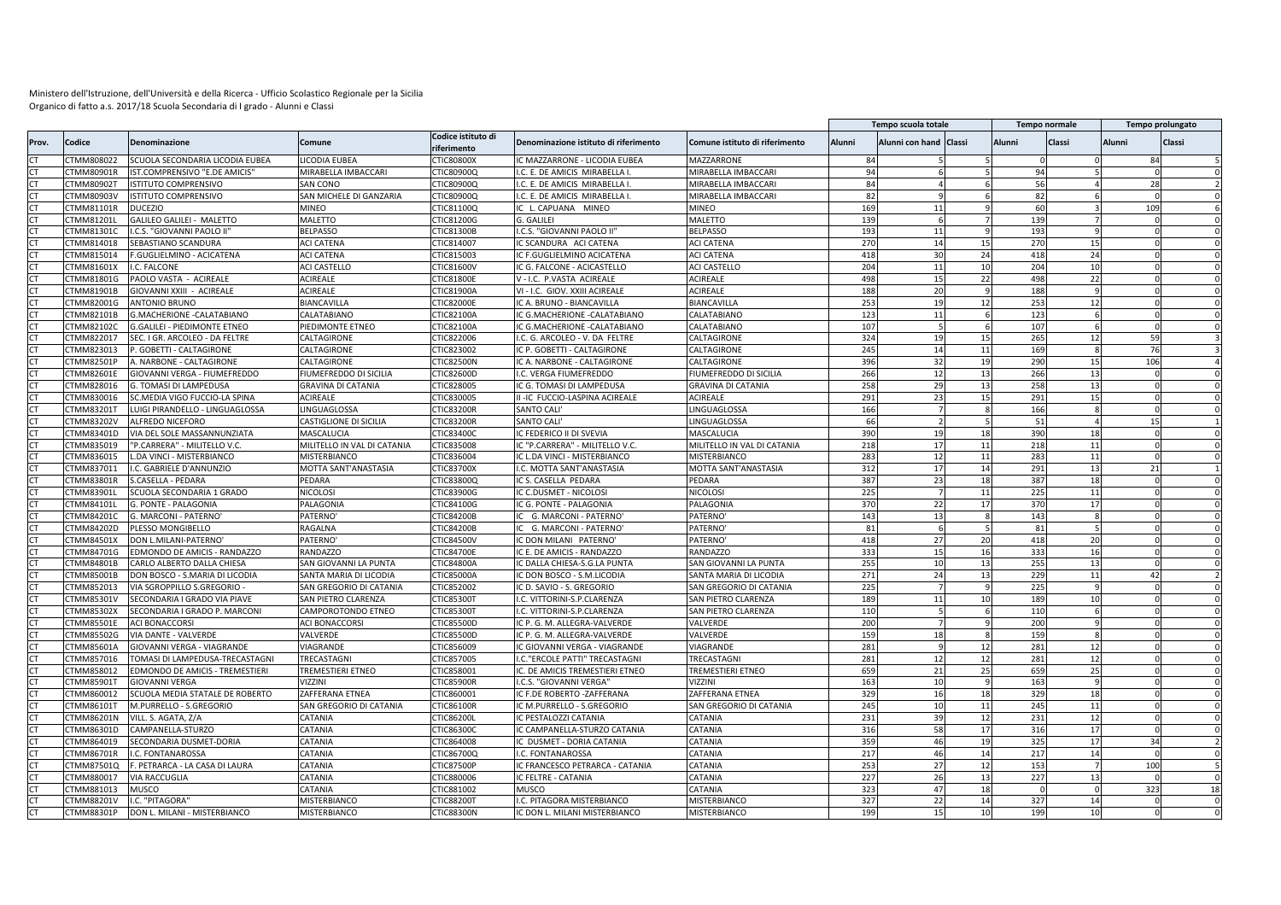|                        |                   |                                     |                             |                                   |                                       |                                |        | Tempo scuola totale    |        |          | Tempo normale   |               | Tempo prolungato |    |
|------------------------|-------------------|-------------------------------------|-----------------------------|-----------------------------------|---------------------------------------|--------------------------------|--------|------------------------|--------|----------|-----------------|---------------|------------------|----|
| Prov.                  | Codice            | Denominazione                       | Comune                      | Codice istituto di<br>riferimento | Denominazione istituto di riferimento | Comune istituto di riferimento | Alunni | Alunni con hand Classi |        | Alunni   | Classi          | <b>Alunni</b> | <b>Classi</b>    |    |
|                        | <b>TMM808022</b>  | SCUOLA SECONDARIA LICODIA EUBEA     | <b>ICODIA EUBEA</b>         | TIC80800X                         | C MAZZARRONE - LICODIA EUBEA          | MAZZARRONE                     | 84     |                        |        |          |                 |               | 84               |    |
|                        | CTMM80901R        | IST.COMPRENSIVO "E.DE AMICIS"       | MIRABELLA IMBACCARI         | CTIC80900Q                        | I.C. E. DE AMICIS MIRABELLA I         | MIRABELLA IMBACCARI            | 94     |                        |        | 94       |                 |               |                  |    |
| <b>CT</b>              | CTMM80902T        | <b>ISTITUTO COMPRENSIVO</b>         | SAN CONO                    | CTIC80900Q                        | I.C. E. DE AMICIS MIRABELLA I         | MIRABELLA IMBACCARI            | 84     |                        |        | 56       |                 |               | 28               |    |
| <b>CT</b>              | CTMM80903V        | <b>ISTITUTO COMPRENSIVO</b>         | SAN MICHELE DI GANZARIA     | CTIC80900Q                        | I.C. E. DE AMICIS MIRABELLA I         | MIRABELLA IMBACCARI            | 82     |                        |        | 82       |                 |               |                  |    |
| <b>CT</b>              | <b>TMM81101R</b>  | <b>DUCEZIO</b>                      | MINEO                       | TIC81100Q                         | IC L. CAPUANA MINEO                   | MINEO                          | 169    | 11                     |        | 60       |                 |               | 109              |    |
| <b>CT</b>              | CTMM81201L        | GALILEO GALILEI - MALETTO           | MALETTO                     | TIC81200G                         | G. GALILEI                            | MALETTO                        | 139    |                        |        | 139      |                 |               |                  |    |
| CT                     | <b>TMM81301C</b>  | .C.S. "GIOVANNI PAOLO II            | <b>BELPASSO</b>             | TIC81300B                         | I.C.S. "GIOVANNI PAOLO II'            | <b>BELPASSO</b>                | 193    | 11                     |        | 193      |                 |               |                  |    |
| <b>CT</b>              | CTMM814018        | SEBASTIANO SCANDURA                 | <b>ACI CATENA</b>           | CTIC814007                        | IC SCANDURA ACI CATENA                | <b>ACI CATENA</b>              | 270    | 14                     | 15     | 270      | 15              |               |                  |    |
| <b>CT</b>              | <b>TMM815014</b>  | F.GUGLIELMINO - ACICATENA           | <b>ACI CATENA</b>           | TIC815003                         | IC F.GUGLIELMINO ACICATENA            | <b>ACI CATENA</b>              | 418    | 30                     | 24     | 418      | 24              |               |                  |    |
| <b>CT</b>              | CTMM81601X        | I.C. FALCONE                        | ACI CASTELLC                | <b>CTIC81600V</b>                 | IC G. FALCONE - ACICASTELLO           | ACI CASTELLO                   | 204    | 11                     | 10     | 204      | 10              |               |                  |    |
| <b>CT</b>              | CTMM81801G        | PAOLO VASTA - ACIREALE              | <b>ACIREALE</b>             | <b>TIC81800E</b>                  | V-I.C. P.VASTA ACIREALE               | <b>ACIREALE</b>                | 498    | 15                     | 22     | 498      | 22              |               |                  |    |
| <b>CT</b>              | CTMM81901B        | GIOVANNI XXIII - ACIREALE           | <b>ACIREALE</b>             | CTIC81900A                        | VI - I.C. GIOV. XXIII ACIREALE        | <b>ACIREALE</b>                | 188    | 20                     |        | 188      |                 |               |                  |    |
| $\cap$                 | <b>CTMM82001G</b> | <b>ANTONIO BRUNO</b>                | <b>BIANCAVILLA</b>          | <b>TIC82000E</b>                  | IC A. BRUNO - BIANCAVILLA             | BIANCAVILLA                    | 253    | 19                     | 12     | 253      | 12              |               |                  |    |
| <b>CT</b>              | CTMM82101B        | G.MACHERIONE - CALATABIANO          | CALATABIANO                 | CTIC82100A                        | IC G.MACHERIONE - CALATABIANO         | CALATABIANO                    | 123    | 11                     |        | 123      |                 |               |                  |    |
| C <sub>1</sub>         | CTMM82102C        | <b>G.GALILEI - PIEDIMONTE ETNEO</b> | PIEDIMONTE ETNEO            | TIC82100A                         | IC G.MACHERIONE - CALATABIANO         | CALATABIANO                    | 107    |                        |        | 107      |                 |               |                  |    |
| CT.                    | <b>TMM822017</b>  | SEC. I GR. ARCOLEO - DA FELTRE      | CALTAGIRONE                 | TIC822006                         | I.C. G. ARCOLEO - V. DA FELTRE        | CALTAGIRONE                    | 324    | 19                     | 15     | 265      | 12              |               | <b>59</b>        |    |
|                        | CTMM823013        | P. GOBETTI - CALTAGIRONE            | CALTAGIRONE                 | TIC823002                         | IC P. GOBETTI - CALTAGIRONE           | CALTAGIRONE                    | 245    | 14                     | 11     | 169      |                 |               | 76               |    |
| <b>CT</b>              | <b>TMM82501P</b>  | A. NARBONE - CALTAGIRONE            | CALTAGIRONE                 | <b>CTIC82500N</b>                 | IC A. NARBONE - CALTAGIRONE           | CALTAGIRONE                    | 396    | 32                     | 19     | 290      | 15              |               | 106              |    |
| CT                     | CTMM82601E        | GIOVANNI VERGA - FIUMEFREDDO        | FIUMEFREDDO DI SICILIA      | CTIC82600D                        | I.C. VERGA FIUMEFREDDO                | <b>IUMEFREDDO DI SICILIA</b>   | 266    | 12                     | 13     | 266      | 13              |               |                  |    |
| <b>CT</b>              | <b>TMM828016</b>  | G. TOMASI DI LAMPEDUSA              | <b>GRAVINA DI CATANIA</b>   | CTIC828005                        | IC G. TOMASI DI LAMPEDUSA             | <b>GRAVINA DI CATANIA</b>      | 258    | 29                     | 13     | 258      | 13              |               |                  |    |
| <b>CT</b>              | CTMM830016        | SC.MEDIA VIGO FUCCIO-LA SPINA       | ACIREALE                    | CTIC830005                        | II -IC FUCCIO-LASPINA ACIREALE        | ACIREALE                       | 291    | 23                     | 15     | 291      | 15              |               |                  |    |
| $\Gamma$               | CTMM83201T        | LUIGI PIRANDELLO - LINGUAGLOSSA     | LINGUAGLOSSA                | CTIC83200R                        | SANTO CALI                            | <b>INGUAGLOSSA</b>             | 166    |                        |        | 166      |                 |               |                  |    |
| CT                     | CTMM83202V        | ALFREDO NICEFORO                    | CASTIGLIONE DI SICILIA      | CTIC83200F                        | <b>SANTO CALI'</b>                    | LINGUAGLOSSA                   | 66     |                        |        | 51       |                 |               | 15               |    |
|                        | TMM83401D         | VIA DEL SOLE MASSANNUNZIATA         | MASCALUCIA                  | TIC83400C                         | C FEDERICO II DI SVEVIA               | MASCALUCIA                     | 390    | 19                     | 18     | 390      | 18              |               |                  |    |
| <b>CT</b>              | CTMM835019        | "P.CARRERA" - MILITELLO V.C.        | MILITELLO IN VAL DI CATANIA | CTIC835008                        | IC "P.CARRERA" - MILITELLO V.C        | MILITELLO IN VAL DI CATANIA    | 218    | 17                     | 11     | 218      | 11              |               |                  |    |
| <b>CT</b>              | <b>TMM836015</b>  | L.DA VINCI - MISTERBIANCO           | MISTERBIANCO                | TIC836004                         | IC L.DA VINCI - MISTERBIANCO          | MISTERBIANCO                   | 283    | 12                     | $11\,$ | 283      | 11              |               |                  |    |
| <b>CT</b>              | CTMM837011        | I.C. GABRIELE D'ANNUNZIO            | MOTTA SANT'ANASTASIA        | CTIC83700X                        | I.C. MOTTA SANT'ANASTASIA             | MOTTA SANT'ANASTASIA           | 312    | 17                     | 14     | 291      | 13              |               | 21               |    |
| <b>CT</b>              | CTMM83801R        | S.CASELLA - PEDARA                  | PEDARA                      | TIC83800Q                         | IC S. CASELLA PEDARA                  | PEDARA                         | 387    | 23                     | 18     | 387      | 18              |               |                  |    |
| CT.                    | CTMM83901L        | SCUOLA SECONDARIA 1 GRADO           | <b>NICOLOSI</b>             | CTIC83900G                        | IC C.DUSMET - NICOLOSI                | <b>NICOLOSI</b>                | 225    |                        | 11     | 225      | 11              |               |                  |    |
| <b>CT</b>              | CTMM84101L        | G. PONTE - PALAGONIA                | PALAGONIA                   | TIC84100G                         | IC G. PONTE - PALAGONIA               | <b>ALAGONIA</b>                | 370    | 22                     | 17     | 370      | 17              |               |                  |    |
| <b>CT</b>              | CTMM84201C        | G. MARCONI - PATERNO                | PATERNO <sup>®</sup>        | CTIC84200B                        | G. MARCONI - PATERNO                  | PATERNO                        | 143    | 13                     |        | 143      |                 |               |                  |    |
|                        | <b>TMM84202D</b>  | PLESSO MONGIBELLO                   | RAGALNA                     | <b>TIC84200E</b>                  | G. MARCONI - PATERNO                  | <b>PATERNO</b>                 | 81     |                        |        | 81       |                 |               |                  |    |
|                        | <b>TMM84501X</b>  | <b>DON L.MILANI-PATERNO</b>         | PATERNO <sup>®</sup>        | TIC84500\                         | IC DON MILANI PATERNO                 | <b>PATERNO</b>                 | 418    | 27                     | 20     | 418      | 20              |               |                  |    |
| <b>CT</b>              | <b>CTMM84701G</b> | EDMONDO DE AMICIS - RANDAZZO        | RANDAZZO                    | <b>TIC84700E</b>                  |                                       | RANDAZZO                       | 333    | 15                     |        | 333      | 16              |               |                  |    |
|                        |                   |                                     |                             |                                   | IC E. DE AMICIS - RANDAZZO            |                                | 255    |                        | 16     | 255      |                 |               |                  |    |
|                        | TMM84801B         | CARLO ALBERTO DALLA CHIESA          | SAN GIOVANNI LA PUNTA       | TIC84800A                         | IC DALLA CHIESA-S.G.LA PUNTA          | SAN GIOVANNI LA PUNTA          |        | 10                     | 13     |          | 13              |               |                  |    |
| <b>CT</b>              | CTMM85001B        | DON BOSCO - S.MARIA DI LICODIA      | SANTA MARIA DI LICODIA      | CTIC85000A                        | IC DON BOSCO - S.M.LICODIA            | SANTA MARIA DI LICODIA         | 271    | 24                     | 13     | 229      | 11              |               | 42               |    |
| <b>CT</b>              | <b>TMM852013</b>  | VIA SGROPPILLO S.GREGORIO           | SAN GREGORIO DI CATANIA     | TIC852002                         | IC D. SAVIO - S. GREGORIO             | SAN GREGORIO DI CATANIA        | 225    |                        |        | 225      |                 |               |                  |    |
| <b>CT</b><br><b>CT</b> | CTMM85301V        | SECONDARIA I GRADO VIA PIAVE        | SAN PIETRO CLARENZA         | CTIC85300T                        | I.C. VITTORINI-S.P.CLARENZA           | SAN PIETRO CLARENZA            | 189    | 11                     | 10     | 189      | 10              |               |                  |    |
|                        | CTMM85302X        | SECONDARIA I GRADO P. MARCONI       | CAMPOROTONDO ETNEO          | CTIC853001                        | I.C. VITTORINI-S.P.CLARENZA           | SAN PIETRO CLARENZA            | 110    |                        |        | 110      |                 |               |                  |    |
| <b>CT</b>              | <b>CTMM85501E</b> | <b>ACI BONACCORSI</b>               | ACI BONACCORSI              | CTIC85500D                        | IC P. G. M. ALLEGRA-VALVERDE          | VALVERDE                       | 200    |                        |        | 200      |                 |               |                  |    |
| <b>CT</b>              | <b>TMM85502G</b>  | VIA DANTE - VALVERDE                | VALVERDE                    | TIC85500D                         | IC P. G. M. ALLEGRA-VALVERDE          | VALVERDE                       | 159    | 18                     |        | 159      |                 |               |                  |    |
| <b>CT</b>              | CTMM85601A        | GIOVANNI VERGA - VIAGRANDE          | VIAGRANDE                   | CTIC856009                        | IC GIOVANNI VERGA - VIAGRANDE         | VIAGRANDE                      | 281    |                        | 12     | 281      | 12              |               |                  |    |
| <b>CT</b>              | CTMM857016        | TOMASI DI LAMPEDUSA-TRECASTAGNI     | TRECASTAGNI                 | CTIC857005                        | I.C."ERCOLE PATTI" TRECASTAGNI        | TRECASTAGNI                    | 281    | 12                     | 12     | 281      | 12              |               |                  |    |
| <b>CT</b>              | CTMM858012        | EDMONDO DE AMICIS - TREMESTIERI     | TREMESTIERI ETNEO           | CTIC858001                        | IC. DE AMICIS TREMESTIERI ETNEO       | TREMESTIERI ETNEO              | 659    | 21                     | 25     | 659      | 25              |               |                  |    |
| <b>CT</b>              | CTMM85901T        | <b>GIOVANNI VERGA</b>               | VIZZINI                     | <b>CTIC85900F</b>                 | I.C.S. "GIOVANNI VERGA'               | VIZZINI                        | 163    | 10                     |        | 163      |                 |               |                  |    |
| <b>CT</b>              | CTMM860012        | SCUOLA MEDIA STATALE DE ROBERTO     | ZAFFERANA ETNEA             | CTIC860001                        | IC F.DE ROBERTO - ZAFFERANA           | ZAFFERANA ETNEA                | 329    | 16                     | 18     | 329      | 18              |               |                  |    |
|                        | <b>TMM86101T</b>  | M.PURRELLO - S.GREGORIO             | SAN GREGORIO DI CATANIA     | <b>TIC86100F</b>                  | IC M.PURRELLO - S.GREGORIO            | SAN GREGORIO DI CATANIA        | 245    | 10                     | 11     | 245      | 11              |               |                  |    |
|                        | <b>TMM86201N</b>  | VILL. S. AGATA, Z/A                 | CATANIA                     | TIC86200L                         | IC PESTALOZZI CATANIA                 | CATANIA                        | 231    | 39                     | 12     | 231      | 12              |               |                  |    |
| C <sub>1</sub>         | TMM86301D         | CAMPANELLA-STURZO                   | CATANIA                     | TIC86300C                         | IC CAMPANELLA-STURZO CATANIA          | CATANIA                        | 316    | 58                     | 17     | 316      | 17              |               |                  |    |
| <b>CT</b>              | <b>TMM864019</b>  | SECONDARIA DUSMET-DORIA             | CATANIA                     | CTIC864008                        | IC DUSMET - DORIA CATANIA             | CATANIA                        | 359    | 46                     | 19     | 325      | 17              |               | 34               |    |
|                        | CTMM86701R        | .C. FONTANAROSSA                    | CATANIA                     | <b>TIC86700Q</b>                  | I.C. FONTANAROSSA                     | CATANIA                        | 217    | 46                     | 14     | 217      | 14              |               |                  |    |
|                        | <b>TMM87501Q</b>  | . PETRARCA - LA CASA DI LAURA       | CATANIA                     | TIC87500P                         | IC FRANCESCO PETRARCA - CATANIA       | <b>CATANIA</b>                 | 253    | 27                     | 12     | 153      |                 |               | 100              |    |
| <b>CT</b>              | CTMM880017        | VIA RACCUGLIA                       | CATANIA                     | TIC880006                         | IC FELTRE - CATANIA                   | CATANIA                        | 227    | 26                     | 13     | 227      | 13              |               |                  |    |
| <b>CT</b>              | CTMM881013        | MUSCO                               | CATANIA                     | TIC881002                         | <b>MUSCO</b>                          | CATANIA                        | 323    | 47                     | 18     | $\Omega$ |                 |               | 323              | 18 |
| <b>CT</b>              | CTMM88201V        | I.C. "PITAGORA"                     | MISTERBIANCO                | TIC882001                         | I.C. PITAGORA MISTERBIANCO            | MISTERBIANCO                   | 327    | 22                     | 14     | 327      | 14              |               |                  |    |
| CT                     | CTMM88301P        | DON L. MILANI - MISTERBIANCO        | MISTERBIANCO                | CTIC88300N                        | IC DON L. MILANI MISTERBIANCO         | MISTERBIANCO                   | 199    | 15                     | 10     | 199      | 10 <sup>1</sup> |               |                  |    |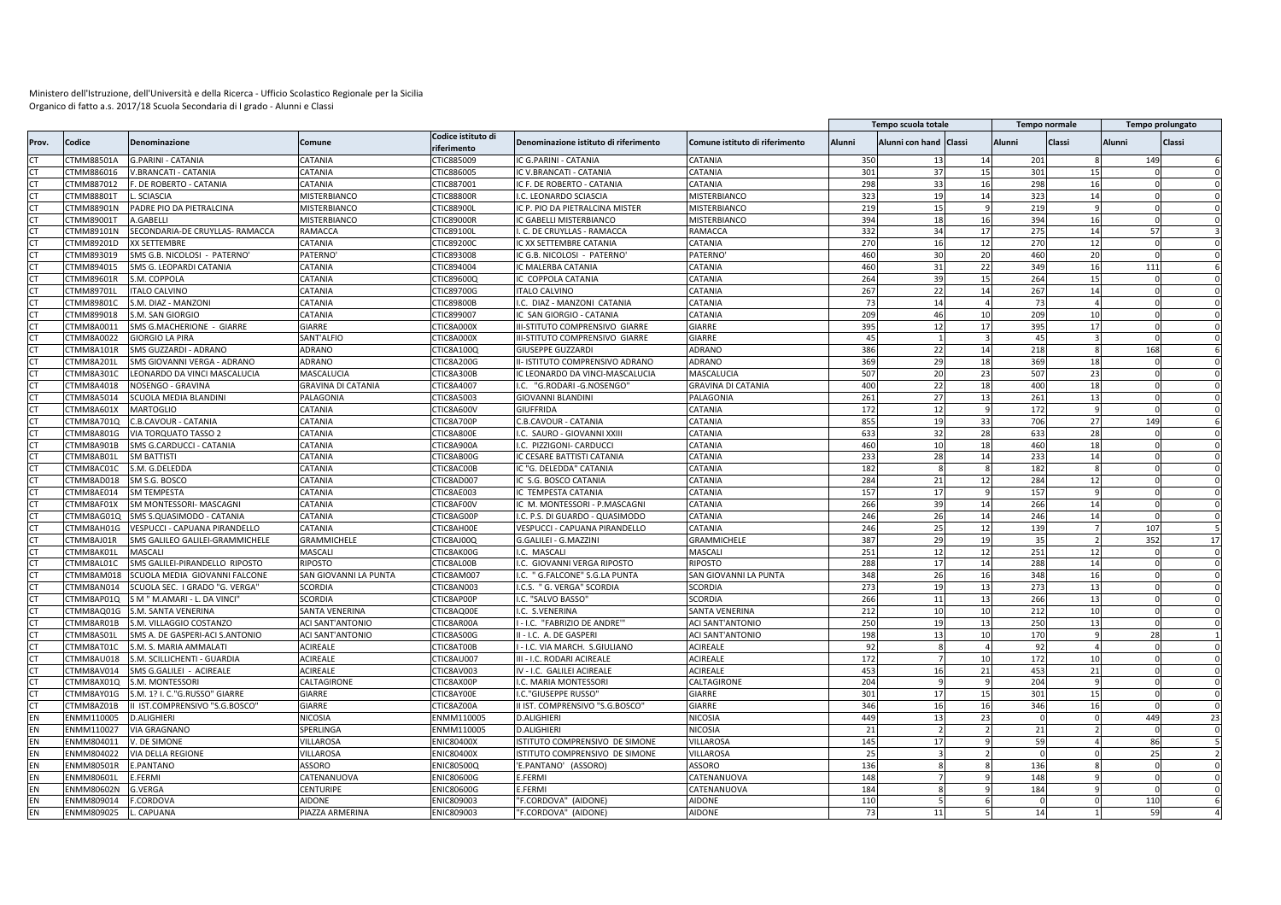|                |                   |                                 |                           |                                   |                                       |                                |               | Tempo scuola totale    |                |          | <b>Tempo normale</b> |               | Tempo prolungato       |
|----------------|-------------------|---------------------------------|---------------------------|-----------------------------------|---------------------------------------|--------------------------------|---------------|------------------------|----------------|----------|----------------------|---------------|------------------------|
| Prov.          | Codice            | Denominazione                   | Comune                    | Codice istituto di<br>riferimento | Denominazione istituto di riferimento | Comune istituto di riferimento | <b>Alunni</b> | Alunni con hand Classi |                | Alunni   | Classi               | <b>Alunni</b> | Classi                 |
|                | CTMM88501A        | G.PARINI - CATANIA              | CATANIA                   | CTIC885009                        | IC G.PARINI - CATANIA                 | CATANIA                        | 350           |                        | 14             | 201      |                      |               | 149                    |
| CT.            | CTMM886016        | V.BRANCATI - CATANIA            | CATANIA                   | CTIC886005                        | IC V.BRANCATI - CATANIA               | CATANIA                        | 301           | 37                     | 15             | 301      | 15                   |               | $\Omega$               |
| <b>CT</b>      | CTMM887012        | DE ROBERTO - CATANIA            | CATANIA                   | CTIC887001                        | IC F. DE ROBERTO - CATANIA            | CATANIA                        | 298           | 33                     | 16             | 298      | 16                   |               |                        |
| <b>CT</b>      | <b>CTMM88801T</b> | SCIASCIA                        | MISTERBIANCO              | <b>CTIC88800F</b>                 | I.C. LEONARDO SCIASCIA                | MISTERBIANCO                   | 323           | 19                     | 14             | 323      | 14                   |               |                        |
| CT             | CTMM88901N        | PADRE PIO DA PIETRALCINA        | MISTERBIANCO              | CTIC88900I                        | IC P. PIO DA PIETRALCINA MISTER       | <b>MISTERBIANCO</b>            | 219           | 15                     | 9              | 219      |                      |               |                        |
| <b>CT</b>      | CTMM89001T        | A.GABELLI                       | MISTERBIANCO              | <b>CTIC89000F</b>                 | C GABELLI MISTERBIANCO                | MISTERBIANCO                   | 394           | 18                     | 16             | 394      | 16                   |               | $\Omega$               |
| <b>CT</b>      | CTMM89101N        | SECONDARIA-DE CRUYLLAS- RAMACCA | RAMACCA                   | CTIC89100L                        | . C. DE CRUYLLAS - RAMACCA            | RAMACCA                        | 332           | 34                     | 17             | 275      | 14                   |               | 57                     |
| <b>CT</b>      | CTMM89201D        | XX SETTEMBRE                    | CATANIA                   | CTIC892000                        | IC XX SETTEMBRE CATANIA               | CATANIA                        | 270           | 16                     | 12             | 270      | 12                   |               | $\Omega$<br>$\Omega$   |
| <b>CT</b>      | CTMM893019        | SMS G.B. NICOLOSI - PATERNO'    | PATERNO'                  | CTIC893008                        | IC G.B. NICOLOSI - PATERNO            | PATERNO                        | 460           | 30                     | 20             | 460      | 20                   |               | $\Omega$               |
| <b>CT</b>      | CTMM894015        | SMS G. LEOPARDI CATANIA         | CATANIA                   | CTIC894004                        | IC MALERBA CATANIA                    | CATANIA                        | 460           | 31                     | 22             | 349      | 16                   |               | 111<br>$\mathsf{f}$    |
| CT             | CTMM89601R        | S.M. COPPOLA                    | CATANIA                   | CTIC89600Q                        | IC COPPOLA CATANIA                    | CATANIA                        | 264           | 39                     | 15             | 264      | 15                   |               | $\Omega$               |
| <b>CT</b>      | CTMM89701L        | <b>ITALO CALVINO</b>            | CATANIA                   | CTIC89700G                        | <b>ITALO CALVINO</b>                  | CATANIA                        | 267           | 22                     | 14             | 267      | 14                   |               |                        |
| CT.            | CTMM89801C        | S.M. DIAZ - MANZONI             | CATANIA                   | CTIC89800B                        | I.C. DIAZ - MANZONI CATANIA           | CATANIA                        | 73            | 14                     | $\overline{a}$ | 73       |                      |               |                        |
| CT.            | CTMM899018        | S.M. SAN GIORGIO                | CATANIA                   | CTIC899007                        | IC SAN GIORGIO - CATANIA              | CATANIA                        | 209           | 46                     | 10             | 209      | 10                   |               |                        |
| CT             | CTMM8A0011        | SMS G.MACHERIONE - GIARRE       | GIARRE                    | CTIC8A000X                        | III-STITUTO COMPRENSIVO GIARRE        | <b>GIARRE</b>                  | 395           | 12                     | 17             | 395      | 17                   |               |                        |
| CT             | CTMM8A0022        | GIORGIO LA PIRA                 | SANT'ALFIO                | CTIC8A000X                        | III-STITUTO COMPRENSIVO GIARRE        | GIARRE                         | 45            |                        |                | 45       |                      |               |                        |
| CT.            | CTMM8A101R        | SMS GUZZARDI - ADRANO           | ADRANO                    | CTIC8A100Q                        | <b>GIUSEPPE GUZZARDI</b>              | <b>ADRANO</b>                  | 386           | 22                     | 14             | 218      |                      |               | 168                    |
| CT             | CTMM8A201L        | SMS GIOVANNI VERGA - ADRANO     | ADRANO                    | CTIC8A200G                        | II- ISTITUTO COMPRENSIVO ADRANO       | ADRANO                         | 369           | 29                     | 18             | 369      | 18                   |               |                        |
| CT             | CTMM8A301C        | LEONARDO DA VINCI MASCALUCIA    | MASCALUCIA                | CTIC8A300B                        | IC LEONARDO DA VINCI-MASCALUCIA       | MASCALUCIA                     | 507           | 20                     | 23             | 507      | 23                   |               |                        |
| C <sub>1</sub> | CTMM8A4018        | NOSENGO - GRAVINA               | <b>GRAVINA DI CATANIA</b> | CTIC8A4007                        | I.C. "G.RODARI-G.NOSENGO"             | GRAVINA DI CATANIA             | 400           | 22                     | 18             | 400      | 18                   |               |                        |
| <b>CT</b>      | CTMM8A5014        | <b>SCUOLA MEDIA BLANDINI</b>    | PALAGONIA                 | CTIC8A5003                        | <b>GIOVANNI BLANDINI</b>              | PALAGONIA                      | 261           | 27                     | 13             | 261      | 13                   |               | $\Omega$               |
| CT             | CTMM8A601X        | <b>MARTOGLIO</b>                | CATANIA                   | CTIC8A600V                        | <b>GIUFFRIDA</b>                      | CATANIA                        | 172           | 12                     |                | 172      |                      |               |                        |
| <b>CT</b>      | CTMM8A701Q        | C.B.CAVOUR - CATANIA            | CATANIA                   | CTIC8A700P                        | C.B.CAVOUR - CATANIA                  | CATANIA                        | 855           | 19                     | 33             | 706      | 27                   |               | 149<br>6               |
| CT             | CTMM8A801G        | <b>VIA TORQUATO TASSO 2</b>     | CATANIA                   | CTIC8A800E                        | .C. SAURO - GIOVANNI XXIII            | CATANIA                        | 633           | 32                     | 28             | 633      | 28                   |               |                        |
| CT             | CTMM8A901B        | SMS G.CARDUCCI - CATANIA        | CATANIA                   | CTIC8A900A                        | I.C. PIZZIGONI- CARDUCCI              | CATANIA                        | 460           | 10                     | 18             | 460      | 18                   |               | $\Omega$<br>$\sqrt{ }$ |
| CT             | CTMM8AB01L        | <b>SM BATTISTI</b>              | CATANIA                   | CTIC8AB00G                        | IC CESARE BATTISTI CATANIA            | CATANIA                        | 233           | 28                     | 14             | 233      | 14                   |               | $\Omega$               |
| <b>CT</b>      | CTMM8AC01C        | S.M. G.DELEDDA                  | CATANIA                   | CTIC8AC00B                        | IC "G. DELEDDA" CATANIA               | CATANIA                        | 182           |                        | 8              | 182      | $\mathbf{R}$         |               |                        |
| CT             | CTMM8AD018        | SM S.G. BOSCO                   | CATANIA                   | CTIC8AD007                        | IC S.G. BOSCO CATANIA                 | <b>CATANIA</b>                 | 284           | 21                     | 12             | 284      | 12                   |               |                        |
| CT             | CTMM8AE014        | <b>SM TEMPESTA</b>              | CATANIA                   | CTIC8AE003                        | IC TEMPESTA CATANIA                   | CATANIA                        | 157           | 17                     |                | 157      |                      |               |                        |
| CT             | CTMM8AF01X        | SM MONTESSORI- MASCAGNI         | CATANIA                   | CTIC8AF00V                        | IC M. MONTESSORI - P.MASCAGNI         | <b>CATANIA</b>                 | 266           | 39                     | 14             | 266      | 14                   |               |                        |
|                | CTMM8AG01Q        | SMS S.QUASIMODO - CATANIA       | CATANIA                   | CTIC8AG00P                        | I.C. P.S. DI GUARDO - QUASIMODO       | CATANIA                        | 246           | 26                     | 14             | 246      | 14                   |               |                        |
| C <sub>1</sub> | CTMM8AH01G        | VESPUCCI - CAPUANA PIRANDELLO   | CATANIA                   | CTIC8AH00E                        | VESPUCCI - CAPUANA PIRANDELLO         | CATANIA                        | 246           | 25                     | 12             | 139      |                      |               | 107<br>5               |
| <b>CT</b>      | CTMM8AJ01R        | SMS GALILEO GALILEI-GRAMMICHELE | GRAMMICHELE               | CTIC8AJ00Q                        | G.GALILEI - G.MAZZINI                 | GRAMMICHELE                    | 387           | 29                     | 19             | 35       |                      |               | 352<br>17              |
| CT             | CTMM8AK01L        | <b>MASCALI</b>                  | MASCALI                   | CTIC8AK00G                        | I.C. MASCALI                          | MASCALI                        | 251           | 12                     | 12             | 251      | 12                   |               | $\Omega$               |
| CT             | CTMM8AL01C        | SMS GALILEI-PIRANDELLO RIPOSTO  | <b>RIPOSTO</b>            | CTIC8AL00B                        | I.C. GIOVANNI VERGA RIPOSTO           | RIPOSTO                        | 288           | 17                     | 14             | 288      | 14                   |               | $\Omega$               |
| <b>CT</b>      | CTMM8AM018        | SCUOLA MEDIA GIOVANNI FALCONE   | SAN GIOVANNI LA PUNTA     | CTIC8AM007                        | I.C. " G.FALCONE" S.G.LA PUNTA        | SAN GIOVANNI LA PUNTA          | 348           | 26                     | 16             | 348      | <b>16</b>            |               | $\Omega$<br>$\Omega$   |
|                | CTMM8AN014        | SCUOLA SEC. I GRADO "G. VERGA"  | <b>SCORDIA</b>            | CTIC8AN003                        |                                       | SCORDIA                        | 273           | 19                     | 13             | 273      | 13                   |               |                        |
| <b>CT</b>      |                   |                                 |                           |                                   | I.C.S. " G. VERGA" SCORDIA            |                                |               |                        |                |          |                      |               | $\Omega$<br>$\Omega$   |
| <b>CT</b>      | CTMM8AP01Q        | S M " M.AMARI - L. DA VINCI"    | <b>SCORDIA</b>            | CTIC8AP00P                        | I.C. "SALVO BASSO"                    | <b>SCORDIA</b>                 | 266           | 11                     | 13             | 266      | 13<br>10             |               |                        |
| C <sub>1</sub> | CTMM8AQ01G        | S.M. SANTA VENERINA             | SANTA VENERINA            | CTIC8AQ00E                        | I.C. S.VENERINA                       | SANTA VENERINA                 | 212           | 10                     | 10             | 212      |                      |               |                        |
| <b>CT</b>      | CTMM8AR01B        | S.M. VILLAGGIO COSTANZO         | ACI SANT'ANTONIO          | CTIC8AR00A                        | - I.C. "FABRIZIO DE ANDRE'"           | ACI SANT'ANTONIO               | 250           | 19                     | 13             | 250      | 13                   |               | $\Omega$               |
| CT             | CTMM8AS01L        | SMS A. DE GASPERI-ACI S.ANTONIO | <b>ACI SANT'ANTONIO</b>   | CTIC8AS00G                        | II - I.C. A. DE GASPERI               | <b>ACI SANT'ANTONIO</b>        | 198           | 13                     | 10             | 170      |                      |               | 28                     |
| <b>CT</b>      | CTMM8AT01C        | S.M. S. MARIA AMMALATI          | ACIREALE                  | CTIC8AT00B                        | - I.C. VIA MARCH. S.GIULIANO          | <b>ACIREALE</b>                | 92            |                        | $\overline{4}$ | 92       |                      |               |                        |
| CT             | CTMM8AU018        | S.M. SCILLICHENTI - GUARDIA     | <b>ACIREALE</b>           | CTIC8AU007                        | III - I.C. RODARI ACIREALE            | ACIREALE                       | 172           |                        | 10             | 172      | 10                   |               |                        |
| CT.            | CTMM8AV014        | SMS G.GALILEI - ACIREALE        | ACIREALE                  | CTIC8AV003                        | IV - I.C. GALILEI ACIREALE            | ACIREALE                       | 453           | 16                     | 21             | 453      | 21                   |               |                        |
| CT             | CTMM8AX01Q        | S.M. MONTESSORI                 | CALTAGIRONE               | CTIC8AX00P                        | I.C. MARIA MONTESSORI                 | CALTAGIRONE                    | 204           |                        |                | 204      |                      |               |                        |
| CT             | CTMM8AY01G        | S.M. 1? I. C."G.RUSSO" GIARRE   | GIARRE                    | CTIC8AY00E                        | I.C."GIUSEPPE RUSSO'                  | GIARRE                         | 301           | 17                     | 15             | 301      | 15                   |               |                        |
| CT             | CTMM8AZ01B        | I IST.COMPRENSIVO "S.G.BOSCO"   | GIARRE                    | CTIC8AZ00A                        | II IST. COMPRENSIVO "S.G.BOSCO"       | GIARRE                         | 346           | 16                     | 16             | 346      | 16                   |               | $\Omega$               |
| EN             | ENMM110005        | <b>D.ALIGHIERI</b>              | NICOSIA                   | ENMM110005                        | <b>D.ALIGHIERI</b>                    | NICOSIA                        | 449           | 13                     | 23             |          |                      |               | 449<br>23              |
| EN             | ENMM110027        | <b>VIA GRAGNANO</b>             | SPERLINGA                 | ENMM110005                        | <b>D.ALIGHIERI</b>                    | NICOSIA                        | 21            |                        |                | 21       |                      |               | $\Omega$               |
| EN             | ENMM804011        | V. DE SIMONE                    | VILLAROSA                 | <b>ENIC80400X</b>                 | ISTITUTO COMPRENSIVO DE SIMONE        | <b>VILLAROSA</b>               | 145           | 17                     |                | 59       |                      |               | 86                     |
| EN             | ENMM804022        | <b>VIA DELLA REGIONE</b>        | VILLAROSA                 | <b>ENIC80400X</b>                 | ISTITUTO COMPRENSIVO DE SIMONE        | VILLAROSA                      | 25            |                        |                | $\Omega$ |                      |               | 25<br>$\overline{2}$   |
| EN             | <b>ENMM80501R</b> | <b>E.PANTANO</b>                | ASSORO                    | ENIC80500Q                        | 'E.PANTANO' (ASSORO)                  | ASSORO                         | 136           |                        |                | 136      |                      |               |                        |
| EN             | ENMM80601L        | E.FERMI                         | CATENANUOVA               | <b>ENIC80600G</b>                 | E.FERMI                               | CATENANUOVA                    | 148           |                        |                | 148      |                      |               | $\Omega$<br>$\Omega$   |
| EN             | ENMM80602N        | <b>G.VERGA</b>                  | CENTURIPE                 | ENIC80600G                        | E.FERMI                               | CATENANUOVA                    | 184           |                        |                | 184      |                      |               |                        |
| EN             | ENMM809014        | CORDOVA                         | <b>AIDONE</b>             | ENIC809003                        | "F.CORDOVA" (AIDONE)                  | <b>AIDONE</b>                  | 110           |                        |                | $\Omega$ |                      |               | 110<br>6               |
| EN             | ENMM809025        | CAPUANA                         | PIAZZA ARMERINA           | ENIC809003                        | "F.CORDOVA" (AIDONE)                  | <b>AIDONE</b>                  | 73            | 11                     |                | 14       |                      |               | 59                     |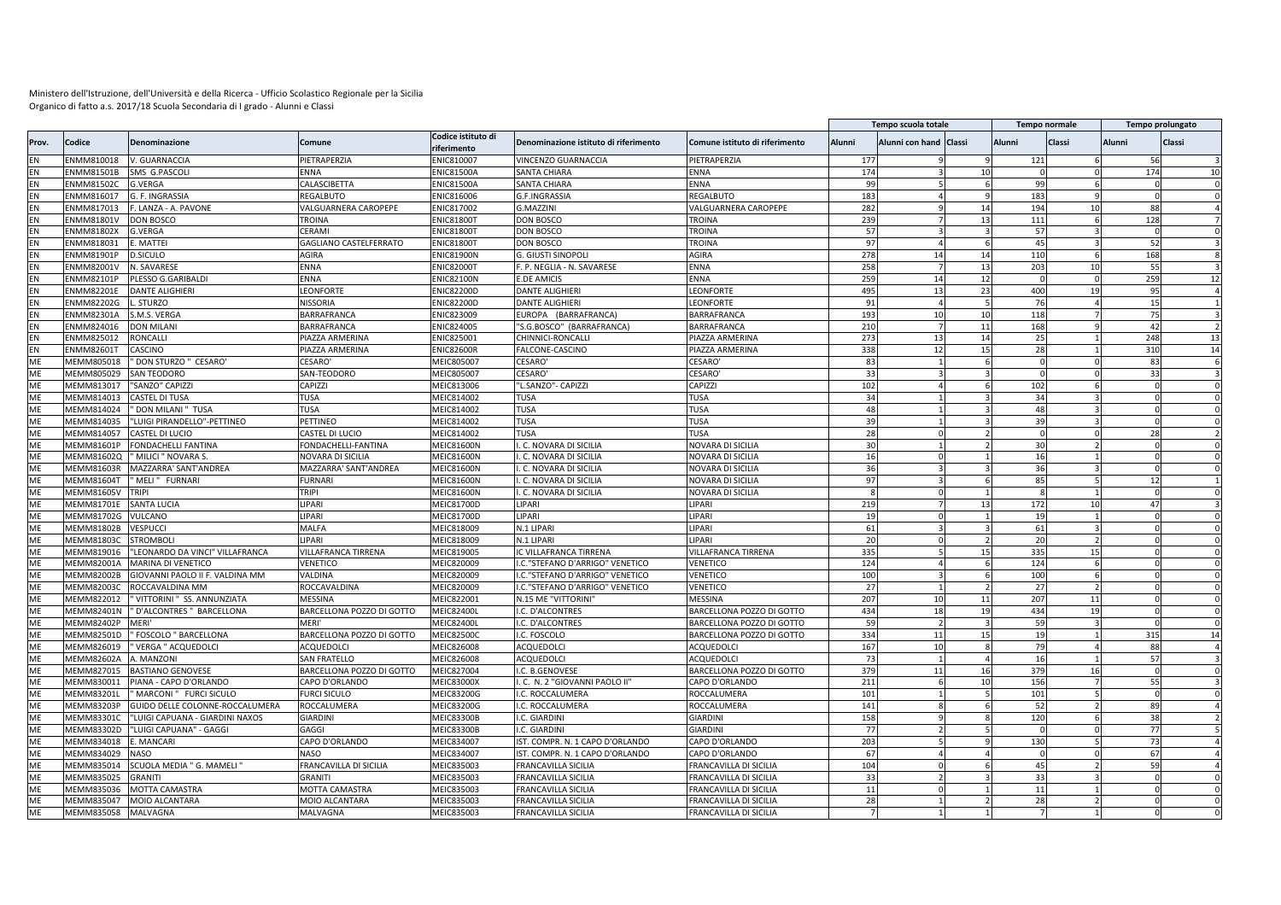| Codice istituto di<br>Alunni<br>Classi<br><b>Classi</b><br>Codice<br><b>Denominazione</b><br>Comune<br>Denominazione istituto di riferimento<br>Comune istituto di riferimento<br>Alunni<br>Alunni con hand Classi<br><b>Alunni</b><br>Prov.<br>riferimento<br>NMM810018<br>V. GUARNACCIA<br>PIETRAPERZIA<br>ENIC810007<br>PIETRAPERZIA<br>177<br>121<br>VINCENZO GUARNACCIA<br>56<br>174<br>174<br>ENMM81501B<br>SMS G.PASCOLI<br>ENNA<br><b>ENIC81500A</b><br><b>SANTA CHIARA</b><br>ENNA<br>10<br>10<br>EN<br>$\Omega$<br>99<br>EN<br><b>ENMM81502C</b><br>CALASCIBETTA<br>ENIC81500A<br>SANTA CHIARA<br>ENNA<br><b>G.VERGA</b><br>99<br>EN<br>ENMM816017<br>G. F. INGRASSIA<br>ENIC816006<br>G.F.INGRASSIA<br>REGALBUTO<br>183<br>REGALBUTO<br>183<br>EN<br>282<br>/ALGUARNERA CAROPEPE<br>ENIC817002<br>G.MAZZINI<br>VALGUARNERA CAROPEPE<br>194<br>88<br>ENMM817013<br>-. LANZA - A. PAVONE<br>14<br>239<br>EN<br>ENMM81801V<br>DON BOSCO<br><b>TROINA</b><br><b>ENIC81800T</b><br>DON BOSCO<br>TROINA<br>13<br>111<br>128<br>6<br>EN<br>ENMM81802X<br>CERAMI<br><b>NIC81800T</b><br><b>DON BOSCO</b><br>57<br>57<br>G.VERGA<br>TROINA<br>EN<br>ENMM818031<br>E. MATTEI<br><b>GAGLIANO CASTELFERRATO</b><br><b>ENIC81800T</b><br>DON BOSCO<br><b>TROINA</b><br>97<br>45<br>52<br>EN<br>ENMM81901P<br><b>D.SICULO</b><br>AGIRA<br><b>NIC81900N</b><br>G. GIUSTI SINOPOLI<br>AGIRA<br>278<br>14<br>110<br>168<br>14<br>258<br>203<br>EN<br>ENMM82001V<br>N. SAVARESE<br>ENNA<br><b>ENIC82000T</b><br>F. P. NEGLIA - N. SAVARESE<br>ENNA<br>13<br>10<br>55<br>ENIC82100N<br>259<br>14<br>259<br>EN<br>ENMM82101P<br>PLESSO G.GARIBALDI<br>ENNA<br><b>E.DE AMICIS</b><br>ENNA<br>12<br>12<br>$\Omega$<br>EN<br>ENMM82201E<br><b>DANTE ALIGHIERI</b><br>LEONFORTE<br>ENIC82200D<br><b>DANTE ALIGHIERI</b><br>LEONFORTE<br>495<br>13<br>23<br>400<br>95<br>EN<br>NMM82202G<br>STURZO<br>NISSORIA<br><b>NIC82200D</b><br>DANTE ALIGHIERI<br>EONFORTI<br>91<br>76<br>15<br>EN<br>NMM82301A<br>S.M.S. VERGA<br>BARRAFRANCA<br><b>NIC823009</b><br>EUROPA (BARRAFRANCA)<br><b>BARRAFRANCA</b><br>193<br>118<br>75<br>10<br>10<br>NIC824005<br>EN<br>NMM824016<br><b>DON MILANI</b><br>BARRAFRANCA<br>"S.G.BOSCO" (BARRAFRANCA)<br>BARRAFRANCA<br>210<br>168<br>42<br>11<br>273<br>EN<br>ENMM825012<br>RONCALLI<br>ENIC825001<br>13<br>25<br>248<br>PIAZZA ARMERINA<br>CHINNICI-RONCALLI<br>PIAZZA ARMERINA<br>14<br>13<br>338<br>12<br>28<br>310<br>EN<br>ENMM82601T<br>CASCINO<br><b>ENIC82600R</b><br>PIAZZA ARMERINA<br>PIAZZA ARMERINA<br>FALCONE-CASCINO<br>15<br>14<br>ME<br>MEMM805018<br>" DON STURZO " CESARO'<br>CESARO'<br>MEIC805007<br>CESARO <sup>®</sup><br><b>CESARO</b><br>83<br>$\Omega$<br>83<br>ME<br><b>MEMM805029</b><br><b>SAN TEODORO</b><br>SAN-TEODORO<br>MEIC805007<br><b>CESARO</b><br>CESARO<br>33<br>33<br>$\Omega$<br>102<br>102<br>ME<br>MEMM813017<br>"SANZO" CAPIZZI<br>CAPIZZI<br>MEIC813006<br>"L.SANZO"- CAPIZZI<br>CAPIZZI<br>ME<br>MEMM814013<br><b>CASTEL DI TUSA</b><br>TUSA<br>MEIC814002<br>TUSA<br>TUSA<br>34<br>34<br>MF<br>MEMM814024<br>" DON MILANI " TUSA<br>TUSA<br>MEIC814002<br><b>TUSA</b><br>TUSA<br>48<br>48<br><b>ME</b><br>MEMM814035<br>"LUIGI PIRANDELLO"-PETTINEO<br>PETTINEO<br>MEIC814002<br>TUSA<br>TUSA<br>39<br>39<br>ME<br>MEMM814057<br>MEIC814002<br>TUSA<br>CASTEL DI LUCIO<br>CASTEL DI LUCIO<br>TUSA<br>28<br>$\Omega$<br>28<br>30<br>ME<br>MEMM81601F<br>FONDACHELLI FANTINA<br>FONDACHELLI-FANTINA<br>MEIC81600N<br>I. C. NOVARA DI SICILIA<br>NOVARA DI SICILIA<br>30<br>ME<br>MEMM81602Q<br>' MILICI " NOVARA S<br>NOVARA DI SICILIA<br>MEIC81600N<br>. C. NOVARA DI SICILIA<br>NOVARA DI SICILIA<br>16<br>16<br>ME<br>36<br>36<br>MEMM81603F<br>MAZZARRA' SANT'ANDREA<br>MAZZARRA' SANT'ANDREA<br>MEIC81600N<br>. C. NOVARA DI SICILIA<br>NOVARA DI SICILIA<br>ME<br>MEMM816041<br>MELI" FURNARI<br><b>FURNARI</b><br>MEIC81600N<br>85<br>. C. NOVARA DI SICILIA<br>NOVARA DI SICILIA<br>97<br>12<br>ME<br>MEMM81605\<br><b>TRIPI</b><br><b>TRIPI</b><br>MEIC81600N<br>. C. NOVARA DI SICILIA<br>NOVARA DI SICILIA<br>ME<br>LIPARI<br>MEIC81700D<br>219<br>MEMM81701E<br><b>SANTA LUCIA</b><br>LIPARI<br>LIPARI<br>172<br>47<br>13<br>ME<br>LIPARI<br>LIPARI<br>19<br>MEMM81702G<br>VULCANO<br>MEIC81700D<br>LIPARI<br>19<br>ME<br>61<br><b>VESPUCCI</b><br>MALFA<br>MEIC818009<br>LIPARI<br>61<br>MEMM81802B<br>N.1 LIPARI<br>$\Omega$<br>20<br>20<br>ME<br><b>MEMM81803C</b><br><b>STROMBOL</b><br>LIPARI<br>MEIC818009<br>N.1 LIPARI<br>LIPARI<br>335<br>ME<br>"LEONARDO DA VINCI" VILLAFRANCA<br>335<br>MEMM819016<br>VILLAFRANCA TIRRENA<br>MEIC819005<br>IC VILLAFRANCA TIRRENA<br>VILLAFRANCA TIRRENA<br>15<br>15<br>124<br>ME<br>MEMM82001A<br>124<br><b>MARINA DI VENETICO</b><br>VENETICO<br>MEIC820009<br>I.C."STEFANO D'ARRIGO" VENETICO<br>VENETICO<br>ME<br>MEMM82002B<br>GIOVANNI PAOLO II F. VALDINA MM<br>VALDINA<br>MEIC820009<br>I.C. "STEFANO D'ARRIGO" VENETICO<br>VENETICO<br>100<br>100<br>ME<br>MEMM82003C<br>ROCCAVALDINA MM<br>ROCCAVALDINA<br>MEIC820009<br>27<br>I.C."STEFANO D'ARRIGO" VENETICO<br>VENETICO<br>27<br>MEIC822001<br>207<br>ME<br>MEMM822012<br>VITTORINI " SS. ANNUNZIATA<br>MESSINA<br>N.15 ME "VITTORINI"<br><b>MESSINA</b><br>10<br>11<br>207<br>11<br>$\Omega$<br>MF<br>MEMM82401N<br>' D'ALCONTRES " BARCELLONA<br>BARCELLONA POZZO DI GOTTO<br>MEIC82400L<br>I.C. D'ALCONTRES<br>BARCELLONA POZZO DI GOTTO<br>434<br>18<br>434<br>19<br><b>MEMM82402F</b><br>MEIC82400L<br>59<br>ME<br>MERI'<br>MFRI'<br>I.C. D'ALCONTRES<br>BARCELLONA POZZO DI GOTTO<br>59<br>ME<br>MEMM82501D<br>FOSCOLO " BARCELLONA<br>BARCELLONA POZZO DI GOTTO<br>MEIC82500C<br>I.C. FOSCOLO<br>BARCELLONA POZZO DI GOTTO<br>334<br>11<br>19<br>315<br>14<br>15<br>ME<br>MEMM826019<br>VERGA " ACQUEDOLCI<br>ACQUEDOLCI<br>MEIC826008<br><b>ACQUEDOLCI</b><br><b>ACQUEDOLC</b><br>167<br>10<br>79<br>88<br>ME<br>MEIC826008<br>57<br>MEMM82602A<br>A. MANZONI<br>SAN FRATELLO<br><b>ACQUEDOLCI</b><br>ACQUEDOLCI<br>73<br>16<br>379<br>379<br>ME<br>MEMM827015<br><b>BASTIANO GENOVESE</b><br>BARCELLONA POZZO DI GOTTO<br>MEIC827004<br>I.C. B.GENOVESE<br>BARCELLONA POZZO DI GOTTO<br>11<br>16<br>16<br>ME<br>PIANA - CAPO D'ORLANDO<br>CAPO D'ORLANDO<br>MEIC83000X<br>211<br>55<br>MEMM830011<br>. C. N. 2 "GIOVANNI PAOLO II'<br>CAPO D'ORLANDO<br>156<br>10<br>ME<br>MEMM83201L<br>101<br>101<br>'MARCONI" FURCI SICULO<br>FURCI SICULO<br>MEIC83200G<br>I.C. ROCCALUMERA<br>ROCCALUMERA<br>52<br>ME<br>MEIC83200G<br>141<br>89<br>MEMM83203P<br>GUIDO DELLE COLONNE-ROCCALUMERA<br>ROCCALUMERA<br>I.C. ROCCALUMERA<br>ROCCALUMERA<br>120<br>158<br>38<br>ME<br>MEMM833010<br>"LUIGI CAPUANA - GIARDINI NAXOS<br>GIARDINI<br>MEIC83300B<br>I.C. GIARDINI<br><b>GIARDINI</b><br>ME<br>MEMM83302D<br>"LUIGI CAPUANA" - GAGGI<br>GAGGI<br>MEIC83300E<br>I.C. GIARDINI<br><b>GIARDINI</b><br>77<br>77<br>$\Omega$<br>130<br>ME<br>MEMM834018<br>E. MANCARI<br>CAPO D'ORLANDO<br>MEIC834007<br>IST. COMPR. N. 1 CAPO D'ORLANDO<br>CAPO D'ORLANDO<br>203<br>73<br>ME<br>MEMM834029<br><b>NASO</b><br>MEIC834007<br>IST. COMPR. N. 1 CAPO D'ORLANDO<br>67<br>67<br><b>NASO</b><br>CAPO D'ORLANDO<br>$\overline{0}$<br>ME<br>SCUOLA MEDIA " G. MAMELI "<br>MEIC835003<br>104<br>45<br>59<br>MEMM835014<br>FRANCAVILLA DI SICILIA<br>FRANCAVILLA SICILIA<br>FRANCAVILLA DI SICILIA<br>ME<br>MEMM835025<br>GRANITI<br>GRANITI<br>MEIC835003<br>FRANCAVILLA SICILIA<br>FRANCAVILLA DI SICILIA<br>33<br>33<br>MF<br>MEMM835036<br><b>MOTTA CAMASTRA</b><br>MOTTA CAMASTRA<br>VIEIC835003<br>FRANCAVILLA SICILIA<br>FRANCAVILLA DI SICILIA<br>11<br>11<br>28<br>ME<br>MEMM835047<br>MOIO ALCANTARA<br>MOIO ALCANTARA<br>MEIC835003<br><b>FRANCAVILLA SICILIA</b><br>FRANCAVILLA DI SICILIA<br>28<br>ME<br>MEMM835058<br>MALVAGNA<br>MEIC835003<br>FRANCAVILLA DI SICILIA<br>MALVAGNA<br><b>FRANCAVILLA SICILIA</b> |  |  |  |  | Tempo scuola totale |  | Tempo normale | Tempo prolungato |  |
|---------------------------------------------------------------------------------------------------------------------------------------------------------------------------------------------------------------------------------------------------------------------------------------------------------------------------------------------------------------------------------------------------------------------------------------------------------------------------------------------------------------------------------------------------------------------------------------------------------------------------------------------------------------------------------------------------------------------------------------------------------------------------------------------------------------------------------------------------------------------------------------------------------------------------------------------------------------------------------------------------------------------------------------------------------------------------------------------------------------------------------------------------------------------------------------------------------------------------------------------------------------------------------------------------------------------------------------------------------------------------------------------------------------------------------------------------------------------------------------------------------------------------------------------------------------------------------------------------------------------------------------------------------------------------------------------------------------------------------------------------------------------------------------------------------------------------------------------------------------------------------------------------------------------------------------------------------------------------------------------------------------------------------------------------------------------------------------------------------------------------------------------------------------------------------------------------------------------------------------------------------------------------------------------------------------------------------------------------------------------------------------------------------------------------------------------------------------------------------------------------------------------------------------------------------------------------------------------------------------------------------------------------------------------------------------------------------------------------------------------------------------------------------------------------------------------------------------------------------------------------------------------------------------------------------------------------------------------------------------------------------------------------------------------------------------------------------------------------------------------------------------------------------------------------------------------------------------------------------------------------------------------------------------------------------------------------------------------------------------------------------------------------------------------------------------------------------------------------------------------------------------------------------------------------------------------------------------------------------------------------------------------------------------------------------------------------------------------------------------------------------------------------------------------------------------------------------------------------------------------------------------------------------------------------------------------------------------------------------------------------------------------------------------------------------------------------------------------------------------------------------------------------------------------------------------------------------------------------------------------------------------------------------------------------------------------------------------------------------------------------------------------------------------------------------------------------------------------------------------------------------------------------------------------------------------------------------------------------------------------------------------------------------------------------------------------------------------------------------------------------------------------------------------------------------------------------------------------------------------------------------------------------------------------------------------------------------------------------------------------------------------------------------------------------------------------------------------------------------------------------------------------------------------------------------------------------------------------------------------------------------------------------------------------------------------------------------------------------------------------------------------------------------------------------------------------------------------------------------------------------------------------------------------------------------------------------------------------------------------------------------------------------------------------------------------------------------------------------------------------------------------------------------------------------------------------------------------------------------------------------------------------------------------------------------------------------------------------------------------------------------------------------------------------------------------------------------------------------------------------------------------------------------------------------------------------------------------------------------------------------------------------------------------------------------------------------------------------------------------------------------------------------------------------------------------------------------------------------------------------------------------------------------------------------------------------------------------------------------------------------------------------------------------------------------------------------------------------------------------------------------------------------------------------------------------------------------------------------------------------------------------------------------------------------------------------------------------------------------------------------------------------------------------------------------------------------------------------------------------------------------------------------------------------------------------------------------------------------------------------------------------------------------------------------------------------------------------------------------------------------------------------------------------------------------------------------------------------------------------------------------------------------------------------------------------------------------------------------------------------------------------------------------------------------------------------------------------------------------------------------------------------------------------------------------------------------------------------------------------------------------------------------------------|--|--|--|--|---------------------|--|---------------|------------------|--|
|                                                                                                                                                                                                                                                                                                                                                                                                                                                                                                                                                                                                                                                                                                                                                                                                                                                                                                                                                                                                                                                                                                                                                                                                                                                                                                                                                                                                                                                                                                                                                                                                                                                                                                                                                                                                                                                                                                                                                                                                                                                                                                                                                                                                                                                                                                                                                                                                                                                                                                                                                                                                                                                                                                                                                                                                                                                                                                                                                                                                                                                                                                                                                                                                                                                                                                                                                                                                                                                                                                                                                                                                                                                                                                                                                                                                                                                                                                                                                                                                                                                                                                                                                                                                                                                                                                                                                                                                                                                                                                                                                                                                                                                                                                                                                                                                                                                                                                                                                                                                                                                                                                                                                                                                                                                                                                                                                                                                                                                                                                                                                                                                                                                                                                                                                                                                                                                                                                                                                                                                                                                                                                                                                                                                                                                                                                                                                                                                                                                                                                                                                                                                                                                                                                                                                                                                                                                                                                                                                                                                                                                                                                                                                                                                                                                                                                                                                                                                                                                                                                                                                                                                                                                                                                                                                                                                                                                                                                               |  |  |  |  |                     |  |               |                  |  |
|                                                                                                                                                                                                                                                                                                                                                                                                                                                                                                                                                                                                                                                                                                                                                                                                                                                                                                                                                                                                                                                                                                                                                                                                                                                                                                                                                                                                                                                                                                                                                                                                                                                                                                                                                                                                                                                                                                                                                                                                                                                                                                                                                                                                                                                                                                                                                                                                                                                                                                                                                                                                                                                                                                                                                                                                                                                                                                                                                                                                                                                                                                                                                                                                                                                                                                                                                                                                                                                                                                                                                                                                                                                                                                                                                                                                                                                                                                                                                                                                                                                                                                                                                                                                                                                                                                                                                                                                                                                                                                                                                                                                                                                                                                                                                                                                                                                                                                                                                                                                                                                                                                                                                                                                                                                                                                                                                                                                                                                                                                                                                                                                                                                                                                                                                                                                                                                                                                                                                                                                                                                                                                                                                                                                                                                                                                                                                                                                                                                                                                                                                                                                                                                                                                                                                                                                                                                                                                                                                                                                                                                                                                                                                                                                                                                                                                                                                                                                                                                                                                                                                                                                                                                                                                                                                                                                                                                                                                               |  |  |  |  |                     |  |               |                  |  |
|                                                                                                                                                                                                                                                                                                                                                                                                                                                                                                                                                                                                                                                                                                                                                                                                                                                                                                                                                                                                                                                                                                                                                                                                                                                                                                                                                                                                                                                                                                                                                                                                                                                                                                                                                                                                                                                                                                                                                                                                                                                                                                                                                                                                                                                                                                                                                                                                                                                                                                                                                                                                                                                                                                                                                                                                                                                                                                                                                                                                                                                                                                                                                                                                                                                                                                                                                                                                                                                                                                                                                                                                                                                                                                                                                                                                                                                                                                                                                                                                                                                                                                                                                                                                                                                                                                                                                                                                                                                                                                                                                                                                                                                                                                                                                                                                                                                                                                                                                                                                                                                                                                                                                                                                                                                                                                                                                                                                                                                                                                                                                                                                                                                                                                                                                                                                                                                                                                                                                                                                                                                                                                                                                                                                                                                                                                                                                                                                                                                                                                                                                                                                                                                                                                                                                                                                                                                                                                                                                                                                                                                                                                                                                                                                                                                                                                                                                                                                                                                                                                                                                                                                                                                                                                                                                                                                                                                                                                               |  |  |  |  |                     |  |               |                  |  |
|                                                                                                                                                                                                                                                                                                                                                                                                                                                                                                                                                                                                                                                                                                                                                                                                                                                                                                                                                                                                                                                                                                                                                                                                                                                                                                                                                                                                                                                                                                                                                                                                                                                                                                                                                                                                                                                                                                                                                                                                                                                                                                                                                                                                                                                                                                                                                                                                                                                                                                                                                                                                                                                                                                                                                                                                                                                                                                                                                                                                                                                                                                                                                                                                                                                                                                                                                                                                                                                                                                                                                                                                                                                                                                                                                                                                                                                                                                                                                                                                                                                                                                                                                                                                                                                                                                                                                                                                                                                                                                                                                                                                                                                                                                                                                                                                                                                                                                                                                                                                                                                                                                                                                                                                                                                                                                                                                                                                                                                                                                                                                                                                                                                                                                                                                                                                                                                                                                                                                                                                                                                                                                                                                                                                                                                                                                                                                                                                                                                                                                                                                                                                                                                                                                                                                                                                                                                                                                                                                                                                                                                                                                                                                                                                                                                                                                                                                                                                                                                                                                                                                                                                                                                                                                                                                                                                                                                                                                               |  |  |  |  |                     |  |               |                  |  |
|                                                                                                                                                                                                                                                                                                                                                                                                                                                                                                                                                                                                                                                                                                                                                                                                                                                                                                                                                                                                                                                                                                                                                                                                                                                                                                                                                                                                                                                                                                                                                                                                                                                                                                                                                                                                                                                                                                                                                                                                                                                                                                                                                                                                                                                                                                                                                                                                                                                                                                                                                                                                                                                                                                                                                                                                                                                                                                                                                                                                                                                                                                                                                                                                                                                                                                                                                                                                                                                                                                                                                                                                                                                                                                                                                                                                                                                                                                                                                                                                                                                                                                                                                                                                                                                                                                                                                                                                                                                                                                                                                                                                                                                                                                                                                                                                                                                                                                                                                                                                                                                                                                                                                                                                                                                                                                                                                                                                                                                                                                                                                                                                                                                                                                                                                                                                                                                                                                                                                                                                                                                                                                                                                                                                                                                                                                                                                                                                                                                                                                                                                                                                                                                                                                                                                                                                                                                                                                                                                                                                                                                                                                                                                                                                                                                                                                                                                                                                                                                                                                                                                                                                                                                                                                                                                                                                                                                                                                               |  |  |  |  |                     |  |               |                  |  |
|                                                                                                                                                                                                                                                                                                                                                                                                                                                                                                                                                                                                                                                                                                                                                                                                                                                                                                                                                                                                                                                                                                                                                                                                                                                                                                                                                                                                                                                                                                                                                                                                                                                                                                                                                                                                                                                                                                                                                                                                                                                                                                                                                                                                                                                                                                                                                                                                                                                                                                                                                                                                                                                                                                                                                                                                                                                                                                                                                                                                                                                                                                                                                                                                                                                                                                                                                                                                                                                                                                                                                                                                                                                                                                                                                                                                                                                                                                                                                                                                                                                                                                                                                                                                                                                                                                                                                                                                                                                                                                                                                                                                                                                                                                                                                                                                                                                                                                                                                                                                                                                                                                                                                                                                                                                                                                                                                                                                                                                                                                                                                                                                                                                                                                                                                                                                                                                                                                                                                                                                                                                                                                                                                                                                                                                                                                                                                                                                                                                                                                                                                                                                                                                                                                                                                                                                                                                                                                                                                                                                                                                                                                                                                                                                                                                                                                                                                                                                                                                                                                                                                                                                                                                                                                                                                                                                                                                                                                               |  |  |  |  |                     |  |               |                  |  |
|                                                                                                                                                                                                                                                                                                                                                                                                                                                                                                                                                                                                                                                                                                                                                                                                                                                                                                                                                                                                                                                                                                                                                                                                                                                                                                                                                                                                                                                                                                                                                                                                                                                                                                                                                                                                                                                                                                                                                                                                                                                                                                                                                                                                                                                                                                                                                                                                                                                                                                                                                                                                                                                                                                                                                                                                                                                                                                                                                                                                                                                                                                                                                                                                                                                                                                                                                                                                                                                                                                                                                                                                                                                                                                                                                                                                                                                                                                                                                                                                                                                                                                                                                                                                                                                                                                                                                                                                                                                                                                                                                                                                                                                                                                                                                                                                                                                                                                                                                                                                                                                                                                                                                                                                                                                                                                                                                                                                                                                                                                                                                                                                                                                                                                                                                                                                                                                                                                                                                                                                                                                                                                                                                                                                                                                                                                                                                                                                                                                                                                                                                                                                                                                                                                                                                                                                                                                                                                                                                                                                                                                                                                                                                                                                                                                                                                                                                                                                                                                                                                                                                                                                                                                                                                                                                                                                                                                                                                               |  |  |  |  |                     |  |               |                  |  |
|                                                                                                                                                                                                                                                                                                                                                                                                                                                                                                                                                                                                                                                                                                                                                                                                                                                                                                                                                                                                                                                                                                                                                                                                                                                                                                                                                                                                                                                                                                                                                                                                                                                                                                                                                                                                                                                                                                                                                                                                                                                                                                                                                                                                                                                                                                                                                                                                                                                                                                                                                                                                                                                                                                                                                                                                                                                                                                                                                                                                                                                                                                                                                                                                                                                                                                                                                                                                                                                                                                                                                                                                                                                                                                                                                                                                                                                                                                                                                                                                                                                                                                                                                                                                                                                                                                                                                                                                                                                                                                                                                                                                                                                                                                                                                                                                                                                                                                                                                                                                                                                                                                                                                                                                                                                                                                                                                                                                                                                                                                                                                                                                                                                                                                                                                                                                                                                                                                                                                                                                                                                                                                                                                                                                                                                                                                                                                                                                                                                                                                                                                                                                                                                                                                                                                                                                                                                                                                                                                                                                                                                                                                                                                                                                                                                                                                                                                                                                                                                                                                                                                                                                                                                                                                                                                                                                                                                                                                               |  |  |  |  |                     |  |               |                  |  |
|                                                                                                                                                                                                                                                                                                                                                                                                                                                                                                                                                                                                                                                                                                                                                                                                                                                                                                                                                                                                                                                                                                                                                                                                                                                                                                                                                                                                                                                                                                                                                                                                                                                                                                                                                                                                                                                                                                                                                                                                                                                                                                                                                                                                                                                                                                                                                                                                                                                                                                                                                                                                                                                                                                                                                                                                                                                                                                                                                                                                                                                                                                                                                                                                                                                                                                                                                                                                                                                                                                                                                                                                                                                                                                                                                                                                                                                                                                                                                                                                                                                                                                                                                                                                                                                                                                                                                                                                                                                                                                                                                                                                                                                                                                                                                                                                                                                                                                                                                                                                                                                                                                                                                                                                                                                                                                                                                                                                                                                                                                                                                                                                                                                                                                                                                                                                                                                                                                                                                                                                                                                                                                                                                                                                                                                                                                                                                                                                                                                                                                                                                                                                                                                                                                                                                                                                                                                                                                                                                                                                                                                                                                                                                                                                                                                                                                                                                                                                                                                                                                                                                                                                                                                                                                                                                                                                                                                                                                               |  |  |  |  |                     |  |               |                  |  |
|                                                                                                                                                                                                                                                                                                                                                                                                                                                                                                                                                                                                                                                                                                                                                                                                                                                                                                                                                                                                                                                                                                                                                                                                                                                                                                                                                                                                                                                                                                                                                                                                                                                                                                                                                                                                                                                                                                                                                                                                                                                                                                                                                                                                                                                                                                                                                                                                                                                                                                                                                                                                                                                                                                                                                                                                                                                                                                                                                                                                                                                                                                                                                                                                                                                                                                                                                                                                                                                                                                                                                                                                                                                                                                                                                                                                                                                                                                                                                                                                                                                                                                                                                                                                                                                                                                                                                                                                                                                                                                                                                                                                                                                                                                                                                                                                                                                                                                                                                                                                                                                                                                                                                                                                                                                                                                                                                                                                                                                                                                                                                                                                                                                                                                                                                                                                                                                                                                                                                                                                                                                                                                                                                                                                                                                                                                                                                                                                                                                                                                                                                                                                                                                                                                                                                                                                                                                                                                                                                                                                                                                                                                                                                                                                                                                                                                                                                                                                                                                                                                                                                                                                                                                                                                                                                                                                                                                                                                               |  |  |  |  |                     |  |               |                  |  |
|                                                                                                                                                                                                                                                                                                                                                                                                                                                                                                                                                                                                                                                                                                                                                                                                                                                                                                                                                                                                                                                                                                                                                                                                                                                                                                                                                                                                                                                                                                                                                                                                                                                                                                                                                                                                                                                                                                                                                                                                                                                                                                                                                                                                                                                                                                                                                                                                                                                                                                                                                                                                                                                                                                                                                                                                                                                                                                                                                                                                                                                                                                                                                                                                                                                                                                                                                                                                                                                                                                                                                                                                                                                                                                                                                                                                                                                                                                                                                                                                                                                                                                                                                                                                                                                                                                                                                                                                                                                                                                                                                                                                                                                                                                                                                                                                                                                                                                                                                                                                                                                                                                                                                                                                                                                                                                                                                                                                                                                                                                                                                                                                                                                                                                                                                                                                                                                                                                                                                                                                                                                                                                                                                                                                                                                                                                                                                                                                                                                                                                                                                                                                                                                                                                                                                                                                                                                                                                                                                                                                                                                                                                                                                                                                                                                                                                                                                                                                                                                                                                                                                                                                                                                                                                                                                                                                                                                                                                               |  |  |  |  |                     |  |               |                  |  |
|                                                                                                                                                                                                                                                                                                                                                                                                                                                                                                                                                                                                                                                                                                                                                                                                                                                                                                                                                                                                                                                                                                                                                                                                                                                                                                                                                                                                                                                                                                                                                                                                                                                                                                                                                                                                                                                                                                                                                                                                                                                                                                                                                                                                                                                                                                                                                                                                                                                                                                                                                                                                                                                                                                                                                                                                                                                                                                                                                                                                                                                                                                                                                                                                                                                                                                                                                                                                                                                                                                                                                                                                                                                                                                                                                                                                                                                                                                                                                                                                                                                                                                                                                                                                                                                                                                                                                                                                                                                                                                                                                                                                                                                                                                                                                                                                                                                                                                                                                                                                                                                                                                                                                                                                                                                                                                                                                                                                                                                                                                                                                                                                                                                                                                                                                                                                                                                                                                                                                                                                                                                                                                                                                                                                                                                                                                                                                                                                                                                                                                                                                                                                                                                                                                                                                                                                                                                                                                                                                                                                                                                                                                                                                                                                                                                                                                                                                                                                                                                                                                                                                                                                                                                                                                                                                                                                                                                                                                               |  |  |  |  |                     |  |               |                  |  |
|                                                                                                                                                                                                                                                                                                                                                                                                                                                                                                                                                                                                                                                                                                                                                                                                                                                                                                                                                                                                                                                                                                                                                                                                                                                                                                                                                                                                                                                                                                                                                                                                                                                                                                                                                                                                                                                                                                                                                                                                                                                                                                                                                                                                                                                                                                                                                                                                                                                                                                                                                                                                                                                                                                                                                                                                                                                                                                                                                                                                                                                                                                                                                                                                                                                                                                                                                                                                                                                                                                                                                                                                                                                                                                                                                                                                                                                                                                                                                                                                                                                                                                                                                                                                                                                                                                                                                                                                                                                                                                                                                                                                                                                                                                                                                                                                                                                                                                                                                                                                                                                                                                                                                                                                                                                                                                                                                                                                                                                                                                                                                                                                                                                                                                                                                                                                                                                                                                                                                                                                                                                                                                                                                                                                                                                                                                                                                                                                                                                                                                                                                                                                                                                                                                                                                                                                                                                                                                                                                                                                                                                                                                                                                                                                                                                                                                                                                                                                                                                                                                                                                                                                                                                                                                                                                                                                                                                                                                               |  |  |  |  |                     |  |               |                  |  |
|                                                                                                                                                                                                                                                                                                                                                                                                                                                                                                                                                                                                                                                                                                                                                                                                                                                                                                                                                                                                                                                                                                                                                                                                                                                                                                                                                                                                                                                                                                                                                                                                                                                                                                                                                                                                                                                                                                                                                                                                                                                                                                                                                                                                                                                                                                                                                                                                                                                                                                                                                                                                                                                                                                                                                                                                                                                                                                                                                                                                                                                                                                                                                                                                                                                                                                                                                                                                                                                                                                                                                                                                                                                                                                                                                                                                                                                                                                                                                                                                                                                                                                                                                                                                                                                                                                                                                                                                                                                                                                                                                                                                                                                                                                                                                                                                                                                                                                                                                                                                                                                                                                                                                                                                                                                                                                                                                                                                                                                                                                                                                                                                                                                                                                                                                                                                                                                                                                                                                                                                                                                                                                                                                                                                                                                                                                                                                                                                                                                                                                                                                                                                                                                                                                                                                                                                                                                                                                                                                                                                                                                                                                                                                                                                                                                                                                                                                                                                                                                                                                                                                                                                                                                                                                                                                                                                                                                                                                               |  |  |  |  |                     |  |               |                  |  |
|                                                                                                                                                                                                                                                                                                                                                                                                                                                                                                                                                                                                                                                                                                                                                                                                                                                                                                                                                                                                                                                                                                                                                                                                                                                                                                                                                                                                                                                                                                                                                                                                                                                                                                                                                                                                                                                                                                                                                                                                                                                                                                                                                                                                                                                                                                                                                                                                                                                                                                                                                                                                                                                                                                                                                                                                                                                                                                                                                                                                                                                                                                                                                                                                                                                                                                                                                                                                                                                                                                                                                                                                                                                                                                                                                                                                                                                                                                                                                                                                                                                                                                                                                                                                                                                                                                                                                                                                                                                                                                                                                                                                                                                                                                                                                                                                                                                                                                                                                                                                                                                                                                                                                                                                                                                                                                                                                                                                                                                                                                                                                                                                                                                                                                                                                                                                                                                                                                                                                                                                                                                                                                                                                                                                                                                                                                                                                                                                                                                                                                                                                                                                                                                                                                                                                                                                                                                                                                                                                                                                                                                                                                                                                                                                                                                                                                                                                                                                                                                                                                                                                                                                                                                                                                                                                                                                                                                                                                               |  |  |  |  |                     |  |               |                  |  |
|                                                                                                                                                                                                                                                                                                                                                                                                                                                                                                                                                                                                                                                                                                                                                                                                                                                                                                                                                                                                                                                                                                                                                                                                                                                                                                                                                                                                                                                                                                                                                                                                                                                                                                                                                                                                                                                                                                                                                                                                                                                                                                                                                                                                                                                                                                                                                                                                                                                                                                                                                                                                                                                                                                                                                                                                                                                                                                                                                                                                                                                                                                                                                                                                                                                                                                                                                                                                                                                                                                                                                                                                                                                                                                                                                                                                                                                                                                                                                                                                                                                                                                                                                                                                                                                                                                                                                                                                                                                                                                                                                                                                                                                                                                                                                                                                                                                                                                                                                                                                                                                                                                                                                                                                                                                                                                                                                                                                                                                                                                                                                                                                                                                                                                                                                                                                                                                                                                                                                                                                                                                                                                                                                                                                                                                                                                                                                                                                                                                                                                                                                                                                                                                                                                                                                                                                                                                                                                                                                                                                                                                                                                                                                                                                                                                                                                                                                                                                                                                                                                                                                                                                                                                                                                                                                                                                                                                                                                               |  |  |  |  |                     |  |               |                  |  |
|                                                                                                                                                                                                                                                                                                                                                                                                                                                                                                                                                                                                                                                                                                                                                                                                                                                                                                                                                                                                                                                                                                                                                                                                                                                                                                                                                                                                                                                                                                                                                                                                                                                                                                                                                                                                                                                                                                                                                                                                                                                                                                                                                                                                                                                                                                                                                                                                                                                                                                                                                                                                                                                                                                                                                                                                                                                                                                                                                                                                                                                                                                                                                                                                                                                                                                                                                                                                                                                                                                                                                                                                                                                                                                                                                                                                                                                                                                                                                                                                                                                                                                                                                                                                                                                                                                                                                                                                                                                                                                                                                                                                                                                                                                                                                                                                                                                                                                                                                                                                                                                                                                                                                                                                                                                                                                                                                                                                                                                                                                                                                                                                                                                                                                                                                                                                                                                                                                                                                                                                                                                                                                                                                                                                                                                                                                                                                                                                                                                                                                                                                                                                                                                                                                                                                                                                                                                                                                                                                                                                                                                                                                                                                                                                                                                                                                                                                                                                                                                                                                                                                                                                                                                                                                                                                                                                                                                                                                               |  |  |  |  |                     |  |               |                  |  |
|                                                                                                                                                                                                                                                                                                                                                                                                                                                                                                                                                                                                                                                                                                                                                                                                                                                                                                                                                                                                                                                                                                                                                                                                                                                                                                                                                                                                                                                                                                                                                                                                                                                                                                                                                                                                                                                                                                                                                                                                                                                                                                                                                                                                                                                                                                                                                                                                                                                                                                                                                                                                                                                                                                                                                                                                                                                                                                                                                                                                                                                                                                                                                                                                                                                                                                                                                                                                                                                                                                                                                                                                                                                                                                                                                                                                                                                                                                                                                                                                                                                                                                                                                                                                                                                                                                                                                                                                                                                                                                                                                                                                                                                                                                                                                                                                                                                                                                                                                                                                                                                                                                                                                                                                                                                                                                                                                                                                                                                                                                                                                                                                                                                                                                                                                                                                                                                                                                                                                                                                                                                                                                                                                                                                                                                                                                                                                                                                                                                                                                                                                                                                                                                                                                                                                                                                                                                                                                                                                                                                                                                                                                                                                                                                                                                                                                                                                                                                                                                                                                                                                                                                                                                                                                                                                                                                                                                                                                               |  |  |  |  |                     |  |               |                  |  |
|                                                                                                                                                                                                                                                                                                                                                                                                                                                                                                                                                                                                                                                                                                                                                                                                                                                                                                                                                                                                                                                                                                                                                                                                                                                                                                                                                                                                                                                                                                                                                                                                                                                                                                                                                                                                                                                                                                                                                                                                                                                                                                                                                                                                                                                                                                                                                                                                                                                                                                                                                                                                                                                                                                                                                                                                                                                                                                                                                                                                                                                                                                                                                                                                                                                                                                                                                                                                                                                                                                                                                                                                                                                                                                                                                                                                                                                                                                                                                                                                                                                                                                                                                                                                                                                                                                                                                                                                                                                                                                                                                                                                                                                                                                                                                                                                                                                                                                                                                                                                                                                                                                                                                                                                                                                                                                                                                                                                                                                                                                                                                                                                                                                                                                                                                                                                                                                                                                                                                                                                                                                                                                                                                                                                                                                                                                                                                                                                                                                                                                                                                                                                                                                                                                                                                                                                                                                                                                                                                                                                                                                                                                                                                                                                                                                                                                                                                                                                                                                                                                                                                                                                                                                                                                                                                                                                                                                                                                               |  |  |  |  |                     |  |               |                  |  |
|                                                                                                                                                                                                                                                                                                                                                                                                                                                                                                                                                                                                                                                                                                                                                                                                                                                                                                                                                                                                                                                                                                                                                                                                                                                                                                                                                                                                                                                                                                                                                                                                                                                                                                                                                                                                                                                                                                                                                                                                                                                                                                                                                                                                                                                                                                                                                                                                                                                                                                                                                                                                                                                                                                                                                                                                                                                                                                                                                                                                                                                                                                                                                                                                                                                                                                                                                                                                                                                                                                                                                                                                                                                                                                                                                                                                                                                                                                                                                                                                                                                                                                                                                                                                                                                                                                                                                                                                                                                                                                                                                                                                                                                                                                                                                                                                                                                                                                                                                                                                                                                                                                                                                                                                                                                                                                                                                                                                                                                                                                                                                                                                                                                                                                                                                                                                                                                                                                                                                                                                                                                                                                                                                                                                                                                                                                                                                                                                                                                                                                                                                                                                                                                                                                                                                                                                                                                                                                                                                                                                                                                                                                                                                                                                                                                                                                                                                                                                                                                                                                                                                                                                                                                                                                                                                                                                                                                                                                               |  |  |  |  |                     |  |               |                  |  |
|                                                                                                                                                                                                                                                                                                                                                                                                                                                                                                                                                                                                                                                                                                                                                                                                                                                                                                                                                                                                                                                                                                                                                                                                                                                                                                                                                                                                                                                                                                                                                                                                                                                                                                                                                                                                                                                                                                                                                                                                                                                                                                                                                                                                                                                                                                                                                                                                                                                                                                                                                                                                                                                                                                                                                                                                                                                                                                                                                                                                                                                                                                                                                                                                                                                                                                                                                                                                                                                                                                                                                                                                                                                                                                                                                                                                                                                                                                                                                                                                                                                                                                                                                                                                                                                                                                                                                                                                                                                                                                                                                                                                                                                                                                                                                                                                                                                                                                                                                                                                                                                                                                                                                                                                                                                                                                                                                                                                                                                                                                                                                                                                                                                                                                                                                                                                                                                                                                                                                                                                                                                                                                                                                                                                                                                                                                                                                                                                                                                                                                                                                                                                                                                                                                                                                                                                                                                                                                                                                                                                                                                                                                                                                                                                                                                                                                                                                                                                                                                                                                                                                                                                                                                                                                                                                                                                                                                                                                               |  |  |  |  |                     |  |               |                  |  |
|                                                                                                                                                                                                                                                                                                                                                                                                                                                                                                                                                                                                                                                                                                                                                                                                                                                                                                                                                                                                                                                                                                                                                                                                                                                                                                                                                                                                                                                                                                                                                                                                                                                                                                                                                                                                                                                                                                                                                                                                                                                                                                                                                                                                                                                                                                                                                                                                                                                                                                                                                                                                                                                                                                                                                                                                                                                                                                                                                                                                                                                                                                                                                                                                                                                                                                                                                                                                                                                                                                                                                                                                                                                                                                                                                                                                                                                                                                                                                                                                                                                                                                                                                                                                                                                                                                                                                                                                                                                                                                                                                                                                                                                                                                                                                                                                                                                                                                                                                                                                                                                                                                                                                                                                                                                                                                                                                                                                                                                                                                                                                                                                                                                                                                                                                                                                                                                                                                                                                                                                                                                                                                                                                                                                                                                                                                                                                                                                                                                                                                                                                                                                                                                                                                                                                                                                                                                                                                                                                                                                                                                                                                                                                                                                                                                                                                                                                                                                                                                                                                                                                                                                                                                                                                                                                                                                                                                                                                               |  |  |  |  |                     |  |               |                  |  |
|                                                                                                                                                                                                                                                                                                                                                                                                                                                                                                                                                                                                                                                                                                                                                                                                                                                                                                                                                                                                                                                                                                                                                                                                                                                                                                                                                                                                                                                                                                                                                                                                                                                                                                                                                                                                                                                                                                                                                                                                                                                                                                                                                                                                                                                                                                                                                                                                                                                                                                                                                                                                                                                                                                                                                                                                                                                                                                                                                                                                                                                                                                                                                                                                                                                                                                                                                                                                                                                                                                                                                                                                                                                                                                                                                                                                                                                                                                                                                                                                                                                                                                                                                                                                                                                                                                                                                                                                                                                                                                                                                                                                                                                                                                                                                                                                                                                                                                                                                                                                                                                                                                                                                                                                                                                                                                                                                                                                                                                                                                                                                                                                                                                                                                                                                                                                                                                                                                                                                                                                                                                                                                                                                                                                                                                                                                                                                                                                                                                                                                                                                                                                                                                                                                                                                                                                                                                                                                                                                                                                                                                                                                                                                                                                                                                                                                                                                                                                                                                                                                                                                                                                                                                                                                                                                                                                                                                                                                               |  |  |  |  |                     |  |               |                  |  |
|                                                                                                                                                                                                                                                                                                                                                                                                                                                                                                                                                                                                                                                                                                                                                                                                                                                                                                                                                                                                                                                                                                                                                                                                                                                                                                                                                                                                                                                                                                                                                                                                                                                                                                                                                                                                                                                                                                                                                                                                                                                                                                                                                                                                                                                                                                                                                                                                                                                                                                                                                                                                                                                                                                                                                                                                                                                                                                                                                                                                                                                                                                                                                                                                                                                                                                                                                                                                                                                                                                                                                                                                                                                                                                                                                                                                                                                                                                                                                                                                                                                                                                                                                                                                                                                                                                                                                                                                                                                                                                                                                                                                                                                                                                                                                                                                                                                                                                                                                                                                                                                                                                                                                                                                                                                                                                                                                                                                                                                                                                                                                                                                                                                                                                                                                                                                                                                                                                                                                                                                                                                                                                                                                                                                                                                                                                                                                                                                                                                                                                                                                                                                                                                                                                                                                                                                                                                                                                                                                                                                                                                                                                                                                                                                                                                                                                                                                                                                                                                                                                                                                                                                                                                                                                                                                                                                                                                                                                               |  |  |  |  |                     |  |               |                  |  |
|                                                                                                                                                                                                                                                                                                                                                                                                                                                                                                                                                                                                                                                                                                                                                                                                                                                                                                                                                                                                                                                                                                                                                                                                                                                                                                                                                                                                                                                                                                                                                                                                                                                                                                                                                                                                                                                                                                                                                                                                                                                                                                                                                                                                                                                                                                                                                                                                                                                                                                                                                                                                                                                                                                                                                                                                                                                                                                                                                                                                                                                                                                                                                                                                                                                                                                                                                                                                                                                                                                                                                                                                                                                                                                                                                                                                                                                                                                                                                                                                                                                                                                                                                                                                                                                                                                                                                                                                                                                                                                                                                                                                                                                                                                                                                                                                                                                                                                                                                                                                                                                                                                                                                                                                                                                                                                                                                                                                                                                                                                                                                                                                                                                                                                                                                                                                                                                                                                                                                                                                                                                                                                                                                                                                                                                                                                                                                                                                                                                                                                                                                                                                                                                                                                                                                                                                                                                                                                                                                                                                                                                                                                                                                                                                                                                                                                                                                                                                                                                                                                                                                                                                                                                                                                                                                                                                                                                                                                               |  |  |  |  |                     |  |               |                  |  |
|                                                                                                                                                                                                                                                                                                                                                                                                                                                                                                                                                                                                                                                                                                                                                                                                                                                                                                                                                                                                                                                                                                                                                                                                                                                                                                                                                                                                                                                                                                                                                                                                                                                                                                                                                                                                                                                                                                                                                                                                                                                                                                                                                                                                                                                                                                                                                                                                                                                                                                                                                                                                                                                                                                                                                                                                                                                                                                                                                                                                                                                                                                                                                                                                                                                                                                                                                                                                                                                                                                                                                                                                                                                                                                                                                                                                                                                                                                                                                                                                                                                                                                                                                                                                                                                                                                                                                                                                                                                                                                                                                                                                                                                                                                                                                                                                                                                                                                                                                                                                                                                                                                                                                                                                                                                                                                                                                                                                                                                                                                                                                                                                                                                                                                                                                                                                                                                                                                                                                                                                                                                                                                                                                                                                                                                                                                                                                                                                                                                                                                                                                                                                                                                                                                                                                                                                                                                                                                                                                                                                                                                                                                                                                                                                                                                                                                                                                                                                                                                                                                                                                                                                                                                                                                                                                                                                                                                                                                               |  |  |  |  |                     |  |               |                  |  |
|                                                                                                                                                                                                                                                                                                                                                                                                                                                                                                                                                                                                                                                                                                                                                                                                                                                                                                                                                                                                                                                                                                                                                                                                                                                                                                                                                                                                                                                                                                                                                                                                                                                                                                                                                                                                                                                                                                                                                                                                                                                                                                                                                                                                                                                                                                                                                                                                                                                                                                                                                                                                                                                                                                                                                                                                                                                                                                                                                                                                                                                                                                                                                                                                                                                                                                                                                                                                                                                                                                                                                                                                                                                                                                                                                                                                                                                                                                                                                                                                                                                                                                                                                                                                                                                                                                                                                                                                                                                                                                                                                                                                                                                                                                                                                                                                                                                                                                                                                                                                                                                                                                                                                                                                                                                                                                                                                                                                                                                                                                                                                                                                                                                                                                                                                                                                                                                                                                                                                                                                                                                                                                                                                                                                                                                                                                                                                                                                                                                                                                                                                                                                                                                                                                                                                                                                                                                                                                                                                                                                                                                                                                                                                                                                                                                                                                                                                                                                                                                                                                                                                                                                                                                                                                                                                                                                                                                                                                               |  |  |  |  |                     |  |               |                  |  |
|                                                                                                                                                                                                                                                                                                                                                                                                                                                                                                                                                                                                                                                                                                                                                                                                                                                                                                                                                                                                                                                                                                                                                                                                                                                                                                                                                                                                                                                                                                                                                                                                                                                                                                                                                                                                                                                                                                                                                                                                                                                                                                                                                                                                                                                                                                                                                                                                                                                                                                                                                                                                                                                                                                                                                                                                                                                                                                                                                                                                                                                                                                                                                                                                                                                                                                                                                                                                                                                                                                                                                                                                                                                                                                                                                                                                                                                                                                                                                                                                                                                                                                                                                                                                                                                                                                                                                                                                                                                                                                                                                                                                                                                                                                                                                                                                                                                                                                                                                                                                                                                                                                                                                                                                                                                                                                                                                                                                                                                                                                                                                                                                                                                                                                                                                                                                                                                                                                                                                                                                                                                                                                                                                                                                                                                                                                                                                                                                                                                                                                                                                                                                                                                                                                                                                                                                                                                                                                                                                                                                                                                                                                                                                                                                                                                                                                                                                                                                                                                                                                                                                                                                                                                                                                                                                                                                                                                                                                               |  |  |  |  |                     |  |               |                  |  |
|                                                                                                                                                                                                                                                                                                                                                                                                                                                                                                                                                                                                                                                                                                                                                                                                                                                                                                                                                                                                                                                                                                                                                                                                                                                                                                                                                                                                                                                                                                                                                                                                                                                                                                                                                                                                                                                                                                                                                                                                                                                                                                                                                                                                                                                                                                                                                                                                                                                                                                                                                                                                                                                                                                                                                                                                                                                                                                                                                                                                                                                                                                                                                                                                                                                                                                                                                                                                                                                                                                                                                                                                                                                                                                                                                                                                                                                                                                                                                                                                                                                                                                                                                                                                                                                                                                                                                                                                                                                                                                                                                                                                                                                                                                                                                                                                                                                                                                                                                                                                                                                                                                                                                                                                                                                                                                                                                                                                                                                                                                                                                                                                                                                                                                                                                                                                                                                                                                                                                                                                                                                                                                                                                                                                                                                                                                                                                                                                                                                                                                                                                                                                                                                                                                                                                                                                                                                                                                                                                                                                                                                                                                                                                                                                                                                                                                                                                                                                                                                                                                                                                                                                                                                                                                                                                                                                                                                                                                               |  |  |  |  |                     |  |               |                  |  |
|                                                                                                                                                                                                                                                                                                                                                                                                                                                                                                                                                                                                                                                                                                                                                                                                                                                                                                                                                                                                                                                                                                                                                                                                                                                                                                                                                                                                                                                                                                                                                                                                                                                                                                                                                                                                                                                                                                                                                                                                                                                                                                                                                                                                                                                                                                                                                                                                                                                                                                                                                                                                                                                                                                                                                                                                                                                                                                                                                                                                                                                                                                                                                                                                                                                                                                                                                                                                                                                                                                                                                                                                                                                                                                                                                                                                                                                                                                                                                                                                                                                                                                                                                                                                                                                                                                                                                                                                                                                                                                                                                                                                                                                                                                                                                                                                                                                                                                                                                                                                                                                                                                                                                                                                                                                                                                                                                                                                                                                                                                                                                                                                                                                                                                                                                                                                                                                                                                                                                                                                                                                                                                                                                                                                                                                                                                                                                                                                                                                                                                                                                                                                                                                                                                                                                                                                                                                                                                                                                                                                                                                                                                                                                                                                                                                                                                                                                                                                                                                                                                                                                                                                                                                                                                                                                                                                                                                                                                               |  |  |  |  |                     |  |               |                  |  |
|                                                                                                                                                                                                                                                                                                                                                                                                                                                                                                                                                                                                                                                                                                                                                                                                                                                                                                                                                                                                                                                                                                                                                                                                                                                                                                                                                                                                                                                                                                                                                                                                                                                                                                                                                                                                                                                                                                                                                                                                                                                                                                                                                                                                                                                                                                                                                                                                                                                                                                                                                                                                                                                                                                                                                                                                                                                                                                                                                                                                                                                                                                                                                                                                                                                                                                                                                                                                                                                                                                                                                                                                                                                                                                                                                                                                                                                                                                                                                                                                                                                                                                                                                                                                                                                                                                                                                                                                                                                                                                                                                                                                                                                                                                                                                                                                                                                                                                                                                                                                                                                                                                                                                                                                                                                                                                                                                                                                                                                                                                                                                                                                                                                                                                                                                                                                                                                                                                                                                                                                                                                                                                                                                                                                                                                                                                                                                                                                                                                                                                                                                                                                                                                                                                                                                                                                                                                                                                                                                                                                                                                                                                                                                                                                                                                                                                                                                                                                                                                                                                                                                                                                                                                                                                                                                                                                                                                                                                               |  |  |  |  |                     |  |               |                  |  |
|                                                                                                                                                                                                                                                                                                                                                                                                                                                                                                                                                                                                                                                                                                                                                                                                                                                                                                                                                                                                                                                                                                                                                                                                                                                                                                                                                                                                                                                                                                                                                                                                                                                                                                                                                                                                                                                                                                                                                                                                                                                                                                                                                                                                                                                                                                                                                                                                                                                                                                                                                                                                                                                                                                                                                                                                                                                                                                                                                                                                                                                                                                                                                                                                                                                                                                                                                                                                                                                                                                                                                                                                                                                                                                                                                                                                                                                                                                                                                                                                                                                                                                                                                                                                                                                                                                                                                                                                                                                                                                                                                                                                                                                                                                                                                                                                                                                                                                                                                                                                                                                                                                                                                                                                                                                                                                                                                                                                                                                                                                                                                                                                                                                                                                                                                                                                                                                                                                                                                                                                                                                                                                                                                                                                                                                                                                                                                                                                                                                                                                                                                                                                                                                                                                                                                                                                                                                                                                                                                                                                                                                                                                                                                                                                                                                                                                                                                                                                                                                                                                                                                                                                                                                                                                                                                                                                                                                                                                               |  |  |  |  |                     |  |               |                  |  |
|                                                                                                                                                                                                                                                                                                                                                                                                                                                                                                                                                                                                                                                                                                                                                                                                                                                                                                                                                                                                                                                                                                                                                                                                                                                                                                                                                                                                                                                                                                                                                                                                                                                                                                                                                                                                                                                                                                                                                                                                                                                                                                                                                                                                                                                                                                                                                                                                                                                                                                                                                                                                                                                                                                                                                                                                                                                                                                                                                                                                                                                                                                                                                                                                                                                                                                                                                                                                                                                                                                                                                                                                                                                                                                                                                                                                                                                                                                                                                                                                                                                                                                                                                                                                                                                                                                                                                                                                                                                                                                                                                                                                                                                                                                                                                                                                                                                                                                                                                                                                                                                                                                                                                                                                                                                                                                                                                                                                                                                                                                                                                                                                                                                                                                                                                                                                                                                                                                                                                                                                                                                                                                                                                                                                                                                                                                                                                                                                                                                                                                                                                                                                                                                                                                                                                                                                                                                                                                                                                                                                                                                                                                                                                                                                                                                                                                                                                                                                                                                                                                                                                                                                                                                                                                                                                                                                                                                                                                               |  |  |  |  |                     |  |               |                  |  |
|                                                                                                                                                                                                                                                                                                                                                                                                                                                                                                                                                                                                                                                                                                                                                                                                                                                                                                                                                                                                                                                                                                                                                                                                                                                                                                                                                                                                                                                                                                                                                                                                                                                                                                                                                                                                                                                                                                                                                                                                                                                                                                                                                                                                                                                                                                                                                                                                                                                                                                                                                                                                                                                                                                                                                                                                                                                                                                                                                                                                                                                                                                                                                                                                                                                                                                                                                                                                                                                                                                                                                                                                                                                                                                                                                                                                                                                                                                                                                                                                                                                                                                                                                                                                                                                                                                                                                                                                                                                                                                                                                                                                                                                                                                                                                                                                                                                                                                                                                                                                                                                                                                                                                                                                                                                                                                                                                                                                                                                                                                                                                                                                                                                                                                                                                                                                                                                                                                                                                                                                                                                                                                                                                                                                                                                                                                                                                                                                                                                                                                                                                                                                                                                                                                                                                                                                                                                                                                                                                                                                                                                                                                                                                                                                                                                                                                                                                                                                                                                                                                                                                                                                                                                                                                                                                                                                                                                                                                               |  |  |  |  |                     |  |               |                  |  |
|                                                                                                                                                                                                                                                                                                                                                                                                                                                                                                                                                                                                                                                                                                                                                                                                                                                                                                                                                                                                                                                                                                                                                                                                                                                                                                                                                                                                                                                                                                                                                                                                                                                                                                                                                                                                                                                                                                                                                                                                                                                                                                                                                                                                                                                                                                                                                                                                                                                                                                                                                                                                                                                                                                                                                                                                                                                                                                                                                                                                                                                                                                                                                                                                                                                                                                                                                                                                                                                                                                                                                                                                                                                                                                                                                                                                                                                                                                                                                                                                                                                                                                                                                                                                                                                                                                                                                                                                                                                                                                                                                                                                                                                                                                                                                                                                                                                                                                                                                                                                                                                                                                                                                                                                                                                                                                                                                                                                                                                                                                                                                                                                                                                                                                                                                                                                                                                                                                                                                                                                                                                                                                                                                                                                                                                                                                                                                                                                                                                                                                                                                                                                                                                                                                                                                                                                                                                                                                                                                                                                                                                                                                                                                                                                                                                                                                                                                                                                                                                                                                                                                                                                                                                                                                                                                                                                                                                                                                               |  |  |  |  |                     |  |               |                  |  |
|                                                                                                                                                                                                                                                                                                                                                                                                                                                                                                                                                                                                                                                                                                                                                                                                                                                                                                                                                                                                                                                                                                                                                                                                                                                                                                                                                                                                                                                                                                                                                                                                                                                                                                                                                                                                                                                                                                                                                                                                                                                                                                                                                                                                                                                                                                                                                                                                                                                                                                                                                                                                                                                                                                                                                                                                                                                                                                                                                                                                                                                                                                                                                                                                                                                                                                                                                                                                                                                                                                                                                                                                                                                                                                                                                                                                                                                                                                                                                                                                                                                                                                                                                                                                                                                                                                                                                                                                                                                                                                                                                                                                                                                                                                                                                                                                                                                                                                                                                                                                                                                                                                                                                                                                                                                                                                                                                                                                                                                                                                                                                                                                                                                                                                                                                                                                                                                                                                                                                                                                                                                                                                                                                                                                                                                                                                                                                                                                                                                                                                                                                                                                                                                                                                                                                                                                                                                                                                                                                                                                                                                                                                                                                                                                                                                                                                                                                                                                                                                                                                                                                                                                                                                                                                                                                                                                                                                                                                               |  |  |  |  |                     |  |               |                  |  |
|                                                                                                                                                                                                                                                                                                                                                                                                                                                                                                                                                                                                                                                                                                                                                                                                                                                                                                                                                                                                                                                                                                                                                                                                                                                                                                                                                                                                                                                                                                                                                                                                                                                                                                                                                                                                                                                                                                                                                                                                                                                                                                                                                                                                                                                                                                                                                                                                                                                                                                                                                                                                                                                                                                                                                                                                                                                                                                                                                                                                                                                                                                                                                                                                                                                                                                                                                                                                                                                                                                                                                                                                                                                                                                                                                                                                                                                                                                                                                                                                                                                                                                                                                                                                                                                                                                                                                                                                                                                                                                                                                                                                                                                                                                                                                                                                                                                                                                                                                                                                                                                                                                                                                                                                                                                                                                                                                                                                                                                                                                                                                                                                                                                                                                                                                                                                                                                                                                                                                                                                                                                                                                                                                                                                                                                                                                                                                                                                                                                                                                                                                                                                                                                                                                                                                                                                                                                                                                                                                                                                                                                                                                                                                                                                                                                                                                                                                                                                                                                                                                                                                                                                                                                                                                                                                                                                                                                                                                               |  |  |  |  |                     |  |               |                  |  |
|                                                                                                                                                                                                                                                                                                                                                                                                                                                                                                                                                                                                                                                                                                                                                                                                                                                                                                                                                                                                                                                                                                                                                                                                                                                                                                                                                                                                                                                                                                                                                                                                                                                                                                                                                                                                                                                                                                                                                                                                                                                                                                                                                                                                                                                                                                                                                                                                                                                                                                                                                                                                                                                                                                                                                                                                                                                                                                                                                                                                                                                                                                                                                                                                                                                                                                                                                                                                                                                                                                                                                                                                                                                                                                                                                                                                                                                                                                                                                                                                                                                                                                                                                                                                                                                                                                                                                                                                                                                                                                                                                                                                                                                                                                                                                                                                                                                                                                                                                                                                                                                                                                                                                                                                                                                                                                                                                                                                                                                                                                                                                                                                                                                                                                                                                                                                                                                                                                                                                                                                                                                                                                                                                                                                                                                                                                                                                                                                                                                                                                                                                                                                                                                                                                                                                                                                                                                                                                                                                                                                                                                                                                                                                                                                                                                                                                                                                                                                                                                                                                                                                                                                                                                                                                                                                                                                                                                                                                               |  |  |  |  |                     |  |               |                  |  |
|                                                                                                                                                                                                                                                                                                                                                                                                                                                                                                                                                                                                                                                                                                                                                                                                                                                                                                                                                                                                                                                                                                                                                                                                                                                                                                                                                                                                                                                                                                                                                                                                                                                                                                                                                                                                                                                                                                                                                                                                                                                                                                                                                                                                                                                                                                                                                                                                                                                                                                                                                                                                                                                                                                                                                                                                                                                                                                                                                                                                                                                                                                                                                                                                                                                                                                                                                                                                                                                                                                                                                                                                                                                                                                                                                                                                                                                                                                                                                                                                                                                                                                                                                                                                                                                                                                                                                                                                                                                                                                                                                                                                                                                                                                                                                                                                                                                                                                                                                                                                                                                                                                                                                                                                                                                                                                                                                                                                                                                                                                                                                                                                                                                                                                                                                                                                                                                                                                                                                                                                                                                                                                                                                                                                                                                                                                                                                                                                                                                                                                                                                                                                                                                                                                                                                                                                                                                                                                                                                                                                                                                                                                                                                                                                                                                                                                                                                                                                                                                                                                                                                                                                                                                                                                                                                                                                                                                                                                               |  |  |  |  |                     |  |               |                  |  |
|                                                                                                                                                                                                                                                                                                                                                                                                                                                                                                                                                                                                                                                                                                                                                                                                                                                                                                                                                                                                                                                                                                                                                                                                                                                                                                                                                                                                                                                                                                                                                                                                                                                                                                                                                                                                                                                                                                                                                                                                                                                                                                                                                                                                                                                                                                                                                                                                                                                                                                                                                                                                                                                                                                                                                                                                                                                                                                                                                                                                                                                                                                                                                                                                                                                                                                                                                                                                                                                                                                                                                                                                                                                                                                                                                                                                                                                                                                                                                                                                                                                                                                                                                                                                                                                                                                                                                                                                                                                                                                                                                                                                                                                                                                                                                                                                                                                                                                                                                                                                                                                                                                                                                                                                                                                                                                                                                                                                                                                                                                                                                                                                                                                                                                                                                                                                                                                                                                                                                                                                                                                                                                                                                                                                                                                                                                                                                                                                                                                                                                                                                                                                                                                                                                                                                                                                                                                                                                                                                                                                                                                                                                                                                                                                                                                                                                                                                                                                                                                                                                                                                                                                                                                                                                                                                                                                                                                                                                               |  |  |  |  |                     |  |               |                  |  |
|                                                                                                                                                                                                                                                                                                                                                                                                                                                                                                                                                                                                                                                                                                                                                                                                                                                                                                                                                                                                                                                                                                                                                                                                                                                                                                                                                                                                                                                                                                                                                                                                                                                                                                                                                                                                                                                                                                                                                                                                                                                                                                                                                                                                                                                                                                                                                                                                                                                                                                                                                                                                                                                                                                                                                                                                                                                                                                                                                                                                                                                                                                                                                                                                                                                                                                                                                                                                                                                                                                                                                                                                                                                                                                                                                                                                                                                                                                                                                                                                                                                                                                                                                                                                                                                                                                                                                                                                                                                                                                                                                                                                                                                                                                                                                                                                                                                                                                                                                                                                                                                                                                                                                                                                                                                                                                                                                                                                                                                                                                                                                                                                                                                                                                                                                                                                                                                                                                                                                                                                                                                                                                                                                                                                                                                                                                                                                                                                                                                                                                                                                                                                                                                                                                                                                                                                                                                                                                                                                                                                                                                                                                                                                                                                                                                                                                                                                                                                                                                                                                                                                                                                                                                                                                                                                                                                                                                                                                               |  |  |  |  |                     |  |               |                  |  |
|                                                                                                                                                                                                                                                                                                                                                                                                                                                                                                                                                                                                                                                                                                                                                                                                                                                                                                                                                                                                                                                                                                                                                                                                                                                                                                                                                                                                                                                                                                                                                                                                                                                                                                                                                                                                                                                                                                                                                                                                                                                                                                                                                                                                                                                                                                                                                                                                                                                                                                                                                                                                                                                                                                                                                                                                                                                                                                                                                                                                                                                                                                                                                                                                                                                                                                                                                                                                                                                                                                                                                                                                                                                                                                                                                                                                                                                                                                                                                                                                                                                                                                                                                                                                                                                                                                                                                                                                                                                                                                                                                                                                                                                                                                                                                                                                                                                                                                                                                                                                                                                                                                                                                                                                                                                                                                                                                                                                                                                                                                                                                                                                                                                                                                                                                                                                                                                                                                                                                                                                                                                                                                                                                                                                                                                                                                                                                                                                                                                                                                                                                                                                                                                                                                                                                                                                                                                                                                                                                                                                                                                                                                                                                                                                                                                                                                                                                                                                                                                                                                                                                                                                                                                                                                                                                                                                                                                                                                               |  |  |  |  |                     |  |               |                  |  |
|                                                                                                                                                                                                                                                                                                                                                                                                                                                                                                                                                                                                                                                                                                                                                                                                                                                                                                                                                                                                                                                                                                                                                                                                                                                                                                                                                                                                                                                                                                                                                                                                                                                                                                                                                                                                                                                                                                                                                                                                                                                                                                                                                                                                                                                                                                                                                                                                                                                                                                                                                                                                                                                                                                                                                                                                                                                                                                                                                                                                                                                                                                                                                                                                                                                                                                                                                                                                                                                                                                                                                                                                                                                                                                                                                                                                                                                                                                                                                                                                                                                                                                                                                                                                                                                                                                                                                                                                                                                                                                                                                                                                                                                                                                                                                                                                                                                                                                                                                                                                                                                                                                                                                                                                                                                                                                                                                                                                                                                                                                                                                                                                                                                                                                                                                                                                                                                                                                                                                                                                                                                                                                                                                                                                                                                                                                                                                                                                                                                                                                                                                                                                                                                                                                                                                                                                                                                                                                                                                                                                                                                                                                                                                                                                                                                                                                                                                                                                                                                                                                                                                                                                                                                                                                                                                                                                                                                                                                               |  |  |  |  |                     |  |               |                  |  |
|                                                                                                                                                                                                                                                                                                                                                                                                                                                                                                                                                                                                                                                                                                                                                                                                                                                                                                                                                                                                                                                                                                                                                                                                                                                                                                                                                                                                                                                                                                                                                                                                                                                                                                                                                                                                                                                                                                                                                                                                                                                                                                                                                                                                                                                                                                                                                                                                                                                                                                                                                                                                                                                                                                                                                                                                                                                                                                                                                                                                                                                                                                                                                                                                                                                                                                                                                                                                                                                                                                                                                                                                                                                                                                                                                                                                                                                                                                                                                                                                                                                                                                                                                                                                                                                                                                                                                                                                                                                                                                                                                                                                                                                                                                                                                                                                                                                                                                                                                                                                                                                                                                                                                                                                                                                                                                                                                                                                                                                                                                                                                                                                                                                                                                                                                                                                                                                                                                                                                                                                                                                                                                                                                                                                                                                                                                                                                                                                                                                                                                                                                                                                                                                                                                                                                                                                                                                                                                                                                                                                                                                                                                                                                                                                                                                                                                                                                                                                                                                                                                                                                                                                                                                                                                                                                                                                                                                                                                               |  |  |  |  |                     |  |               |                  |  |
|                                                                                                                                                                                                                                                                                                                                                                                                                                                                                                                                                                                                                                                                                                                                                                                                                                                                                                                                                                                                                                                                                                                                                                                                                                                                                                                                                                                                                                                                                                                                                                                                                                                                                                                                                                                                                                                                                                                                                                                                                                                                                                                                                                                                                                                                                                                                                                                                                                                                                                                                                                                                                                                                                                                                                                                                                                                                                                                                                                                                                                                                                                                                                                                                                                                                                                                                                                                                                                                                                                                                                                                                                                                                                                                                                                                                                                                                                                                                                                                                                                                                                                                                                                                                                                                                                                                                                                                                                                                                                                                                                                                                                                                                                                                                                                                                                                                                                                                                                                                                                                                                                                                                                                                                                                                                                                                                                                                                                                                                                                                                                                                                                                                                                                                                                                                                                                                                                                                                                                                                                                                                                                                                                                                                                                                                                                                                                                                                                                                                                                                                                                                                                                                                                                                                                                                                                                                                                                                                                                                                                                                                                                                                                                                                                                                                                                                                                                                                                                                                                                                                                                                                                                                                                                                                                                                                                                                                                                               |  |  |  |  |                     |  |               |                  |  |
|                                                                                                                                                                                                                                                                                                                                                                                                                                                                                                                                                                                                                                                                                                                                                                                                                                                                                                                                                                                                                                                                                                                                                                                                                                                                                                                                                                                                                                                                                                                                                                                                                                                                                                                                                                                                                                                                                                                                                                                                                                                                                                                                                                                                                                                                                                                                                                                                                                                                                                                                                                                                                                                                                                                                                                                                                                                                                                                                                                                                                                                                                                                                                                                                                                                                                                                                                                                                                                                                                                                                                                                                                                                                                                                                                                                                                                                                                                                                                                                                                                                                                                                                                                                                                                                                                                                                                                                                                                                                                                                                                                                                                                                                                                                                                                                                                                                                                                                                                                                                                                                                                                                                                                                                                                                                                                                                                                                                                                                                                                                                                                                                                                                                                                                                                                                                                                                                                                                                                                                                                                                                                                                                                                                                                                                                                                                                                                                                                                                                                                                                                                                                                                                                                                                                                                                                                                                                                                                                                                                                                                                                                                                                                                                                                                                                                                                                                                                                                                                                                                                                                                                                                                                                                                                                                                                                                                                                                                               |  |  |  |  |                     |  |               |                  |  |
|                                                                                                                                                                                                                                                                                                                                                                                                                                                                                                                                                                                                                                                                                                                                                                                                                                                                                                                                                                                                                                                                                                                                                                                                                                                                                                                                                                                                                                                                                                                                                                                                                                                                                                                                                                                                                                                                                                                                                                                                                                                                                                                                                                                                                                                                                                                                                                                                                                                                                                                                                                                                                                                                                                                                                                                                                                                                                                                                                                                                                                                                                                                                                                                                                                                                                                                                                                                                                                                                                                                                                                                                                                                                                                                                                                                                                                                                                                                                                                                                                                                                                                                                                                                                                                                                                                                                                                                                                                                                                                                                                                                                                                                                                                                                                                                                                                                                                                                                                                                                                                                                                                                                                                                                                                                                                                                                                                                                                                                                                                                                                                                                                                                                                                                                                                                                                                                                                                                                                                                                                                                                                                                                                                                                                                                                                                                                                                                                                                                                                                                                                                                                                                                                                                                                                                                                                                                                                                                                                                                                                                                                                                                                                                                                                                                                                                                                                                                                                                                                                                                                                                                                                                                                                                                                                                                                                                                                                                               |  |  |  |  |                     |  |               |                  |  |
|                                                                                                                                                                                                                                                                                                                                                                                                                                                                                                                                                                                                                                                                                                                                                                                                                                                                                                                                                                                                                                                                                                                                                                                                                                                                                                                                                                                                                                                                                                                                                                                                                                                                                                                                                                                                                                                                                                                                                                                                                                                                                                                                                                                                                                                                                                                                                                                                                                                                                                                                                                                                                                                                                                                                                                                                                                                                                                                                                                                                                                                                                                                                                                                                                                                                                                                                                                                                                                                                                                                                                                                                                                                                                                                                                                                                                                                                                                                                                                                                                                                                                                                                                                                                                                                                                                                                                                                                                                                                                                                                                                                                                                                                                                                                                                                                                                                                                                                                                                                                                                                                                                                                                                                                                                                                                                                                                                                                                                                                                                                                                                                                                                                                                                                                                                                                                                                                                                                                                                                                                                                                                                                                                                                                                                                                                                                                                                                                                                                                                                                                                                                                                                                                                                                                                                                                                                                                                                                                                                                                                                                                                                                                                                                                                                                                                                                                                                                                                                                                                                                                                                                                                                                                                                                                                                                                                                                                                                               |  |  |  |  |                     |  |               |                  |  |
|                                                                                                                                                                                                                                                                                                                                                                                                                                                                                                                                                                                                                                                                                                                                                                                                                                                                                                                                                                                                                                                                                                                                                                                                                                                                                                                                                                                                                                                                                                                                                                                                                                                                                                                                                                                                                                                                                                                                                                                                                                                                                                                                                                                                                                                                                                                                                                                                                                                                                                                                                                                                                                                                                                                                                                                                                                                                                                                                                                                                                                                                                                                                                                                                                                                                                                                                                                                                                                                                                                                                                                                                                                                                                                                                                                                                                                                                                                                                                                                                                                                                                                                                                                                                                                                                                                                                                                                                                                                                                                                                                                                                                                                                                                                                                                                                                                                                                                                                                                                                                                                                                                                                                                                                                                                                                                                                                                                                                                                                                                                                                                                                                                                                                                                                                                                                                                                                                                                                                                                                                                                                                                                                                                                                                                                                                                                                                                                                                                                                                                                                                                                                                                                                                                                                                                                                                                                                                                                                                                                                                                                                                                                                                                                                                                                                                                                                                                                                                                                                                                                                                                                                                                                                                                                                                                                                                                                                                                               |  |  |  |  |                     |  |               |                  |  |
|                                                                                                                                                                                                                                                                                                                                                                                                                                                                                                                                                                                                                                                                                                                                                                                                                                                                                                                                                                                                                                                                                                                                                                                                                                                                                                                                                                                                                                                                                                                                                                                                                                                                                                                                                                                                                                                                                                                                                                                                                                                                                                                                                                                                                                                                                                                                                                                                                                                                                                                                                                                                                                                                                                                                                                                                                                                                                                                                                                                                                                                                                                                                                                                                                                                                                                                                                                                                                                                                                                                                                                                                                                                                                                                                                                                                                                                                                                                                                                                                                                                                                                                                                                                                                                                                                                                                                                                                                                                                                                                                                                                                                                                                                                                                                                                                                                                                                                                                                                                                                                                                                                                                                                                                                                                                                                                                                                                                                                                                                                                                                                                                                                                                                                                                                                                                                                                                                                                                                                                                                                                                                                                                                                                                                                                                                                                                                                                                                                                                                                                                                                                                                                                                                                                                                                                                                                                                                                                                                                                                                                                                                                                                                                                                                                                                                                                                                                                                                                                                                                                                                                                                                                                                                                                                                                                                                                                                                                               |  |  |  |  |                     |  |               |                  |  |
|                                                                                                                                                                                                                                                                                                                                                                                                                                                                                                                                                                                                                                                                                                                                                                                                                                                                                                                                                                                                                                                                                                                                                                                                                                                                                                                                                                                                                                                                                                                                                                                                                                                                                                                                                                                                                                                                                                                                                                                                                                                                                                                                                                                                                                                                                                                                                                                                                                                                                                                                                                                                                                                                                                                                                                                                                                                                                                                                                                                                                                                                                                                                                                                                                                                                                                                                                                                                                                                                                                                                                                                                                                                                                                                                                                                                                                                                                                                                                                                                                                                                                                                                                                                                                                                                                                                                                                                                                                                                                                                                                                                                                                                                                                                                                                                                                                                                                                                                                                                                                                                                                                                                                                                                                                                                                                                                                                                                                                                                                                                                                                                                                                                                                                                                                                                                                                                                                                                                                                                                                                                                                                                                                                                                                                                                                                                                                                                                                                                                                                                                                                                                                                                                                                                                                                                                                                                                                                                                                                                                                                                                                                                                                                                                                                                                                                                                                                                                                                                                                                                                                                                                                                                                                                                                                                                                                                                                                                               |  |  |  |  |                     |  |               |                  |  |
|                                                                                                                                                                                                                                                                                                                                                                                                                                                                                                                                                                                                                                                                                                                                                                                                                                                                                                                                                                                                                                                                                                                                                                                                                                                                                                                                                                                                                                                                                                                                                                                                                                                                                                                                                                                                                                                                                                                                                                                                                                                                                                                                                                                                                                                                                                                                                                                                                                                                                                                                                                                                                                                                                                                                                                                                                                                                                                                                                                                                                                                                                                                                                                                                                                                                                                                                                                                                                                                                                                                                                                                                                                                                                                                                                                                                                                                                                                                                                                                                                                                                                                                                                                                                                                                                                                                                                                                                                                                                                                                                                                                                                                                                                                                                                                                                                                                                                                                                                                                                                                                                                                                                                                                                                                                                                                                                                                                                                                                                                                                                                                                                                                                                                                                                                                                                                                                                                                                                                                                                                                                                                                                                                                                                                                                                                                                                                                                                                                                                                                                                                                                                                                                                                                                                                                                                                                                                                                                                                                                                                                                                                                                                                                                                                                                                                                                                                                                                                                                                                                                                                                                                                                                                                                                                                                                                                                                                                                               |  |  |  |  |                     |  |               |                  |  |
|                                                                                                                                                                                                                                                                                                                                                                                                                                                                                                                                                                                                                                                                                                                                                                                                                                                                                                                                                                                                                                                                                                                                                                                                                                                                                                                                                                                                                                                                                                                                                                                                                                                                                                                                                                                                                                                                                                                                                                                                                                                                                                                                                                                                                                                                                                                                                                                                                                                                                                                                                                                                                                                                                                                                                                                                                                                                                                                                                                                                                                                                                                                                                                                                                                                                                                                                                                                                                                                                                                                                                                                                                                                                                                                                                                                                                                                                                                                                                                                                                                                                                                                                                                                                                                                                                                                                                                                                                                                                                                                                                                                                                                                                                                                                                                                                                                                                                                                                                                                                                                                                                                                                                                                                                                                                                                                                                                                                                                                                                                                                                                                                                                                                                                                                                                                                                                                                                                                                                                                                                                                                                                                                                                                                                                                                                                                                                                                                                                                                                                                                                                                                                                                                                                                                                                                                                                                                                                                                                                                                                                                                                                                                                                                                                                                                                                                                                                                                                                                                                                                                                                                                                                                                                                                                                                                                                                                                                                               |  |  |  |  |                     |  |               |                  |  |
|                                                                                                                                                                                                                                                                                                                                                                                                                                                                                                                                                                                                                                                                                                                                                                                                                                                                                                                                                                                                                                                                                                                                                                                                                                                                                                                                                                                                                                                                                                                                                                                                                                                                                                                                                                                                                                                                                                                                                                                                                                                                                                                                                                                                                                                                                                                                                                                                                                                                                                                                                                                                                                                                                                                                                                                                                                                                                                                                                                                                                                                                                                                                                                                                                                                                                                                                                                                                                                                                                                                                                                                                                                                                                                                                                                                                                                                                                                                                                                                                                                                                                                                                                                                                                                                                                                                                                                                                                                                                                                                                                                                                                                                                                                                                                                                                                                                                                                                                                                                                                                                                                                                                                                                                                                                                                                                                                                                                                                                                                                                                                                                                                                                                                                                                                                                                                                                                                                                                                                                                                                                                                                                                                                                                                                                                                                                                                                                                                                                                                                                                                                                                                                                                                                                                                                                                                                                                                                                                                                                                                                                                                                                                                                                                                                                                                                                                                                                                                                                                                                                                                                                                                                                                                                                                                                                                                                                                                                               |  |  |  |  |                     |  |               |                  |  |
|                                                                                                                                                                                                                                                                                                                                                                                                                                                                                                                                                                                                                                                                                                                                                                                                                                                                                                                                                                                                                                                                                                                                                                                                                                                                                                                                                                                                                                                                                                                                                                                                                                                                                                                                                                                                                                                                                                                                                                                                                                                                                                                                                                                                                                                                                                                                                                                                                                                                                                                                                                                                                                                                                                                                                                                                                                                                                                                                                                                                                                                                                                                                                                                                                                                                                                                                                                                                                                                                                                                                                                                                                                                                                                                                                                                                                                                                                                                                                                                                                                                                                                                                                                                                                                                                                                                                                                                                                                                                                                                                                                                                                                                                                                                                                                                                                                                                                                                                                                                                                                                                                                                                                                                                                                                                                                                                                                                                                                                                                                                                                                                                                                                                                                                                                                                                                                                                                                                                                                                                                                                                                                                                                                                                                                                                                                                                                                                                                                                                                                                                                                                                                                                                                                                                                                                                                                                                                                                                                                                                                                                                                                                                                                                                                                                                                                                                                                                                                                                                                                                                                                                                                                                                                                                                                                                                                                                                                                               |  |  |  |  |                     |  |               |                  |  |
|                                                                                                                                                                                                                                                                                                                                                                                                                                                                                                                                                                                                                                                                                                                                                                                                                                                                                                                                                                                                                                                                                                                                                                                                                                                                                                                                                                                                                                                                                                                                                                                                                                                                                                                                                                                                                                                                                                                                                                                                                                                                                                                                                                                                                                                                                                                                                                                                                                                                                                                                                                                                                                                                                                                                                                                                                                                                                                                                                                                                                                                                                                                                                                                                                                                                                                                                                                                                                                                                                                                                                                                                                                                                                                                                                                                                                                                                                                                                                                                                                                                                                                                                                                                                                                                                                                                                                                                                                                                                                                                                                                                                                                                                                                                                                                                                                                                                                                                                                                                                                                                                                                                                                                                                                                                                                                                                                                                                                                                                                                                                                                                                                                                                                                                                                                                                                                                                                                                                                                                                                                                                                                                                                                                                                                                                                                                                                                                                                                                                                                                                                                                                                                                                                                                                                                                                                                                                                                                                                                                                                                                                                                                                                                                                                                                                                                                                                                                                                                                                                                                                                                                                                                                                                                                                                                                                                                                                                                               |  |  |  |  |                     |  |               |                  |  |
|                                                                                                                                                                                                                                                                                                                                                                                                                                                                                                                                                                                                                                                                                                                                                                                                                                                                                                                                                                                                                                                                                                                                                                                                                                                                                                                                                                                                                                                                                                                                                                                                                                                                                                                                                                                                                                                                                                                                                                                                                                                                                                                                                                                                                                                                                                                                                                                                                                                                                                                                                                                                                                                                                                                                                                                                                                                                                                                                                                                                                                                                                                                                                                                                                                                                                                                                                                                                                                                                                                                                                                                                                                                                                                                                                                                                                                                                                                                                                                                                                                                                                                                                                                                                                                                                                                                                                                                                                                                                                                                                                                                                                                                                                                                                                                                                                                                                                                                                                                                                                                                                                                                                                                                                                                                                                                                                                                                                                                                                                                                                                                                                                                                                                                                                                                                                                                                                                                                                                                                                                                                                                                                                                                                                                                                                                                                                                                                                                                                                                                                                                                                                                                                                                                                                                                                                                                                                                                                                                                                                                                                                                                                                                                                                                                                                                                                                                                                                                                                                                                                                                                                                                                                                                                                                                                                                                                                                                                               |  |  |  |  |                     |  |               |                  |  |
|                                                                                                                                                                                                                                                                                                                                                                                                                                                                                                                                                                                                                                                                                                                                                                                                                                                                                                                                                                                                                                                                                                                                                                                                                                                                                                                                                                                                                                                                                                                                                                                                                                                                                                                                                                                                                                                                                                                                                                                                                                                                                                                                                                                                                                                                                                                                                                                                                                                                                                                                                                                                                                                                                                                                                                                                                                                                                                                                                                                                                                                                                                                                                                                                                                                                                                                                                                                                                                                                                                                                                                                                                                                                                                                                                                                                                                                                                                                                                                                                                                                                                                                                                                                                                                                                                                                                                                                                                                                                                                                                                                                                                                                                                                                                                                                                                                                                                                                                                                                                                                                                                                                                                                                                                                                                                                                                                                                                                                                                                                                                                                                                                                                                                                                                                                                                                                                                                                                                                                                                                                                                                                                                                                                                                                                                                                                                                                                                                                                                                                                                                                                                                                                                                                                                                                                                                                                                                                                                                                                                                                                                                                                                                                                                                                                                                                                                                                                                                                                                                                                                                                                                                                                                                                                                                                                                                                                                                                               |  |  |  |  |                     |  |               |                  |  |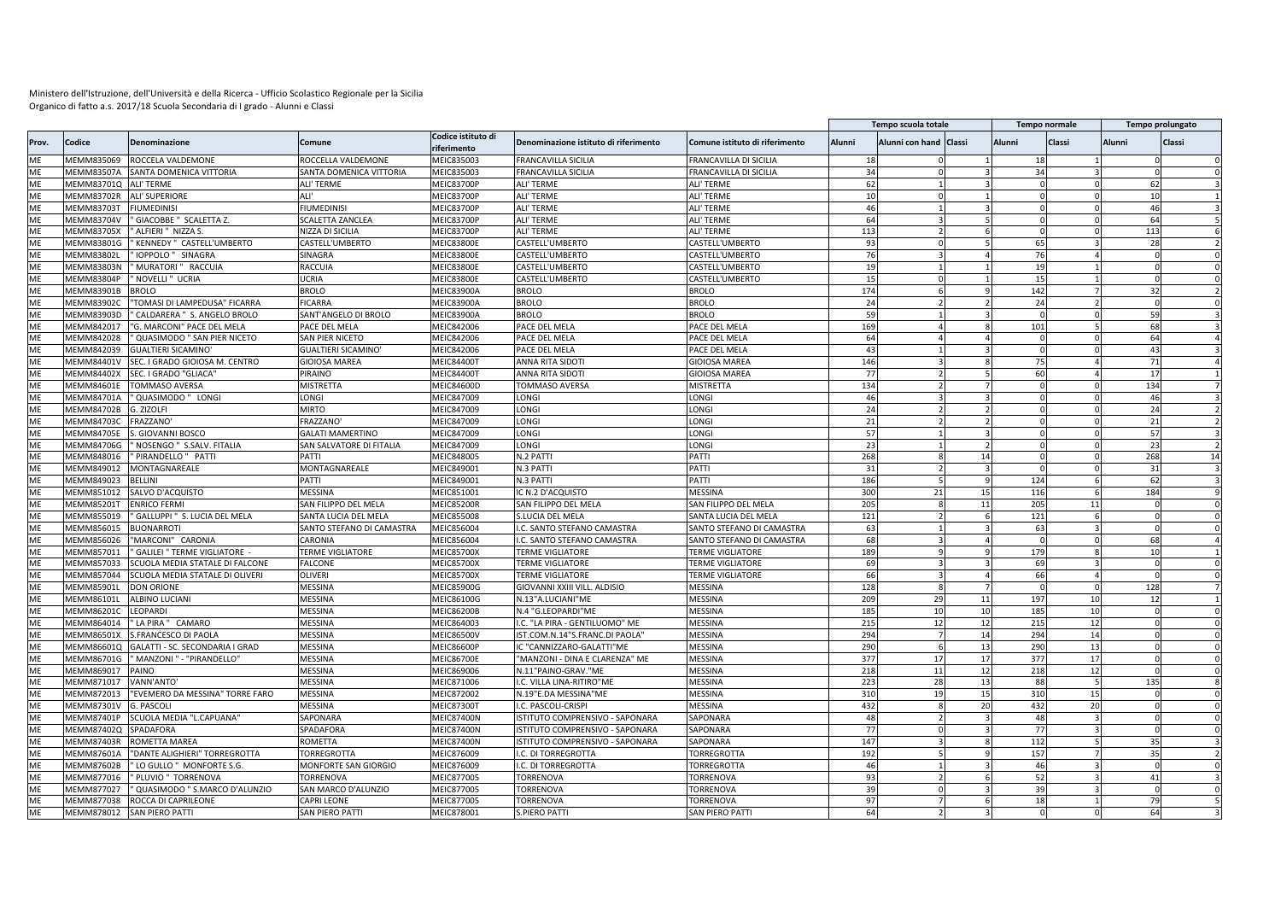|           |                   |                                 |                            |                                   |                                       |                                |        | Tempo scuola totale    |    |          | <b>Tempo normale</b> |        | Tempo prolungato |              |
|-----------|-------------------|---------------------------------|----------------------------|-----------------------------------|---------------------------------------|--------------------------------|--------|------------------------|----|----------|----------------------|--------|------------------|--------------|
| Prov.     | Codice            | Denominazione                   | Comune                     | Codice istituto di<br>riferimento | Denominazione istituto di riferimento | Comune istituto di riferimento | Alunni | Alunni con hand Classi |    | Alunni   | Classi               | Alunni | Classi           |              |
| MF        | MEMM835069        | ROCCELA VALDEMONE               | ROCCELLA VALDEMONE         | MEIC835003                        | <b>FRANCAVILLA SICILIA</b>            | FRANCAVILLA DI SICILIA         | 18     |                        |    | 18       |                      |        |                  |              |
| ME        | <b>MEMM83507A</b> | SANTA DOMENICA VITTORIA         | SANTA DOMENICA VITTORIA    | MEIC835003                        | <b>FRANCAVILLA SICILIA</b>            | FRANCAVILLA DI SICILIA         | 34     |                        |    | 34       |                      |        |                  |              |
| ME        | MEMM83701Q        | ALI' TERME                      | ALI' TERME                 | MEIC83700P                        | ALI' TERME                            | ALI' TERME                     | 62     |                        |    | $\Omega$ |                      |        | 62               |              |
| ME        | <b>MEMM83702R</b> | <b>ALI' SUPERIORE</b>           | ALI'                       | MEIC83700F                        | <b>ALI' TERME</b>                     | <b>ALI' TERME</b>              | 10     |                        |    | $\Omega$ |                      |        | 10               |              |
| ME        | MEMM83703T        | <b>FIUMEDINISI</b>              | <b>FIUMEDINISI</b>         | MEIC83700P                        | ALI' TERME                            | ALI' TERME                     | 46     |                        |    |          |                      |        | 46               |              |
| ME        | MEMM83704V        | ' GIACOBBE " SCALETTA Z.        | SCALETTA ZANCLEA           | MEIC83700F                        | ALI' TERME                            | ALI' TERME                     | 64     |                        |    | $\Omega$ |                      |        | 64               |              |
| ME        | MEMM83705X        | ALFIERI " NIZZA S.              | NIZZA DI SICILIA           | <b>MEIC83700P</b>                 | ALI' TERME                            | ALI' TERME                     | 113    |                        |    |          |                      | 113    |                  |              |
| MF        | MEMM838010        | KENNEDY " CASTELL'UMBERTO       | CASTELL'UMBERTO            | MEIC83800E                        | CASTELL'UMBERTO                       | CASTELL'UMBERTO                | 93     |                        |    | 65       |                      |        | 28               |              |
| ME        | MEMM83802L        | IOPPOLO " SINAGRA               | SINAGRA                    | MEIC83800E                        | CASTELL'UMBERTO                       | CASTELL'UMBERTO                | 76     |                        |    | 76       |                      |        |                  |              |
| ME        | MEMM83803M        | ' MURATORI " RACCUIA            | RACCUIA                    | MEIC83800E                        | CASTELL'UMBERTO                       | CASTELL'UMBERTO                | 19     |                        |    | 19       |                      |        |                  |              |
| ME        | MEMM83804F        | NOVELLI " UCRIA                 | UCRIA                      | MEIC83800E                        | CASTELL'UMBERTO                       | CASTELL'UMBERTO                | 15     |                        |    | 15       |                      |        |                  |              |
| ME        | MEMM83901E        | <b>BROLO</b>                    | <b>BROLO</b>               | MEIC83900A                        | <b>BROLO</b>                          | <b>BROLO</b>                   | 174    |                        |    | 142      |                      |        | 32               |              |
| <b>ME</b> | MEMM83902C        | "TOMASI DI LAMPEDUSA" FICARRA   | <b>FICARRA</b>             | MEIC83900A                        | <b>BROLO</b>                          | <b>BROLO</b>                   | 24     |                        |    | 24       |                      |        |                  |              |
| ME        | MEMM83903D        | CALDARERA " S. ANGELO BROLO     | SANT'ANGELO DI BROLO       | MEIC83900A                        | <b>BROLO</b>                          | <b>BROLO</b>                   | 59     |                        |    |          |                      |        | 59               |              |
| ME        | MEMM842017        | 'G. MARCONI" PACE DEL MELA      | PACE DEL MELA              | MEIC842006                        | PACE DEL MELA                         | PACE DEL MELA                  | 169    |                        |    | 101      |                      |        | 68               |              |
| ME        | MEMM842028        | QUASIMODO " SAN PIER NICETO     | SAN PIER NICETO            | MEIC842006                        | PACE DEL MELA                         | PACE DEL MELA                  | 64     |                        |    |          |                      |        | 64               |              |
| ME        | MEMM842039        | <b>GUALTIERI SICAMINO</b>       | <b>GUALTIERI SICAMINO'</b> | MEIC842006                        | PACE DEL MELA                         | PACE DEL MELA                  | 43     |                        |    | $\Omega$ |                      |        | 43               |              |
| ME        | MEMM84401\        | SEC. I GRADO GIOIOSA M. CENTRO  | GIOIOSA MAREA              | MEIC84400T                        | ANNA RITA SIDOT                       | <b>GIOIOSA MAREA</b>           | 146    |                        |    | 75       |                      |        | 71               |              |
| ME        | MEMM84402>        | SEC. I GRADO "GLIACA"           | PIRAINO                    | MEIC84400T                        | ANNA RITA SIDOT                       | GIOIOSA MAREA                  | 77     |                        |    | 60       |                      |        | 17               |              |
| ME        | <b>MEMM84601E</b> | <b>TOMMASO AVERSA</b>           | <b>MISTRETTA</b>           | <b>MEIC84600D</b>                 | TOMMASO AVERSA                        | <b>MISTRETTA</b>               | 134    |                        |    |          |                      | 134    |                  |              |
| ME        | MEMM84701A        | ' QUASIMODO " LONGI             | LONGI                      | MEIC847009                        | LONGI                                 | LONGI                          | 46     |                        |    | $\Omega$ |                      |        | 46               |              |
| ME        | MEMM84702B        | G. ZIZOLFI                      | <b>MIRTO</b>               | MEIC847009                        | LONGI                                 | LONGI                          | 24     |                        |    |          |                      |        | 24               |              |
| MF        | MEMM847030        | FRAZZANO                        | FRAZZANO'                  | MEIC847009                        | LONGI                                 | LONGI                          | 21     |                        |    |          |                      |        | 21               |              |
| <b>ME</b> | MEMM84705E        | S. GIOVANNI BOSCO               | <b>GALATI MAMERTINO</b>    | MEIC847009                        | LONGI                                 | LONGI                          | 57     |                        |    |          |                      |        | 57               |              |
|           |                   |                                 |                            |                                   |                                       |                                | 23     |                        |    | $\Omega$ |                      |        |                  |              |
| ME        | MEMM84706G        | NOSENGO " S.SALV. FITALIA       | SAN SALVATORE DI FITALIA   | MEIC847009                        | LONGI                                 | LONGI                          |        |                        |    |          |                      |        | 23               |              |
| ME        | MEMM848016        | ' PIRANDELLO " PATTI            | PATTI                      | MEIC848005                        | N.2 PATT                              | PATTI                          | 268    |                        | 14 | $\Omega$ |                      |        | 268              | 14           |
| ME        | MEMM849012        | MONTAGNAREALE                   | MONTAGNAREALE              | MEIC849001                        | N.3 PATT                              | PATTI                          | 31     |                        |    | $\Omega$ |                      |        | 31               |              |
| <b>ME</b> | MEMM849023        | <b>BELLINI</b>                  | PATTI                      | MEIC849001                        | N.3 PATTI                             | PATTI                          | 186    |                        |    | 124      |                      |        | 62               |              |
| ME        | MEMM851012        | SALVO D'ACQUISTO                | <b>MESSINA</b>             | MEIC851001                        | IC N.2 D'ACQUISTO                     | <b>MESSINA</b>                 | 300    | 21                     | 15 | 116      |                      |        | 184              |              |
| ME        | MEMM852011        | <b>ENRICO FERMI</b>             | SAN FILIPPO DEL MELA       | MEIC85200R                        | SAN FILIPPO DEL MELA                  | SAN FILIPPO DEL MELA           | 205    |                        | 11 | 205      | 11                   |        |                  |              |
| ME        | MEMM855019        | GALLUPPI " S. LUCIA DEL MELA    | SANTA LUCIA DEL MELA       | MEIC855008                        | S.LUCIA DEL MELA                      | SANTA LUCIA DEL MELA           | 121    |                        |    | 121      |                      |        |                  |              |
| ME        | MEMM856015        | <b>BUONARROTI</b>               | SANTO STEFANO DI CAMASTRA  | MEIC856004                        | I.C. SANTO STEFANO CAMASTRA           | SANTO STEFANO DI CAMASTRA      | 63     |                        |    | 63       |                      |        |                  |              |
| MF        | MEMM856026        | "MARCONI" CARONIA               | CARONIA                    | VIEIC856004                       | I.C. SANTO STEFANO CAMASTRA           | SANTO STEFANO DI CAMASTRA      | 68     |                        |    | $\Omega$ |                      |        | 68               |              |
| ME        | MEMM857011        | GALILEI " TERME VIGLIATORE      | <b>TERME VIGLIATORE</b>    | MEIC85700X                        | <b>TERME VIGLIATORE</b>               | <b>TERME VIGLIATORE</b>        | 189    |                        |    | 179      |                      |        | 10               |              |
| MF        | MEMM857033        | SCUOLA MEDIA STATALE DI FALCONE | <b>FALCONE</b>             | MEIC85700X                        | <b>TERME VIGLIATORE</b>               | <b>TERME VIGLIATORE</b>        | 69     |                        |    | 69       |                      |        |                  |              |
| ME        | MEMM857044        | SCUOLA MEDIA STATALE DI OLIVERI | OLIVERI                    | MEIC85700X                        | <b>TERME VIGLIATORE</b>               | <b>TERME VIGLIATORE</b>        | 66     |                        |    | 66       |                      |        |                  |              |
| ME        | MEMM85901L        | <b>DON ORIONE</b>               | MESSINA                    | MEIC85900G                        | GIOVANNI XXIII VILL. ALDISIO          | MESSINA                        | 128    |                        |    |          |                      |        | 128              |              |
| ME        | MEMM86101L        | ALBINO LUCIANI                  | <b>MESSINA</b>             | <b>MEIC86100G</b>                 | N.13"A.LUCIANI"ME                     | <b>MESSINA</b>                 | 209    | 29                     | 11 | 197      |                      |        | 12               |              |
| ME        | <b>MEMM86201C</b> | LEOPARDI                        | MESSINA                    | MEIC86200B                        | N.4 "G.LEOPARDI"ME                    | MESSINA                        | 185    | 10                     | 10 | 185      | 10                   |        |                  |              |
| ME        | MEMM864014        | 'LA PIRA " CAMARO               | MESSINA                    | MEIC864003                        | I.C. "LA PIRA - GENTILUOMO" ME        | MESSINA                        | 215    | 12                     | 12 | 215      | 12                   |        |                  |              |
| ME        | MEMM86501X        | S.FRANCESCO DI PAOLA            | <b>MESSINA</b>             | MEIC86500V                        | IST.COM.N.14"S.FRANC.DI PAOLA'        | MESSINA                        | 294    |                        | 14 | 294      | 14                   |        |                  |              |
| ME        | MEMM86601Q        | GALATTI - SC. SECONDARIA I GRAD | <b>MESSINA</b>             | <b>MEIC86600F</b>                 | IC "CANNIZZARO-GALATTI"ME             | MESSINA                        | 290    |                        | 13 | 290      |                      |        |                  |              |
| ME        | MEMM86701G        | " MANZONI " - "PIRANDELLO'      | MESSINA                    | <b>MEIC86700E</b>                 | "MANZONI - DINA E CLARENZA" ME        | <b>MESSINA</b>                 | 377    | 17                     | 17 | 377      | 17                   |        |                  | $\Omega$     |
| ME        | MEMM869017        | PAINO                           | <b>MESSINA</b>             | MEIC869006                        | N.11"PAINO-GRAV."ME                   | MESSINA                        | 218    | 11                     | 12 | 218      | 12                   |        |                  |              |
| ME        | MEMM871017        | VANN'ANTO'                      | MESSINA                    | MEIC871006                        | I.C. VILLA LINA-RITIRO"ME             | MESSINA                        | 223    | 28                     | 13 | 88       |                      |        | 135              | $\mathbf{R}$ |
| ME        | MEMM872013        | "EVEMERO DA MESSINA" TORRE FARO | MESSINA                    | MEIC872002                        | N.19"E.DA MESSINA"ME                  | <b>MESSINA</b>                 | 310    | 19                     | 15 | 310      | 15                   |        |                  |              |
| ME        | MEMM87301V        | <b>G. PASCOLI</b>               | MESSINA                    | MEIC87300T                        | I.C. PASCOLI-CRISPI                   | MESSINA                        | 432    |                        | 20 | 432      | 20                   |        |                  |              |
| ME        | MEMM87401P        | SCUOLA MEDIA "L.CAPUANA"        | SAPONARA                   | <b>MEIC87400N</b>                 | ISTITUTO COMPRENSIVO - SAPONARA       | SAPONARA                       | 48     |                        |    | 48       |                      |        |                  |              |
| ME        | MEMM87402C        | SPADAFORA                       | SPADAFORA                  | MEIC87400N                        | ISTITUTO COMPRENSIVO - SAPONARA       | SAPONARA                       | 77     |                        |    | 77       |                      |        |                  |              |
| MF        | MEMM87403R        | ROMETTA MAREA                   | ROMETTA                    | <b>MEIC87400N</b>                 | ISTITUTO COMPRENSIVO - SAPONARA       | SAPONARA                       | 147    |                        |    | 112      |                      |        | 35               |              |
| ME        | <b>MEMM87601A</b> | "DANTE ALIGHIERI" TORREGROTTA   | TORREGROTTA                | MEIC876009                        | I.C. DI TORREGROTTA                   | <b>TORREGROTTA</b>             | 192    |                        |    | 157      |                      |        | 35               |              |
| ME        | MEMM87602B        | ' LO GULLO " MONFORTE S.G.      | MONFORTE SAN GIORGIO       | MEIC876009                        | I.C. DI TORREGROTTA                   | <b>TORREGROTTA</b>             | 46     |                        |    | 46       |                      |        |                  |              |
| ME        | MEMM877016        | PLUVIO " TORRENOVA              | TORRENOVA                  | MEIC877005                        | TORRENOVA                             | <b>TORRENOVA</b>               | q      |                        |    | 52       |                      |        | 4 <sup>1</sup>   |              |
| ME        | MEMM877027        | QUASIMODO " S.MARCO D'ALUNZIO   | SAN MARCO D'ALUNZIO        | MEIC877005                        | TORRENOVA                             | TORRENOVA                      | 39     |                        |    | 39       |                      |        |                  |              |
| ME        | MEMM877038        | ROCCA DI CAPRILEONE             | CAPRI LEONE                | MEIC877005                        | TORRENOVA                             | TORRENOVA                      | 97     |                        |    | 18       |                      |        | 79               |              |
| ME        | MEMM878012        | <b>SAN PIERO PATTI</b>          | SAN PIERO PATTI            | MEIC878001                        | <b>S.PIERO PATTI</b>                  | SAN PIERO PATTI                | 64     |                        |    | $\Omega$ |                      |        | 64               |              |
|           |                   |                                 |                            |                                   |                                       |                                |        |                        |    |          |                      |        |                  |              |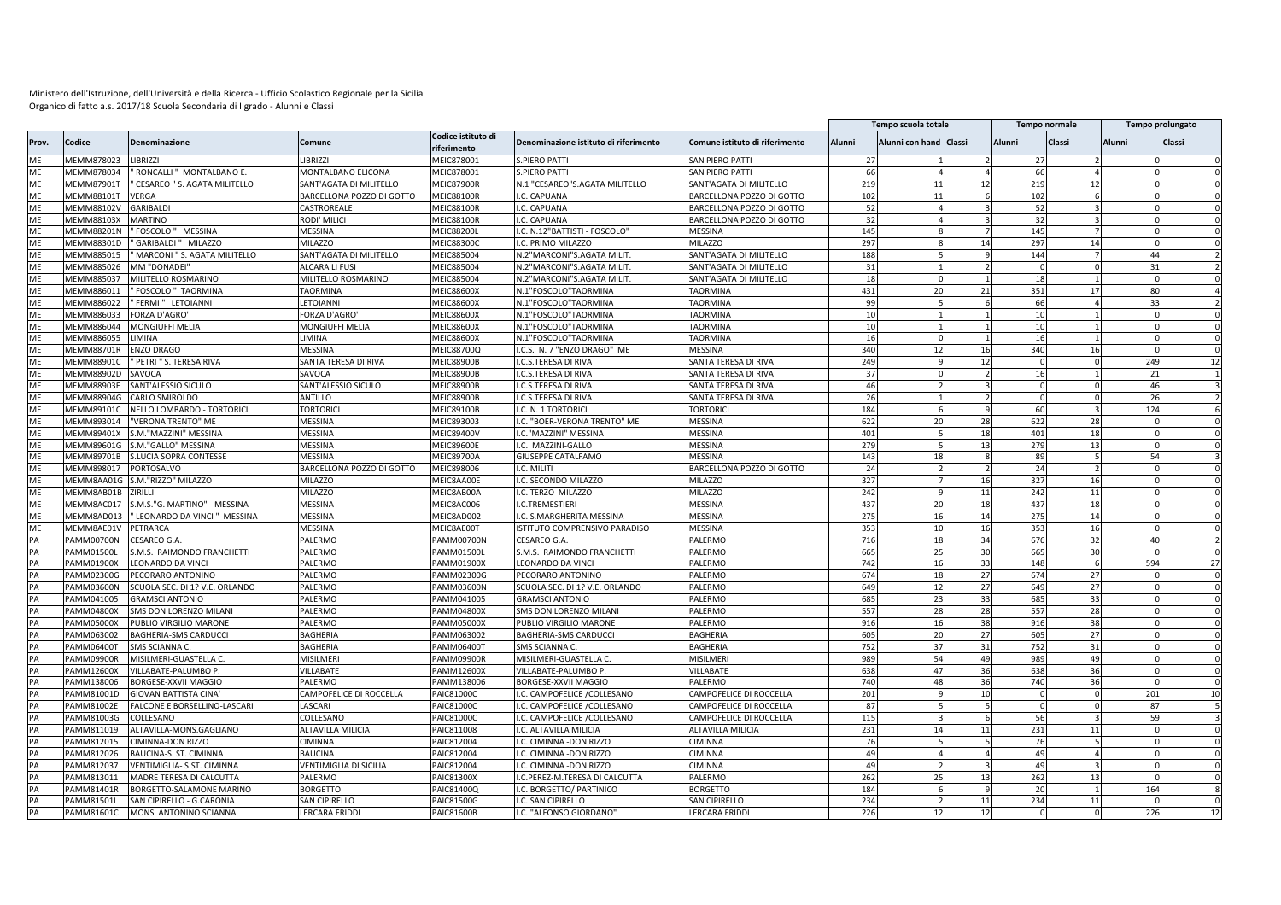|       |                   |                                 |                           |                                   |                                       |                                |        | Tempo scuola totale    |    |          | <b>Tempo normale</b> |               | Tempo prolungato               |
|-------|-------------------|---------------------------------|---------------------------|-----------------------------------|---------------------------------------|--------------------------------|--------|------------------------|----|----------|----------------------|---------------|--------------------------------|
| Prov. | Codice            | <b>Denominazione</b>            | Comune                    | Codice istituto di<br>riferimento | Denominazione istituto di riferimento | Comune istituto di riferimento | Alunni | Alunni con hand Classi |    | Alunni   | Classi               | <b>Alunni</b> | Classi                         |
| MF    | MEMM878023        | <b>LIBRIZZI</b>                 | <b>LIBRIZZI</b>           | MEIC878001                        | <b>S.PIERO PATTI</b>                  | SAN PIERO PATTI                | 27     |                        |    | 27       |                      |               |                                |
| ME    | MEMM878034        | ' RONCALLI " MONTALBANO E.      | MONTALBANO ELICONA        | MEIC878001                        | S.PIERO PATTI                         | SAN PIERO PATTI                | 66     |                        |    | 66       |                      |               | $\mathbf 0$                    |
| ME    | MEMM879011        | CESAREO " S. AGATA MILITELLO    | SANT'AGATA DI MILITELLO   | <b>MEIC87900R</b>                 | N.1 "CESAREO"S.AGATA MILITELLO        | SANT'AGATA DI MILITELLO        | 219    | 11                     | 12 | 219      | 12                   |               |                                |
| ME    | MEMM881011        | VERGA                           | BARCELLONA POZZO DI GOTTO | <b>MEIC88100R</b>                 | I.C. CAPUANA                          | BARCELLONA POZZO DI GOTTO      | 102    | 11                     |    | 102      |                      |               |                                |
| ME    | MEMM88102V        | <b>GARIBALDI</b>                | CASTROREALE               | MEIC88100R                        | I.C. CAPUANA                          | BARCELLONA POZZO DI GOTTO      | 52     |                        |    | 52       |                      |               |                                |
| ME    | MEMM88103>        | <b>MARTINO</b>                  | Rodi' Milici              | <b>MEIC88100R</b>                 | I.C. CAPUANA                          | BARCELLONA POZZO DI GOTTO      | 32     |                        |    | 32       |                      |               | $\Omega$                       |
| ME    | MEMM88201N        | FOSCOLO " MESSINA               | MESSINA                   | <b>MEIC88200L</b>                 | I.C. N.12"BATTISTI - FOSCOLO'         | MESSINA                        | 145    |                        |    | 145      |                      |               |                                |
| ME    | MEMM88301D        | ' GARIBALDI '<br><b>MILAZZO</b> | MILAZZO                   | MEIC88300C                        | I.C. PRIMO MILAZZO                    | <b>MILAZZO</b>                 | 297    |                        | 14 | 297      | 14                   |               | $\Omega$<br>$\Omega$           |
| ME    | MEMM885015        | MARCONI " S. AGATA MILITELLO    | SANT'AGATA DI MILITELLO   | <b>MEIC885004</b>                 | N.2"MARCONI"S.AGATA MILIT.            | SANT'AGATA DI MILITELLO        | 188    |                        |    | 144      |                      |               | 44                             |
| MF    | MEMM885026        | MM "DONADEI"                    | ALCARA LI FUSI            | MEIC885004                        | N.2"MARCONI"S.AGATA MILIT             | SANT'AGATA DI MILITELLO        | 31     |                        |    | $\Omega$ | $\Omega$             |               | 31<br>$\overline{\phantom{a}}$ |
| ME    | MEMM885037        | MILITELLO ROSMARINO             | MILITELLO ROSMARINO       | <b>MEIC885004</b>                 | N.2"MARCONI"S.AGATA MILIT.            | SANT'AGATA DI MILITELLO        | 18     |                        |    | 18       |                      |               |                                |
| ME    | MEMM886011        | FOSCOLO " TAORMINA              | <b>TAORMINA</b>           | MEIC88600X                        | N.1"FOSCOLO"TAORMINA                  | TAORMINA                       | 431    | 2 <sup>c</sup>         | 21 | 351      | 17                   |               | 80                             |
| ME    | MEMM886022        | FERMI" LETOIANNI                | LETOIANNI                 | MEIC88600X                        | N.1"FOSCOLO"TAORMINA                  | <b>TAORMINA</b>                | 99     |                        |    | 66       |                      |               | 33                             |
| ME    | MEMM886033        | FORZA D'AGRO'                   | FORZA D'AGRO'             | MEIC88600X                        | N.1"FOSCOLO"TAORMINA                  | TAORMINA                       | 10     |                        |    | 10       |                      |               |                                |
| ME    | MEMM886044        | MONGIUFFI MELIA                 | MONGIUFFI MELIA           | MEIC88600X                        | N.1"FOSCOLO"TAORMINA                  | <b>AORMINA</b>                 | 10     |                        |    | 10       |                      |               |                                |
| ME    | MEMM886055        | LIMINA                          | LIMINA                    | MEIC88600X                        | N.1"FOSCOLO"TAORMINA                  | TAORMINA                       | 16     |                        |    | 16       |                      |               |                                |
| ME    | MEMM88701R        | <b>ENZO DRAGO</b>               | MESSINA                   | MEIC88700Q                        | I.C.S. N. 7 "ENZO DRAGO" ME           | MESSINA                        | 340    | 12                     | 16 | 340      | 16                   |               | $\Omega$<br>$\Omega$           |
| ME    | <b>MEMM88901C</b> | ' PETRI " S. TERESA RIVA        | SANTA TERESA DI RIVA      | <b>MEIC88900B</b>                 | I.C.S.TERESA DI RIVA                  | SANTA TERESA DI RIVA           | 249    |                        | 12 |          |                      |               | 249<br>12                      |
| ME    | MEMM88902D        | SAVOCA                          | SAVOCA                    | <b>MEIC88900B</b>                 | I.C.S.TERESA DI RIVA                  | SANTA TERESA DI RIVA           | 37     |                        |    | 16       |                      |               | 21                             |
| ME    | MEMM88903E        | SANT'ALESSIO SICULO             | SANT'ALESSIO SICULO       | <b>MEIC88900B</b>                 | .C.S.TERESA DI RIVA                   | SANTA TERESA DI RIVA           | 46     |                        |    |          |                      |               | 46                             |
| ME    | <b>MEMM88904G</b> | CARLO SMIROLDO                  | <b>ANTILLO</b>            | <b>MEIC88900B</b>                 | I.C.S.TERESA DI RIVA                  | SANTA TERESA DI RIVA           | 26     |                        |    | $\Omega$ |                      |               | 26<br>$\overline{2}$           |
| ME    | MEMM89101C        | NELLO LOMBARDO - TORTORICI      | <b>TORTORIC</b>           | <b>MEIC89100B</b>                 | <b>I.C. N. 1 TORTORICI</b>            | <b>TORTORICI</b>               | 184    |                        |    | 60       |                      |               | 124                            |
| ME    | MEMM893014        | "VERONA TRENTO" ME              | <b>MESSINA</b>            | MEIC893003                        | I.C. "BOER-VERONA TRENTO" ME          | <b>MESSINA</b>                 | 622    | 20                     | 28 | 622      | 28                   |               | $\Omega$                       |
| ME    | MEMM89401X        | S.M."MAZZINI" MESSINA           | MESSINA                   | <b>MEIC89400V</b>                 | .C."MAZZINI" MESSINA                  | MESSINA                        | 401    |                        | 18 | 401      | 18                   |               | $\Omega$                       |
| ME    | MEMM89601G        | S.M."GALLO" MESSINA             | MESSINA                   | <b>MEIC89600E</b>                 | I.C. MAZZINI-GALLO                    | MESSINA                        | 279    |                        | 13 | 279      | 13                   |               | $\Omega$<br>$\Omega$           |
| ME    | MEMM89701B        | <b>S.LUCIA SOPRA CONTESSE</b>   | MESSINA                   | <b>MEIC89700A</b>                 | GIUSEPPE CATALFAMO                    | MESSINA                        | 143    | 18                     |    | 89       |                      |               | 54                             |
| ME    | MEMM898017        | PORTOSALVO                      | BARCELLONA POZZO DI GOTTO | MEIC898006                        | I.C. MILITI                           | BARCELLONA POZZO DI GOTTO      | 24     |                        |    | 24       |                      |               |                                |
| ME    | MEMM8AA01G        | S.M."RIZZO" MILAZZO             | MILAZZO                   | MEIC8AA00E                        | .C. SECONDO MILAZZO                   | MILAZZO                        | 327    |                        | 16 | 327      | 16                   |               |                                |
| ME    | MEMM8AB01E        | ZIRILLI                         | MILAZZO                   | MEIC8AB00A                        | I.C. TERZO MILAZZO                    | MILAZZO                        | 242    |                        | 11 | 242      | 11                   |               |                                |
| ME    | MEMM8AC017        | S.M.S."G. MARTINO" - MESSINA    | MESSINA                   | MEIC8AC006                        | I.C.TREMESTIERI                       | MESSINA                        | 437    | 20                     | 18 | 437      | 18                   |               |                                |
| ME    | MEMM8AD013        | " LEONARDO DA VINCI " MESSINA   | MESSINA                   | MEIC8AD002                        | I.C. S.MARGHERITA MESSINA             | MESSINA                        | 275    | 16                     | 14 | 275      | 14                   |               |                                |
| ME    | MEMM8AE01V        | PETRARCA                        | MESSINA                   | MEIC8AE00T                        | ISTITUTO COMPRENSIVO PARADISO         | MESSINA                        | 353    | 10                     | 16 | 353      | 16                   |               | $\Omega$<br>$\Omega$           |
| PA    | <b>PAMM00700N</b> | CESAREO G.A.                    | PALERMO                   | <b>PAMM00700N</b>                 | CESAREO G.A.                          | PALERMO                        | 716    | 18                     | 34 | 676      | 32                   |               | 40                             |
| PA    | PAMM01500L        | S.M.S. RAIMONDO FRANCHETTI      | PALERMO                   | PAMM01500L                        | S.M.S. RAIMONDO FRANCHETTI            | PALERMO                        | 665    | 25                     | 30 | 665      | 30                   |               | - 0<br>$\Omega$                |
| PA    | PAMM01900X        | <b>LEONARDO DA VINCI</b>        | PALERMO                   | PAMM01900X                        | LEONARDO DA VINCI                     | PALERMO                        | 742    | 16                     | 33 | 148      |                      |               | 594<br>27                      |
|       | <b>PAMM02300G</b> |                                 |                           |                                   |                                       | PALERMO                        | 674    |                        |    |          |                      |               |                                |
| PA    |                   | PECORARO ANTONINO               | PALERMO                   | PAMM02300G                        | PECORARO ANTONINO                     |                                |        | 18                     | 27 | 674      | 27                   |               | $\Omega$                       |
| PA    | PAMM03600N        | SCUOLA SEC. DI 1? V.E. ORLANDO  | PALERMO                   | <b>PAMM03600N</b>                 | SCUOLA SEC. DI 1? V.E. ORLANDO        | PALERMO                        | 649    | 12                     | 27 | 649      | 27                   |               | $\Omega$                       |
| PA    | PAMM041005        | <b>GRAMSCI ANTONIO</b>          | PALERMO                   | PAMM041005                        | <b>GRAMSCI ANTONIO</b>                | PALERMO                        | 685    | 23                     | 33 | 685      | 33                   |               | $\Omega$                       |
| PA    | PAMM04800X        | SMS DON LORENZO MILANI          | <b>ALERMO</b>             | PAMM04800X                        | SMS DON LORENZO MILANI                | PALERMO                        | 557    | 28                     | 28 | 557      | 28                   |               | $\Omega$                       |
| PA    | <b>PAMM05000X</b> | PUBLIO VIRGILIO MARONE          | PALERMO                   | PAMM05000X                        | PUBLIO VIRGILIO MARONE                | PALERMO                        | 916    | 16                     | 38 | 916      | 38                   |               | $\Omega$<br>$\Omega$           |
|       | AMM063002         | <b>BAGHERIA-SMS CARDUCCI</b>    | BAGHERIA                  | PAMM063002                        | BAGHERIA-SMS CARDUCCI                 | BAGHERIA                       | 605    | 20                     | 27 | 605      | 27                   |               | $\Omega$                       |
| PA    | PAMM06400T        | SMS SCIANNA C.                  | BAGHERIA                  | PAMM064001                        | SMS SCIANNA C                         | BAGHERIA                       | 752    | 37                     | 31 | 752      | 31                   |               |                                |
| PA    | AMM09900R         | MISILMERI-GUASTELLA C.          | MISILMERI                 | PAMM09900R                        | MISILMERI-GUASTELLA C.                | <b>MISILMER</b>                | 989    | 54                     | 49 | 989      | 49                   |               | $\Omega$                       |
| PA    | PAMM12600X        | VILLABATE-PALUMBO P             | VILLABATE                 | PAMM12600X                        | VILLABATE-PALUMBO P.                  | VILLABATE                      | 638    | 47                     | 36 | 638      | 36                   |               |                                |
| PA    | PAMM138006        | BORGESE-XXVII MAGGIO            | PALERMO                   | PAMM138006                        | BORGESE-XXVII MAGGIO                  | PALERMO                        | 740    | 48                     | 36 | 740      | 36                   |               |                                |
| PA    | PAMM81001D        | <b>GIOVAN BATTISTA CINA</b>     | CAMPOFELICE DI ROCCELLA   | PAIC81000C                        | I.C. CAMPOFELICE /COLLESANO           | CAMPOFELICE DI ROCCELLA        | 201    |                        | 10 |          |                      |               | 201<br>10                      |
| PA    | PAMM81002E        | FALCONE E BORSELLINO-LASCARI    | LASCARI                   | PAIC81000C                        | I.C. CAMPOFELICE / COLLESANO          | CAMPOFELICE DI ROCCELLA        | 87     |                        |    | $\Omega$ |                      |               | 87<br>5                        |
| PA    | PAMM81003G        | COLLESANO                       | COLLESANO                 | PAIC81000C                        | I.C. CAMPOFELICE /COLLESANO           | CAMPOFELICE DI ROCCELLA        | 115    |                        |    | 56       |                      |               | 59                             |
| PA    | PAMM811019        | ALTAVILLA-MONS.GAGLIANO         | ALTAVILLA MILICIA         | PAIC811008                        | I.C. ALTAVILLA MILICIA                | <b>ALTAVILLA MILICIA</b>       | 231    | 14                     | 11 | 231      | 11                   |               | $\Omega$<br>$\Omega$           |
| PA    | PAMM812015        | CIMINNA-DON RIZZO               | CIMINNA                   | PAIC812004                        | .C. CIMINNA -DON RIZZO                | CIMINNA                        | 76     |                        |    | 76       |                      |               |                                |
| PA    | PAMM812026        | BAUCINA-S. ST. CIMINNA          | <b>BAUCINA</b>            | PAIC812004                        | I.C. CIMINNA -DON RIZZO               | CIMINNA                        | 49     |                        |    | 49       | $\Delta$             |               | $\Omega$<br>$\Omega$           |
| PA    | PAMM812037        | VENTIMIGLIA- S.ST. CIMINNA      | VENTIMIGLIA DI SICILIA    | PAIC812004                        | I.C. CIMINNA -DON RIZZO               | <b>CIMINNA</b>                 | 49     |                        |    | 49       |                      |               | $\Omega$                       |
| PA    | PAMM813011        | MADRE TERESA DI CALCUTTA        | PALERMO                   | PAIC81300X                        | I.C.PEREZ-M.TERESA DI CALCUTTA        | PALERMO                        | 262    | 25                     | 13 | 262      | 13                   |               | $\Omega$                       |
| PA    | PAMM81401R        | BORGETTO-SALAMONE MARINO        | BORGETTO                  | PAIC81400Q                        | I.C. BORGETTO/ PARTINICO              | <b>BORGETTO</b>                | 184    |                        |    | 20       |                      |               | 164                            |
| PA    | PAMM81501L        | SAN CIPIRELLO - G.CARONIA       | SAN CIPIRELLO             | PAIC81500G                        | I.C. SAN CIPIRELLO                    | SAN CIPIRELLO                  | 234    |                        | 11 | 234      | 11                   |               |                                |
| PA    | <b>PAMM81601C</b> | MONS. ANTONINO SCIANNA          | <b>LERCARA FRIDDI</b>     | PAIC81600B                        | I.C. "ALFONSO GIORDANO"               | LERCARA FRIDDI                 | 226    | 12                     | 12 |          |                      |               | 226<br>12                      |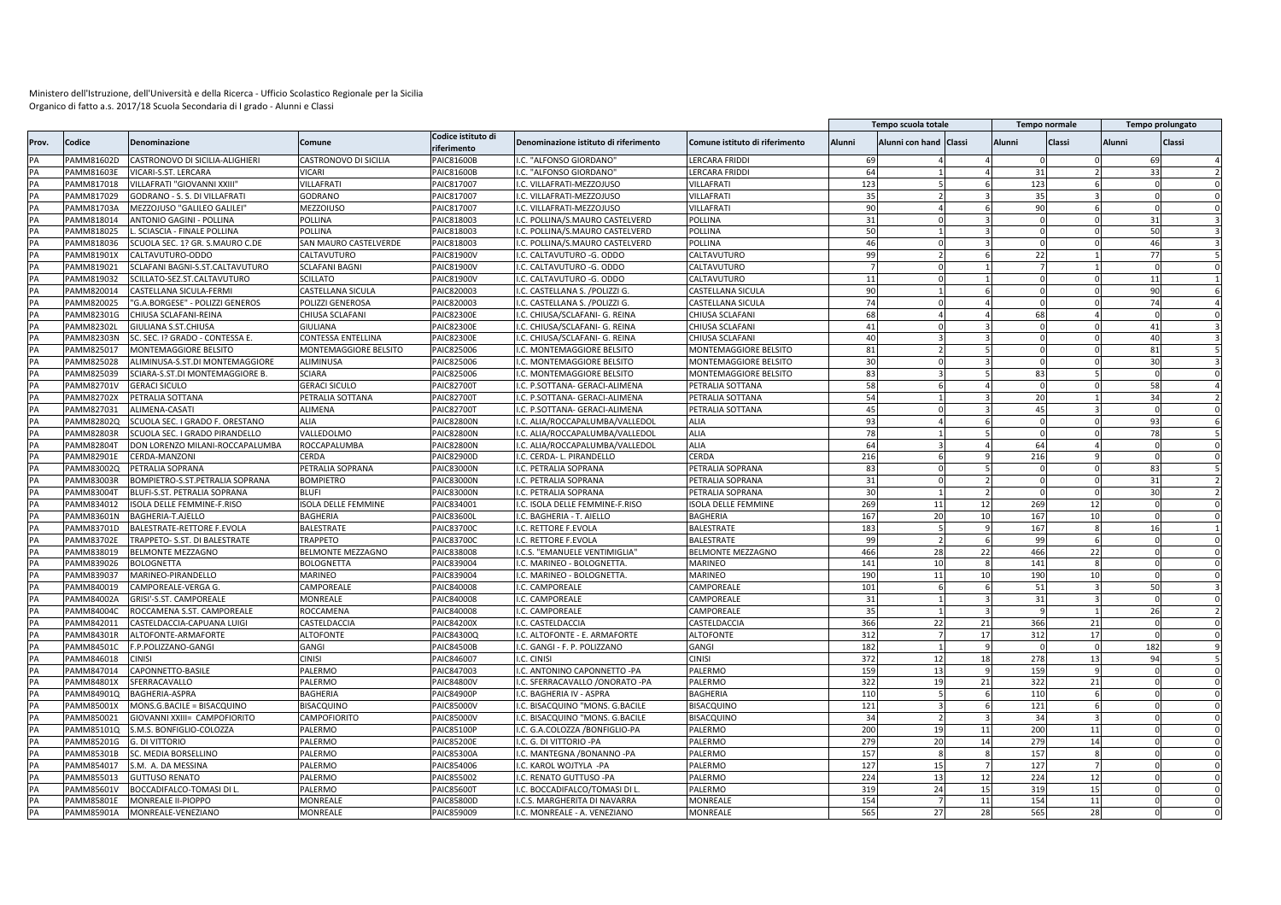|       |                   |                                      |                           |                                   |                                       |                                |           | Tempo scuola totale    |    |                | Tempo normale |               | Tempo prolungato |  |
|-------|-------------------|--------------------------------------|---------------------------|-----------------------------------|---------------------------------------|--------------------------------|-----------|------------------------|----|----------------|---------------|---------------|------------------|--|
| Prov. | Codice            | <b>Denominazione</b>                 | Comune                    | Codice istituto di<br>riferimento | Denominazione istituto di riferimento | Comune istituto di riferimento | Alunni    | Alunni con hand Classi |    | Alunni         | Classi        | <b>Alunni</b> | <b>Classi</b>    |  |
|       | AMM81602D         | CASTRONOVO DI SICILIA-ALIGHIERI      | CASTRONOVO DI SICILIA     | PAIC81600B                        | I.C. "ALFONSO GIORDANO'               | LERCARA FRIDDI                 | 69        |                        |    |                |               |               | 6 <sup>c</sup>   |  |
| PA    | PAMM81603E        | VICARI-S.ST. LERCARA                 | VICARI                    | PAIC81600B                        | I.C. "ALFONSO GIORDANO"               | LERCARA FRIDDI                 | 64        |                        |    | 31             |               |               | 33               |  |
| PA    | PAMM817018        | VILLAFRATI "GIOVANNI XXIII'          | VILLAFRATI                | PAIC817007                        | I.C. VILLAFRATI-MEZZOJUSO             | VILLAFRAT                      | 123       |                        |    | 123            |               |               |                  |  |
| PA    | PAMM817029        | GODRANO - S. S. DI VILLAFRATI        | GODRANO                   | PAIC817007                        | I.C. VILLAFRATI-MEZZOJUSO             | VILLAFRAT                      | 35        |                        |    | 35             |               |               |                  |  |
| PA    | PAMM81703A        | MEZZOJUSO "GALILEO GALILEI           | MEZZOIUSO                 | PAIC817007                        | I.C. VILLAFRATI-MEZZOJUSO             | VILLAFRAT                      | 90        |                        |    | 90             |               |               |                  |  |
| PA    | PAMM818014        | <b>ANTONIO GAGINI - POLLINA</b>      | POLLINA                   | PAIC818003                        | I.C. POLLINA/S.MAURO CASTELVERD       | POLLINA                        | 31        |                        |    | $\Omega$       |               |               | 31               |  |
| PA    | PAMM818025        | . SCIASCIA - FINALE POLLINA          | POLLINA                   | AIC818003                         | .C. POLLINA/S.MAURO CASTELVERD        | POLLINA                        | 50        |                        |    | $\Omega$       |               |               | 50               |  |
| PA    | PAMM818036        | SCUOLA SEC. 1? GR. S.MAURO C.DE      | SAN MAURO CASTELVERDE     | PAIC818003                        | I.C. POLLINA/S.MAURO CASTELVERD       | POLLINA                        | 46        |                        |    | $\Omega$       |               |               | 46               |  |
| PA    | PAMM81901X        | CALTAVUTURO-ODDO                     | CALTAVUTURO               | PAIC81900V                        | I.C. CALTAVUTURO -G. ODDO             | CALTAVUTURO                    | qq        |                        |    | 22             |               |               | 77               |  |
| PA    | PAMM819021        | SCLAFANI BAGNI-S.ST.CALTAVUTURO      | <b>SCLAFANI BAGNI</b>     | PAIC81900V                        | I.C. CALTAVUTURO - G. ODDO            | CALTAVUTURO                    |           |                        |    | $\overline{7}$ |               |               |                  |  |
| PA    | PAMM819032        | SCILLATO-SEZ.ST.CALTAVUTURO          | SCILLATO                  | AIC81900V                         | I.C. CALTAVUTURO -G. ODDO             | CALTAVUTURO                    | 11        |                        |    | $\Omega$       |               |               | 11               |  |
| PA    | PAMM820014        | CASTELLANA SICULA-FERMI              | CASTELLANA SICULA         | PAIC820003                        | I.C. CASTELLANA S. /POLIZZI G.        | CASTELLANA SICULA              | 90        |                        |    | $\Omega$       |               |               | 90               |  |
| PA    | PAMM820025        | "G.A.BORGESE" - POLIZZI GENEROS      | POLIZZI GENEROSA          | AIC820003                         | I.C. CASTELLANA S. /POLIZZI G.        | CASTELLANA SICULA              | 74        |                        |    |                |               |               | 74               |  |
| PΔ    | PAMM82301G        | CHIUSA SCLAFANI-REINA                | CHIUSA SCLAFANI           | PAIC82300E                        | I.C. CHIUSA/SCLAFANI- G. REINA        | CHIUSA SCLAFANI                | 68        |                        |    | 68             |               |               |                  |  |
|       | AMM82302L         | GIULIANA S.ST.CHIUSA                 | GIULIANA                  | AIC82300E                         | I.C. CHIUSA/SCLAFANI- G. REINA        | CHIUSA SCLAFANI                | 41        |                        |    |                |               |               | 41               |  |
| PA    | PAMM82303N        | SC. SEC. I? GRADO - CONTESSA E       | CONTESSA ENTELLINA        | PAIC82300E                        | I.C. CHIUSA/SCLAFANI- G. REINA        | CHIUSA SCLAFANI                | 40        |                        |    |                |               |               | 40               |  |
| PA    | AMM825017         | MONTEMAGGIORE BELSITO                | MONTEMAGGIORE BELSITO     | PAIC825006                        | I.C. MONTEMAGGIORE BELSITO            | MONTEMAGGIORE BELSITO          | 81        |                        |    | $\Omega$       |               |               | 81               |  |
| PΔ    | PAMM825028        | ALIMINUSA-S.ST.DI MONTEMAGGIORE      | ALIMINUSA                 | PAIC825006                        | I.C. MONTEMAGGIORE BELSITO            | MONTEMAGGIORE BELSITO          | 30        |                        |    | $\Omega$       |               |               | 30               |  |
| PA    | PAMM825039        | SCIARA-S.ST.DI MONTEMAGGIORE B       | <b>SCIARA</b>             | PAIC825006                        | I.C. MONTEMAGGIORE BELSITO            | MONTEMAGGIORE BELSITO          | 83        |                        |    | 83             |               |               |                  |  |
| PA    | PAMM82701V        | <b>GERACI SICULO</b>                 | <b>GERACI SICULO</b>      | PAIC827001                        | I.C. P.SOTTANA- GERACI-ALIMENA        | PETRALIA SOTTANA               | 58        |                        |    | $\Omega$       |               |               | 58               |  |
| PA    | PAMM82702X        | PETRALIA SOTTANA                     | PETRALIA SOTTANA          | PAIC82700T                        | I.C. P.SOTTANA- GERACI-ALIMENA        | PETRALIA SOTTANA               | 54        |                        |    | 20             |               |               | 34               |  |
| PA    | AMM827031         | <b>ALIMENA-CASATI</b>                | ALIMENA                   | PAIC827001                        | I.C. P.SOTTANA- GERACI-ALIMENA        | PETRALIA SOTTANA               | 45        |                        |    | 45             |               |               |                  |  |
| PA    | PAMM82802Q        | SCUOLA SEC. I GRADO F. ORESTANO      | ALIA                      | <b>PAIC82800N</b>                 | I.C. ALIA/ROCCAPALUMBA/VALLEDOL       | ALIA                           | 93        |                        |    | $\mathbf{0}$   |               |               | 93               |  |
| PA    | <b>PAMM82803R</b> | SCUOLA SEC. I GRADO PIRANDELLO       | VALLEDOLMO                | <b>PAIC82800N</b>                 | I.C. ALIA/ROCCAPALUMBA/VALLEDOL       | <b>ALIA</b>                    | 78        |                        |    | $\Omega$       |               |               | 78               |  |
| PA    | <b>PAMM82804T</b> | DON LORENZO MILANI-ROCCAPALUMBA      | ROCCAPALUMBA              | <b>PAIC82800N</b>                 | I.C. ALIA/ROCCAPALUMBA/VALLEDOL       | <b>ALIA</b>                    | 64        |                        |    | 64             |               |               |                  |  |
| PA    | PAMM82901E        | CERDA-MANZONI                        | CERDA                     | AIC82900D                         | I.C. CERDA- L. PIRANDELLO             | CERDA                          | 216       |                        |    | 216            |               |               |                  |  |
| PA    | PAMM83002Q        | PETRALIA SOPRANA                     | PETRALIA SOPRANA          | PAIC83000N                        | I.C. PETRALIA SOPRANA                 | PETRALIA SOPRANA               | 83        |                        |    | $\Omega$       |               |               | 83               |  |
| PA    | PAMM83003R        | BOMPIETRO-S.ST.PETRALIA SOPRANA      | <b>BOMPIETRO</b>          | AIC83000N                         | I.C. PETRALIA SOPRANA                 | PETRALIA SOPRANA               | 31        |                        |    | $\Omega$       |               |               | 31               |  |
| PA    | PAMM83004T        | BLUFI-S.ST. PETRALIA SOPRANA         | BLUFI                     | PAIC83000N                        | I.C. PETRALIA SOPRANA                 | PETRALIA SOPRANA               | 30        |                        |    | $\Omega$       |               |               | 30               |  |
|       | PAMM834012        | ISOLA DELLE FEMMINE-F.RISO           | <b>SOLA DELLE FEMMINE</b> | PAIC834001                        | I.C. ISOLA DELLE FEMMINE-F.RISO       | <b>SOLA DELLE FEMMINE</b>      | 269       | 11                     | 12 | 269            | 12            |               |                  |  |
| PA    | PAMM83601N        | BAGHERIA-T.AJELLO                    | BAGHERIA                  | PAIC83600L                        | I.C. BAGHERIA - T. AIELLO             | <b>BAGHERIA</b>                | 167       | 20                     |    | 167            | 10            |               |                  |  |
|       |                   |                                      |                           |                                   |                                       |                                |           |                        |    |                |               |               |                  |  |
| PA    | AMM83701D         | BALESTRATE-RETTORE F.EVOLA           | BALESTRATE                | PAIC837000                        | I.C. RETTORE F.EVOLA                  | <b>BALESTRATE</b>              | 183<br>99 |                        |    | 167            |               |               | 16               |  |
| PA    | PAMM83702E        | <b>TRAPPETO- S.ST. DI BALESTRATE</b> | <b>TRAPPETO</b>           | PAIC837000                        | I.C. RETTORE F.EVOLA                  | <b>BALESTRATE</b>              |           |                        |    | 99             |               |               |                  |  |
| PA    | PAMM838019        | BELMONTE MEZZAGNO                    | BELMONTE MEZZAGNO         | PAIC838008                        | I.C.S. "EMANUELE VENTIMIGLIA          | BELMONTE MEZZAGNO              | 466       | 28                     | 22 | 466            | 22            |               |                  |  |
| PA    | AMM839026         | BOLOGNETTA                           | BOLOGNETTA                | PAIC839004                        | I.C. MARINEO - BOLOGNETTA.            | MARINEO                        | 141       | 10                     |    | 141            |               |               |                  |  |
| PA    | PAMM839037        | MARINEO-PIRANDELLO                   | MARINEO                   | PAIC839004                        | I.C. MARINEO - BOLOGNETTA.            | MARINEO                        | 190       | 11                     | 10 | 190            | 10            |               |                  |  |
| PA    | PAMM840019        | CAMPOREALE-VERGA G.                  | CAMPOREALE                | PAIC840008                        | I.C. CAMPOREALE                       | CAMPOREALE                     | 101       |                        |    | 51             |               |               | 50               |  |
| PA    | PAMM84002A        | GRISI'-S.ST. CAMPOREALE              | MONREALE                  | PAIC840008                        | I.C. CAMPOREALE                       | CAMPOREALE                     | 31        |                        |    | 31             |               |               |                  |  |
| PA    | PAMM84004C        | ROCCAMENA S.ST. CAMPOREALE           | ROCCAMENA                 | PAIC840008                        | I.C. CAMPOREALE                       | CAMPOREALE                     | 35        |                        |    | 9              |               |               | 26               |  |
| PA    | PAMM842011        | CASTELDACCIA-CAPUANA LUIGI           | CASTELDACCIA              | <b>PAIC84200X</b>                 | I.C. CASTELDACCIA                     | CASTELDACCIA                   | 366       | 22                     | 21 | 366            | 21            |               |                  |  |
| PA    | PAMM84301R        | ALTOFONTE-ARMAFORTE                  | <b>ALTOFONTE</b>          | AIC84300Q                         | I.C. ALTOFONTE - E. ARMAFORTE         | <b>ALTOFONTE</b>               | 312       |                        | 17 | 312            | 17            |               |                  |  |
| PA    | <b>PAMM84501C</b> | F.P.POLIZZANO-GANGI                  | GANGI                     | AIC84500B                         | I.C. GANGI - F. P. POLIZZANO          | GANGI                          | 182       |                        |    | $\Omega$       |               |               | 182              |  |
| PA    | PAMM846018        | <b>CINISI</b>                        | <b>CINISI</b>             | AIC846007                         | I.C. CINISI                           | <b>CINISI</b>                  | 372       | 12                     | 18 | 278            | 13            |               | 94               |  |
| PA    | PAMM847014        | CAPONNETTO-BASILE                    | PALERMO                   | PAIC847003                        | I.C. ANTONINO CAPONNETTO -PA          | PALERMO                        | 159       | 13                     |    | 159            |               |               |                  |  |
| PA    | PAMM84801X        | SFERRACAVALLO                        | PALERMO                   | AIC84800V                         | I.C. SFERRACAVALLO /ONORATO -PA       | PALERMO                        | 322       | 19                     | 21 | 322            | 21            |               |                  |  |
| PA    | PAMM84901Q        | <b>BAGHERIA-ASPRA</b>                | BAGHERIA                  | PAIC84900F                        | I.C. BAGHERIA IV - ASPRA              | BAGHERIA                       | 110       |                        |    | 110            |               |               |                  |  |
| PA    | AMM85001X         | MONS.G.BACILE = BISACQUINO           | <b>BISACQUINO</b>         | PAIC85000V                        | I.C. BISACQUINO "MONS. G.BACILE       | <b>BISACQUINO</b>              | 121       |                        |    | 121            |               |               |                  |  |
|       | PAMM850021        | GIOVANNI XXIII= CAMPOFIORITO         | CAMPOFIORITO              | PAIC85000\                        | I.C. BISACQUINO "MONS. G.BACILE       | <b>BISACQUINO</b>              | 34        |                        |    | 34             |               |               |                  |  |
| PA    | AMM85101Q         | S.M.S. BONFIGLIO-COLOZZA             | PALERMO                   | PAIC85100F                        | I.C. G.A.COLOZZA /BONFIGLIO-PA        | PALERMO                        | 200       | 19                     | 11 | 200            | 11            |               |                  |  |
| PA    | PAMM85201G        | g. di vittorio                       | PALERMO                   | PAIC85200E                        | I.C. G. DI VITTORIO -PA               | PALERMO                        | 279       | 20                     | 14 | 279            |               |               |                  |  |
| PA    | AMM85301B         | SC. MEDIA BORSELLINO                 | PALERMO                   | PAIC85300A                        | I.C. MANTEGNA /BONANNO -PA            | PALERMO                        | 157       |                        |    | 157            |               |               |                  |  |
| PA    | PAMM854017        | S.M. A. DA MESSINA                   | PALERMO                   | PAIC854006                        | I.C. KAROL WOJTYLA -PA                | PALERMO                        | 127       | 15                     |    | 127            |               |               |                  |  |
| PA    | PAMM855013        | <b>GUTTUSO RENATO</b>                | PALERMO                   | PAIC855002                        | I.C. RENATO GUTTUSO -PA               | PALERMO                        | 224       | 13                     | 12 | 224            | 12            |               |                  |  |
| PA    | PAMM85601V        | BOCCADIFALCO-TOMASI DI L.            | PALERMO                   | PAIC856001                        | I.C. BOCCADIFALCO/TOMASI DI L         | PALERMO                        | 319       | 24                     | 15 | 319            | 15            |               |                  |  |
| PA    | PAMM85801E        | MONREALE II-PIOPPO                   | MONREALE                  | PAIC85800D                        | I.C.S. MARGHERITA DI NAVARRA          | MONREALE                       | 154       |                        | 11 | 154            | 11            |               |                  |  |
| PA    | PAMM85901A        | MONREALE-VENEZIANO                   | MONREALE                  | PAIC859009                        | I.C. MONREALE - A. VENEZIANO          | <b>MONREALE</b>                | 565       | 27                     | 28 | 565            | 28            |               |                  |  |
|       |                   |                                      |                           |                                   |                                       |                                |           |                        |    |                |               |               |                  |  |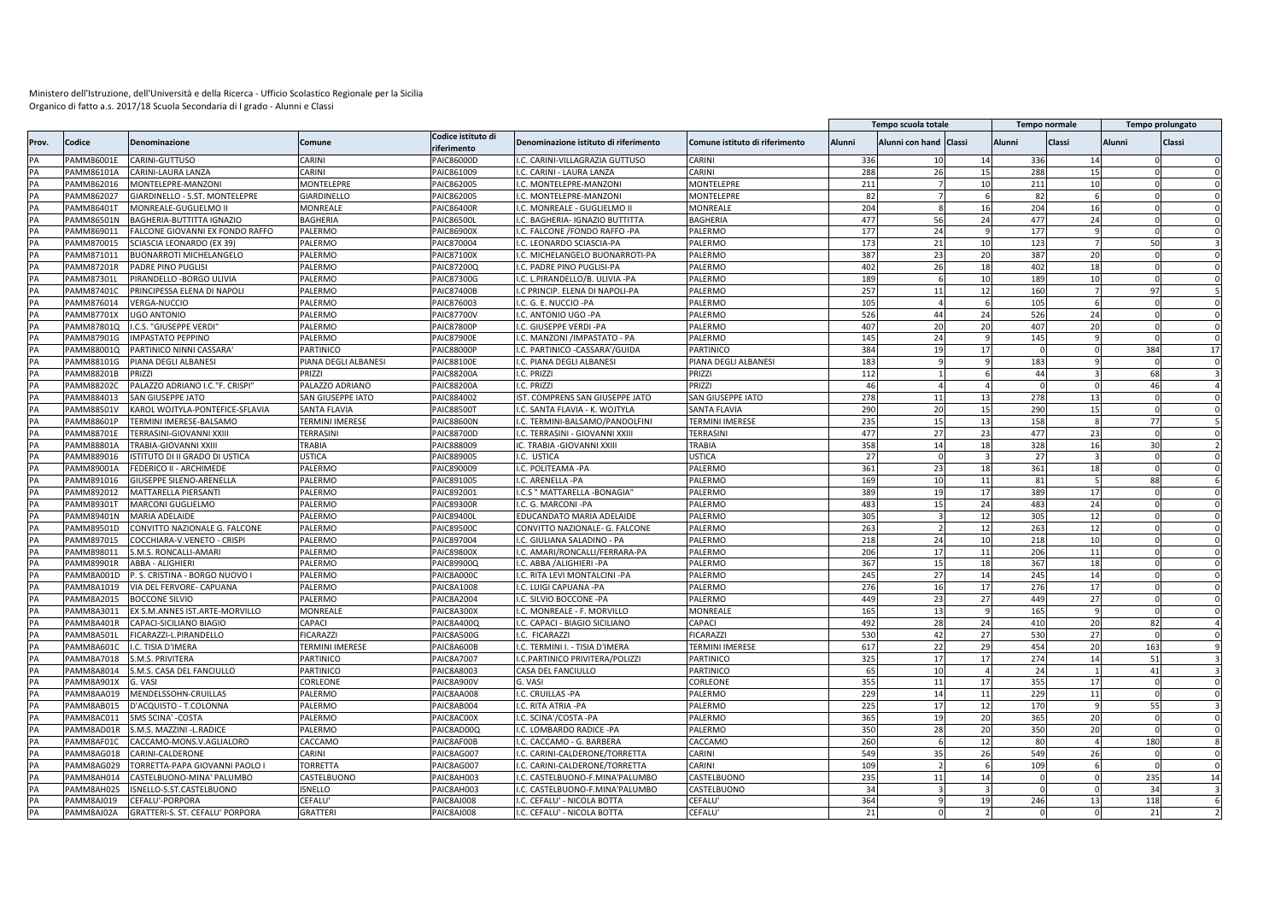|          |                   |                                                      |                        |                                   |                                       |                                |            | Tempo scuola totale    |          |                | Tempo normale |        | Tempo prolungato     |
|----------|-------------------|------------------------------------------------------|------------------------|-----------------------------------|---------------------------------------|--------------------------------|------------|------------------------|----------|----------------|---------------|--------|----------------------|
| Prov.    | Codice            | Denominazione                                        | Comune                 | Codice istituto di<br>riferimento | Denominazione istituto di riferimento | Comune istituto di riferimento | Alunni     | Alunni con hand Classi |          | Alunni         | Classi        | Alunni | Classi               |
| PA       | PAMM86001E        | CARINI-GUTTUSO                                       | CARINI                 | PAIC86000D                        | I.C. CARINI-VILLAGRAZIA GUTTUSO       | CARINI                         | 336        | 10                     | 14       | 336            | 14            |        |                      |
| PA       | PAMM86101A        | <b>CARINI-LAURA LANZA</b>                            | CARINI                 | PAIC861009                        | I.C. CARINI - LAURA LANZA             | CARINI                         | 288        | 26                     | 15       | 288            | <b>15</b>     |        | $\Omega$             |
| PA       | PAMM862016        | MONTELEPRE-MANZONI                                   | MONTELEPRE             | PAIC862005                        | I.C. MONTELEPRE-MANZONI               | MONTELEPRE                     | 211        |                        | 10       | 211            | 10            |        |                      |
| PA       | PAMM862027        | GIARDINELLO - S.ST. MONTELEPRE                       | GIARDINELLO            | PAIC862005                        | I.C. MONTELEPRE-MANZONI               | MONTELEPRE                     | 82         |                        | 6        | 82             | 6             |        |                      |
| PA       | PAMM86401T        | MONREALE-GUGLIELMO II                                | MONREALE               | PAIC86400R                        | I.C. MONREALE - GUGLIELMO II          | MONREALE                       | 204        |                        | 16       | 204            | 16            |        | $\Omega$             |
| PA       | PAMM86501N        | BAGHERIA-BUTTITTA IGNAZIO                            | BAGHERIA               | PAIC86500I                        | I.C. BAGHERIA- IGNAZIO BUTTITTA       | BAGHERIA                       | 477        | 56                     | 24       | 477            | 24            |        | $\Omega$<br>$\Omega$ |
| PA       | PAMM869011        | FALCONE GIOVANNI EX FONDO RAFFO                      | PALERMO                | PAIC86900X                        | .C. FALCONE /FONDO RAFFO -PA          | PALERMO                        | 177        | 24                     |          | 177            |               |        |                      |
| PA       | PAMM870015        | SCIASCIA LEONARDO (EX 39)                            | PALERMO                | PAIC870004                        | I.C. LEONARDO SCIASCIA-PA             | PALERMO                        | 173        | 21                     | 10       | 123            |               |        | 50                   |
| PA       | AMM871011         | <b>BUONARROTI MICHELANGELO</b>                       | PALERMO                | PAIC87100X                        | .C. MICHELANGELO BUONARROTI-PA        | PALERMO                        | 387        | 23                     | 20       | 387            | 20            |        |                      |
| PΔ       | PAMM87201R        | PADRE PINO PUGLISI                                   | PALERMO                | PAIC87200Q                        | I.C. PADRE PINO PUGLISI-PA            | PALERMO                        | 402        | 26                     | 18       | 402            | 18            |        | $\Omega$             |
|          | AMM87301L         | PIRANDELLO - BORGO ULIVIA                            | PALERMO                | PAIC87300G                        | I.C. L.PIRANDELLO/B. ULIVIA -PA       | <b>ALERMO</b>                  | 189        |                        | 10       | 189            | 10            |        |                      |
| PA       | AMM87401C         | PRINCIPESSA ELENA DI NAPOLI                          | PALERMO                | PAIC87400B                        | I.C PRINCIP. ELENA DI NAPOLI-PA       | PALERMO                        | 257        | 11                     | 12       | 160            |               |        | 97                   |
| PA       | AMM876014         | VERGA-NUCCIO                                         | PALERMO                | PAIC876003                        | I.C. G. E. NUCCIO -PA                 | PALERMO                        | 105        |                        | -6       | 105            |               |        | $\Omega$             |
| PA       | PAMM87701X        | <b>UGO ANTONIO</b>                                   | PALERMO                | PAIC87700V                        | I.C. ANTONIO UGO -PA                  | PALERMO                        | 526        | 44                     | 24       | 526            | 24            |        |                      |
| PA       | PAMM87801Q        | I.C.S. "GIUSEPPE VERDI                               | PALERMO                | <b>PAIC87800P</b>                 | I.C. GIUSEPPE VERDI -PA               | PALERMO                        | 407        | 20                     | 20       | 407            | 20            |        | $\Omega$<br>ſ        |
| PA       | PAMM87901G        | <b>IMPASTATO PEPPINO</b>                             | PALERMO                | <b>PAIC87900E</b>                 | I.C. MANZONI / IMPASTATO - PA         | PALERMO                        | 145        | 24                     |          | 145            |               |        |                      |
| PA       | PAMM88001Q        | PARTINICO NINNI CASSARA'                             | PARTINICO              | PAIC88000P                        | I.C. PARTINICO - CASSARA'/GUIDA       | PARTINICO                      | 384        | 19                     | 17       | $\overline{0}$ | $\Omega$      |        | 384<br>17            |
| PA       | PAMM88101G        | PIANA DEGLI ALBANES                                  | PIANA DEGLI ALBANESI   | PAIC88100E                        | I.C. PIANA DEGLI ALBANESI             | PIANA DEGLI ALBANESI           | 183        |                        |          | 183            |               |        |                      |
| PA       | <b>PAMM88201B</b> | PRIZZI                                               | PRIZZI                 | <b>PAIC88200A</b>                 | I.C. PRIZZI                           | PRIZZI                         | 112        |                        |          | 44             |               |        | 68                   |
| PA       | <b>PAMM88202C</b> | PALAZZO ADRIANO I.C."F. CRISPI"                      | PALAZZO ADRIANO        | <b>PAIC88200A</b>                 | I.C. PRIZZI                           | PRIZZI                         | 46         |                        |          |                |               |        | 46                   |
| PA       | PAMM884013        | SAN GIUSEPPE JATO                                    | SAN GIUSEPPE IATO      | PAIC884002                        | IST. COMPRENS SAN GIUSEPPE JATO       | SAN GIUSEPPE IATO              | 278        | 11                     | 13       | 278            | 13            |        | $\Omega$<br>$\Omega$ |
| PA       | PAMM88501V        | KAROL WOJTYLA-PONTEFICE-SFLAVIA                      | SANTA FLAVIA           | PAIC88500T                        | .C. SANTA FLAVIA - K. WOJTYLA         | SANTA FLAVIA                   | 290        | 20                     | 15       | 290            | 15            |        | $\Omega$             |
| PA       | PAMM88601P        | TERMINI IMERESE-BALSAMO                              | <b>TERMINI IMERESE</b> | <b>PAIC88600N</b>                 | I.C. TERMINI-BALSAMO/PANDOLFINI       | <b>TERMINI IMERESE</b>         | 235        | 15                     | 13       | 158            | $\mathbf{R}$  |        | 77                   |
| PA       | PAMM88701E        | TERRASINI-GIOVANNI XXIII                             | TERRASINI              | PAIC88700D                        | .C. TERRASINI - GIOVANNI XXIII        | TERRASINI                      | 477        | 27                     | 23       | 477            | 23            |        | $\Omega$             |
| PA       | PAMM88801A        | TRABIA-GIOVANNI XXII                                 | TRABIA                 | PAIC888009                        | IC. TRABIA - GIOVANNI XXIII           | TRABIA                         | 358        | 14                     | 18       | 328            | 16            |        | 30                   |
| PA       | AMM889016         | ISTITUTO DI II GRADO DI USTICA                       | USTICA                 | PAIC889005                        | I.C. USTICA                           | <b>JSTICA</b>                  | 27         |                        |          | 27             |               |        |                      |
| PA       | PAMM89001A        | FEDERICO II - ARCHIMEDE                              | PALERMO                | PAIC890009                        | I.C. POLITEAMA -PA                    | PALERMO                        | 361        | 23                     | 18       | 361            | 18            |        |                      |
| PA       | AMM891016         | GIUSEPPE SILENO-ARENELLA                             | PALERMO                | PAIC891005                        | I.C. ARENELLA -PA                     | PALERMO                        | 169        | 10                     | 11       | 81             |               |        | 88                   |
| PA       | PAMM892012        | MATTARELLA PIERSANTI                                 | PALERMO                | PAIC892001                        | I.C.S " MATTARELLA - BONAGIA"         | PALERMO                        | 389        | 19                     | 17       | 389            | 17            |        |                      |
| PA       | AMM89301T         | MARCONI GUGLIELMO                                    | PALERMO                | PAIC89300R                        | I.C. G. MARCONI -PA                   | <b>ALERMO</b>                  | 483        | 15                     | 24       | 483            | 24            |        |                      |
| PA       | PAMM89401N        | <b>MARIA ADELAIDE</b>                                | PALERMO                | PAIC89400I                        | EDUCANDATO MARIA ADELAIDI             | PALERMO                        | 305        |                        | 12       | 305            | 12            |        |                      |
| PA       | PAMM89501D        | CONVITTO NAZIONALE G. FALCONE                        | PALERMO                | PAIC89500C                        | CONVITTO NAZIONALE- G. FALCONE        | PALERMO                        | 263        |                        | 12       | 263            | 12            |        | $\Omega$             |
|          | PAMM897015        |                                                      |                        | PAIC897004                        | .C. GIULIANA SALADINO - PA            | PALERMO                        |            |                        |          |                | 10            |        |                      |
| PA<br>PA | PAMM898011        | COCCHIARA-V.VENETO - CRISPI<br>S.M.S. RONCALLI-AMARI | PALERMO<br>PALERMO     | PAIC89800X                        | I.C. AMARI/RONCALLI/FERRARA-PA        | PALERMO                        | 218<br>206 | 24<br>17               | 10<br>11 | 218<br>206     | 11            |        | $\Omega$<br>$\Omega$ |
|          |                   |                                                      |                        |                                   |                                       |                                |            |                        |          |                |               |        |                      |
| PA       | PAMM89901R        | ABBA - ALIGHIERI                                     | PALERMO                | PAIC89900Q                        | .C. ABBA /ALIGHIERI -PA               | PALERMO                        | 367        | 15                     | 18       | 367            | 18<br>14      |        | $\Omega$<br>$\Omega$ |
| PA       | PAMM8A001D        | P. S. CRISTINA - BORGO NUOVO I                       | PALERMO                | PAIC8A000C                        | I.C. RITA LEVI MONTALCINI -PA         | PALERMO                        | 245        | 27                     | 14       | 245            |               |        |                      |
| PA       | PAMM8A1019        | VIA DEL FERVORE- CAPUANA                             | PALERMO                | PAIC8A1008                        | I.C. LUIGI CAPUANA -PA                | PALERMO                        | 276        | 16                     | 17       | 276            | 17            |        | $\Omega$             |
| PA       | PAMM8A2015        | <b>BOCCONE SILVIO</b>                                | PALERMO                | PAIC8A2004                        | I.C. SILVIO BOCCONE -PA               | PALERMO                        | 449        | 23                     | 27       | 449            | 27            |        | $\Omega$             |
| PA       | PAMM8A3011        | EX S.M.ANNES IST.ARTE-MORVILLO                       | MONREALE               | PAIC8A300X                        | .C. MONREALE - F. MORVILLO            | MONREALE                       | 165        | 13                     |          | 165            |               |        | $\Omega$             |
| PA       | PAMM8A401R        | CAPACI-SICILIANO BIAGIO                              | CAPACI                 | <b>PAIC8A400Q</b>                 | I.C. CAPACI - BIAGIO SICILIANO        | CAPACI                         | 492        | 28                     | 24       | 410            | 20            |        | 82<br>$\Delta$       |
| PA       | AMM8A501L         | FICARAZZI-L.PIRANDELLO                               | <b>ICARAZZI</b>        | PAIC8A500G                        | I.C. FICARAZZI                        | <b>ICARAZZI</b>                | 530        | 42                     | 27       | 530            | 27            |        |                      |
| PA       | PAMM8A601C        | .C. TISIA D'IMERA                                    | TERMINI IMERESE        | PAIC8A600B                        | I.C. TERMINI I. - TISIA D'IMERA       | <b><i>FERMINI IMERESE</i></b>  | 617        | 22                     | 29       | 454            | 20            |        | 163                  |
| PA       | PAMM8A7018        | S.M.S. PRIVITERA                                     | PARTINICO              | <b>PAIC8A7007</b>                 | I.C.PARTINICO PRIVITERA/POLIZZI       | PARTINICO                      | 325        | 17                     | 17       | 274            | 14            |        | 51<br>$\mathbf{3}$   |
| PA       | PAMM8A8014        | S.M.S. CASA DEL FANCIULLO                            | PARTINICO              | PAIC8A8003                        | CASA DEL FANCIULLO                    | PARTINICO                      | 65         | 10                     |          | 24             |               |        | 41                   |
| PA       | AMM8A901X         | G. VASI                                              | CORLEONE               | PAIC8A900V                        | G. VASI                               | CORLEONE                       | 355        | 11                     | 17       | 355            | 17            |        | $\Omega$             |
| PA       | PAMM8AA019        | MENDELSSOHN-CRUILLAS                                 | PALERMO                | PAIC8AA008                        | I.C. CRUILLAS -PA                     | PALERMO                        | 229        | 14                     | 11       | 229            | 11            |        | $\Omega$             |
| PA       | PAMM8AB015        | D'ACQUISTO - T.COLONNA                               | PALERMO                | PAIC8AB004                        | I.C. RITA ATRIA -PA                   | PALERMO                        | 225        | 17                     | 12       | 170            | q             |        | 55<br>$\mathbf{R}$   |
| PA       | PAMM8AC011        | <b>SMS SCINA' - COSTA</b>                            | PALERMO                | PAIC8AC00X                        | I.C. SCINA'/COSTA -PA                 | PALERMO                        | 365        | 19                     | 20       | 365            | 20            |        |                      |
| PA       | PAMM8AD01R        | S.M.S. MAZZINI - L.RADICE                            | PALERMO                | PAIC8AD00C                        | I.C. LOMBARDO RADICE -PA              | PALERMO                        | 350        | 28                     | 20       | 350            | 20            |        | $\Omega$<br>$\Omega$ |
| PA       | PAMM8AF01C        | CACCAMO-MONS.V.AGLIALORO                             | CACCAMO                | PAIC8AF00B                        | .C. CACCAMO - G. BARBERA              | CACCAMO                        | 260        |                        | 12       | 80             |               |        | 180<br>8             |
| PA       | PAMM8AG018        | CARINI-CALDERONE                                     | CARINI                 | PAIC8AG007                        | I.C. CARINI-CALDERONE/TORRETTA        | CARINI                         | 549        | 35                     | 26       | 549            | 26            |        | $\Omega$<br>$\Omega$ |
| PA       | PAMM8AG029        | TORRETTA-PAPA GIOVANNI PAOLO I                       | <b>TORRETTA</b>        | PAIC8AG007                        | .C. CARINI-CALDERONE/TORRETTA         | CARINI                         | 109        |                        |          | 109            |               |        | $\Omega$             |
| PA       | PAMM8AH014        | CASTELBUONO-MINA' PALUMBO                            | CASTELBUONO            | PAIC8AH003                        | I.C. CASTELBUONO-F.MINA'PALUMBO       | CASTELBUONO                    | 235        | 11                     | 14       |                |               |        | 235<br>14            |
| PA       | PAMM8AH025        | ISNELLO-S.ST.CASTELBUONO                             | <b>ISNELLO</b>         | PAIC8AH003                        | .C. CASTELBUONO-F.MINA'PALUMBO        | CASTELBUONO                    | 34         |                        |          |                |               |        | 34                   |
| PA       | PAMM8AJ019        | CEFALU'-PORPORA                                      | CEFALU                 | PAIC8AJ008                        | I.C. CEFALU' - NICOLA BOTTA           | CEFALU <sup>®</sup>            | 364        |                        | 19       | 246            | 13            |        | 118                  |
| PA       | PAMM8AJ02A        | GRATTERI-S. ST. CEFALU' PORPORA                      | GRATTERI               | PAIC8AJ008                        | I.C. CEFALU' - NICOLA BOTTA           | CEFALU <sup>®</sup>            | 21         |                        |          |                |               |        | 21                   |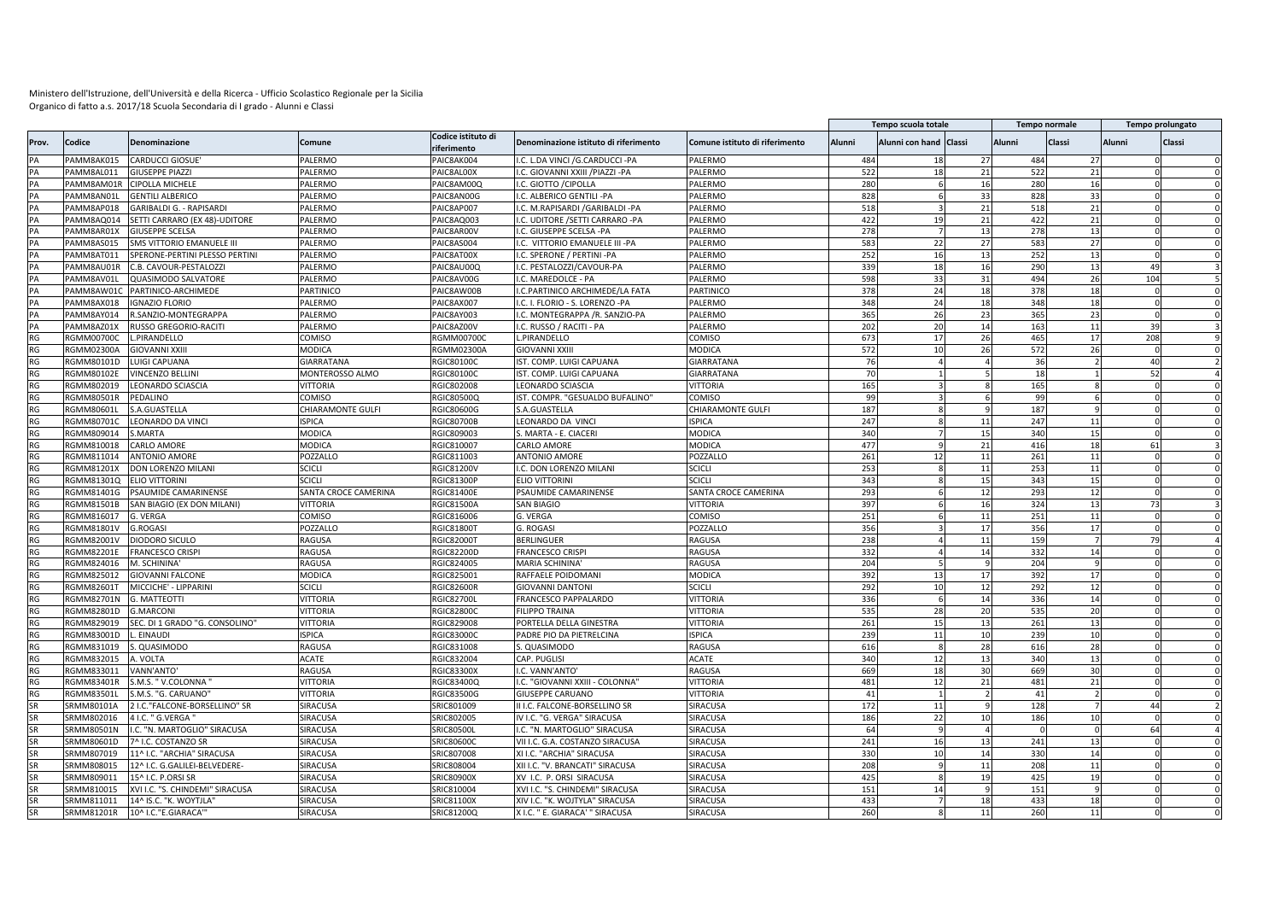|                 |                   |                                  |                      |                                   |                                       |                                |        | Tempo scuola totale    |    |               | Tempo normale |        | Tempo prolungato     |
|-----------------|-------------------|----------------------------------|----------------------|-----------------------------------|---------------------------------------|--------------------------------|--------|------------------------|----|---------------|---------------|--------|----------------------|
| Prov            | Codice            | Denominazione                    | Comune               | Codice istituto di<br>riferimento | Denominazione istituto di riferimento | Comune istituto di riferimento | Alunni | Alunni con hand Classi |    | <b>Alunni</b> | Classi        | Alunni | Classi               |
| PA              | PAMM8AK015        | <b>CARDUCCI GIOSUE</b>           | PALERMO              | PAIC8AK004                        | I.C. L.DA VINCI / G.CARDUCCI - PA     | PALERMO                        | 484    | 18                     | 27 | 484           | 27            |        |                      |
| PA              | PAMM8AL011        | <b>GIUSEPPE PIAZZI</b>           | PALERMO              | PAIC8AL00X                        | I.C. GIOVANNI XXIII /PIAZZI -PA       | PALERMO                        | 522    | 18                     | 21 | 522           | 21            |        | $\Omega$<br>$\Omega$ |
|                 | PAMM8AM01R        | <b>CIPOLLA MICHELE</b>           | <b>PALERMO</b>       | PAIC8AM00Q                        | I.C. GIOTTO /CIPOLLA                  | PALERMO                        | 280    |                        | 16 | 280           | 16            |        |                      |
| PA              | PAMM8AN01         | <b>GENTILI ALBERICO</b>          | PALERMO              | PAIC8AN00G                        | I.C. ALBERICO GENTILI -PA             | PALERMO                        | 828    |                        | 33 | 828           | 33            |        |                      |
| PA              | PAMM8AP018        | <b>GARIBALDI G. - RAPISARDI</b>  | PALERMO              | PAIC8AP007                        | .C. M.RAPISARDI /GARIBALDI -PA        | PALERMO                        | 518    |                        | 21 | 518           | 21            |        | $\Omega$             |
| PA              | PAMM8AQ014        | SETTI CARRARO (EX 48)-UDITORE    | PALERMO              | PAIC8AQ003                        | I.C. UDITORE / SETTI CARRARO - PA     | PALERMO                        | 422    | 19                     | 21 | 422           | 21            |        | $\Omega$             |
| PA              | PAMM8AR01X        | <b>GIUSEPPE SCELSA</b>           | PALERMO              | PAIC8AR00V                        | I.C. GIUSEPPE SCELSA -PA              | PALERMO                        | 278    |                        | 13 | 278           | 13            |        | $\Omega$             |
| PA              | PAMM8AS015        | <b>SMS VITTORIO EMANUELE III</b> | PALERMO              | PAIC8AS004                        | I.C. VITTORIO EMANUELE III -PA        | PALERMO                        | 583    | 22                     | 27 | 583           | 27            |        | $\Omega$             |
| PA              | PAMM8AT011        | SPERONE-PERTINI PLESSO PERTINI   | PALERMO              | PAIC8AT00X                        | .C. SPERONE / PERTINI -PA             | PALERMO                        | 252    | 16                     | 13 | 252           | 13            |        | $\Omega$             |
| PA              | PAMM8AU01R        | C.B. CAVOUR-PESTALOZZI           | PALERMO              | PAIC8AU00Q                        | I.C. PESTALOZZI/CAVOUR-PA             | PALERMO                        | 339    | 18                     | 16 | 290           | 13            |        | 49                   |
|                 | PAMM8AV01L        | <b>QUASIMODO SALVATORE</b>       | PALERMO              | PAIC8AV00G                        | .C. MAREDOLCE - PA                    | <b>ALERMO</b>                  | 598    | 33                     | 31 | 494           | 26            |        | 104                  |
| PA              | PAMM8AW01         | PARTINICO-ARCHIMEDE              | PARTINICO            | PAIC8AW00B                        | .C.PARTINICO ARCHIMEDE/LA FATA        | PARTINICC                      | 378    | 24                     | 18 | 378           | 18            |        |                      |
|                 | PAMM8AX018        | <b>IGNAZIO FLORIO</b>            | PALERMO              | PAIC8AX007                        | I.C. I. FLORIO - S. LORENZO -PA       | <b>ALERMO</b>                  | 348    | 24                     | 18 | 348           | 18            |        |                      |
|                 | PAMM8AY014        | R.SANZIO-MONTEGRAPPA             | PALERMO              | PAIC8AY003                        | .C. MONTEGRAPPA /R. SANZIO-PA         | <b>ALERMO</b>                  | 365    | 26                     | 23 | 365           | 23            |        |                      |
| PA              | PAMM8AZ01X        | RUSSO GREGORIO-RACITI            | PALERMO              | PAIC8AZ00V                        | I.C. RUSSO / RACITI - PA              | <b>ALERMO</b>                  | 202    | 20                     | 14 | 163           | 11            |        | 39                   |
| <b>RG</b>       | <b>RGMM00700C</b> | .PIRANDELLO                      | COMISO               | RGMM00700C                        | L.PIRANDELLO                          | COMISO                         | 673    | 17                     | 26 | 465           | 17            |        | 208                  |
| <b>RG</b>       | RGMM02300A        | <b>GIOVANNI XXIII</b>            | MODICA               | RGMM02300A                        | GIOVANNI XXIII                        | MODICA                         | 572    | 10                     | 26 | 572           | 26            |        | $\Omega$<br>$\Omega$ |
| RG              | RGMM80101D        | LUIGI CAPUANA                    | GIARRATANA           | RGIC80100C                        | IST. COMP. LUIGI CAPUANA              | <b>GIARRATANA</b>              | 76     |                        |    | 36            |               |        | 4(                   |
| RG              | <b>RGMM80102E</b> | <b>VINCENZO BELLIN</b>           | MONTEROSSO ALMO      | RGIC80100C                        | IST. COMP. LUIGI CAPUANA              | GIARRATANA                     | 70     |                        |    | 18            |               |        | 52                   |
| RG              | RGMM802019        | LEONARDO SCIASCIA                | VITTORIA             | RGIC802008                        | LEONARDO SCIASCIA                     | <b>JITTORIA</b>                | 165    |                        |    | 165           |               |        |                      |
| <b>RG</b>       | <b>RGMM80501R</b> | PEDALINO                         | COMISO               | RGIC80500Q                        | IST. COMPR. "GESUALDO BUFALINO"       | COMISO                         | 99     |                        | 6  | 99            |               |        | $\Omega$<br>$\Omega$ |
| RG              | RGMM80601L        | S.A.GUASTELLA                    | CHIARAMONTE GULFI    | RGIC80600G                        | S.A.GUASTELLA                         | CHIARAMONTE GULFI              | 187    |                        |    | 187           |               |        |                      |
| RG              | RGMM80701C        | LEONARDO DA VINCI                | <b>ISPICA</b>        | <b>RGIC80700B</b>                 | LEONARDO DA VINC                      | <b>ISPICA</b>                  | 247    |                        | 11 | 247           | 11            |        | $\Omega$             |
| RG              | RGMM809014        | S.MARTA                          | MODICA               | RGIC809003                        | S. MARTA - E. CIACERI                 | <b>MODICA</b>                  | 340    |                        | 15 | 340           | 15            |        | $\Omega$             |
| <b>RG</b>       | RGMM810018        | <b>CARLO AMORE</b>               | MODICA               | RGIC810007                        | CARLO AMORE                           | <b>MODICA</b>                  | 477    |                        | 21 | 416           | 18            |        | 61<br>$\mathbf{a}$   |
| RG              | RGMM811014        | <b>ANTONIO AMORE</b>             | POZZALLO             | RGIC811003                        | <b>ANTONIO AMORE</b>                  | POZZALLO                       | 261    | 12                     | 11 | 261           | 11            |        | $\Omega$             |
| RG              | RGMM81201X        | DON LORENZO MILANI               | <b>SCICLI</b>        | RGIC81200V                        | I.C. DON LORENZO MILANI               | <b>SCICLI</b>                  | 253    |                        | 11 | 253           | 11            |        | $\Omega$             |
| RG              | RGMM81301Q        | <b>ELIO VITTORINI</b>            | SCICLI               | <b>RGIC81300P</b>                 | ELIO VITTORINI                        | SCICLI                         | 343    |                        | 15 | 343           | 15            |        |                      |
| RG              | RGMM81401G        |                                  |                      |                                   | PSAUMIDE CAMARINENSE                  |                                |        |                        |    | 293           | 12            |        |                      |
|                 |                   | PSAUMIDE CAMARINENSE             | SANTA CROCE CAMERINA | RGIC81400E                        |                                       | SANTA CROCE CAMERINA           | 293    |                        | 12 |               |               |        |                      |
| RG              | RGMM81501B        | SAN BIAGIO (EX DON MILANI)       | VITTORIA             | <b>RGIC81500A</b>                 | SAN BIAGIO                            | <b>JITTORIA</b>                | 397    |                        | 16 | 324           | 13            |        | 73                   |
| RG<br><b>RG</b> | RGMM816017        | G. VERGA                         | COMISO               | RGIC816006                        | G. VERGA                              | COMISO                         | 251    |                        | 11 | 251           | 11            |        |                      |
|                 | <b>RGMM81801V</b> | G.ROGASI                         | POZZALLO             | RGIC818001                        | G. ROGASI                             | <b>POZZALLO</b>                | 356    |                        | 17 | 356           | 17            |        | $\Omega$             |
| RG              | <b>RGMM82001V</b> | DIODORO SICULO                   | RAGUSA               | RGIC820001                        | BERLINGUER                            | RAGUSA                         | 238    |                        | 11 | 159           |               |        | 79                   |
| RG              | <b>RGMM82201E</b> | <b>FRANCESCO CRISPI</b>          | RAGUSA               | <b>RGIC82200D</b>                 | FRANCESCO CRISPI                      | RAGUSA                         | 332    |                        | 14 | 332           | 14            |        |                      |
| RG              | RGMM824016        | M. SCHININA                      | RAGUSA               | RGIC824005                        | <b>MARIA SCHININA</b>                 | RAGUSA                         | 204    |                        |    | 204           |               |        |                      |
| <b>RG</b>       | RGMM825012        | <b>GIOVANNI FALCONE</b>          | MODICA               | RGIC825001                        | RAFFAELE POIDOMANI                    | <b>MODICA</b>                  | 392    | 13                     | 17 | 392           | 17            |        | $\Omega$             |
| RG              | <b>RGMM82601T</b> | MICCICHE' - LIPPARINI            | <b>SCICLI</b>        | <b>RGIC82600R</b>                 | <b>GIOVANNI DANTONI</b>               | <b>SCICLI</b>                  | 292    | 10                     | 12 | 292           | 12            |        |                      |
| RG              | <b>RGMM82701N</b> | <b>G. MATTEOTTI</b>              | VITTORIA             | RGIC82700I                        | FRANCESCO PAPPALARDO                  | <b>JITTORIA</b>                | 336    | 6                      | 14 | 336           | 14            |        | $\Omega$             |
| RG              | RGMM82801D        | <b>G.MARCONI</b>                 | VITTORIA             | <b>RGIC828000</b>                 | <b>FILIPPO TRAINA</b>                 | <b>JITTORIA</b>                | 535    | 28                     | 20 | 535           | 20            |        |                      |
| RG              | RGMM829019        | SEC. DI 1 GRADO "G. CONSOLINO"   | VITTORIA             | RGIC829008                        | PORTELLA DELLA GINESTRA               | VITTORIA                       | 261    | 15                     | 13 | 261           | 13            |        | $\Omega$             |
| RG              | RGMM83001D        | EINAUDI                          | <b>ISPICA</b>        | <b>RGIC83000C</b>                 | PADRE PIO DA PIETRELCINA              | SPICA                          | 239    | 11                     | 10 | 239           | 10            |        | $\Omega$             |
| RG              | RGMM831019        | S. QUASIMODO                     | RAGUSA               | RGIC831008                        | S. QUASIMODO                          | RAGUSA                         | 616    | $\mathbf{R}$           | 28 | 616           | 28            |        | $\Omega$<br>$\Omega$ |
| RG              | RGMM832015        | A. VOLTA                         | ACATE                | RGIC832004                        | CAP. PUGLISI                          | <b>ACATE</b>                   | 340    | 12                     | 13 | 340           | 13            |        | $\Omega$             |
| <b>RG</b>       | RGMM833011        | VANN'ANTO'                       | RAGUSA               | <b>RGIC83300X</b>                 | I.C. VANN'ANTO'                       | RAGUSA                         | 669    | 18                     | 30 | 669           | 30            |        | $\Omega$             |
| RG              | RGMM83401R        | S.M.S. " V.COLONNA "             | VITTORIA             | RGIC83400Q                        | I.C. "GIOVANNI XXIII - COLONNA"       | VITTORIA                       | 481    | 12                     | 21 | 481           | 21            |        | $\Omega$             |
| RG              | RGMM83501L        | S.M.S. "G. CARUANO"              | VITTORIA             | RGIC83500G                        | GIUSEPPE CARUANO                      | <b>VITTORIA</b>                | 41     |                        |    | 41            |               |        | $\Omega$             |
|                 | SRMM80101A        | 2 I.C."FALCONE-BORSELLINO" SR    | <b>SIRACUSA</b>      | SRIC801009                        | II I.C. FALCONE-BORSELLINO SR         | SIRACUSA                       | 172    | 11                     |    | 128           |               |        | 44                   |
|                 | SRMM802016        | 4 I.C. " G.VERGA                 | <b>SIRACUSA</b>      | SRIC802005                        | IV I.C. "G. VERGA" SIRACUSA           | SIRACUSA                       | 186    | 22                     | 10 | 186           | 10            |        |                      |
|                 | SRMM80501N        | I.C. "N. MARTOGLIO" SIRACUSA     | <b>SIRACUSA</b>      | <b>SRIC80500I</b>                 | I.C. "N. MARTOGLIO" SIRACUSA          | SIRACUSA                       | 64     |                        |    |               |               |        | 64                   |
| SR              | SRMM80601D        | 7^ I.C. COSTANZO SR              | SIRACUSA             | SRIC806000                        | VII I.C. G.A. COSTANZO SIRACUSA       | SIRACUSA                       | 241    | 16                     | 13 | 241           | 13            |        |                      |
|                 | SRMM807019        | 11^ I.C. "ARCHIA" SIRACUSA       | <b>SIRACUSA</b>      | SRIC807008                        | XI I.C. "ARCHIA" SIRACUSA             | SIRACUSA                       | 330    | 10                     | 14 | 330           | 14            |        | $\Omega$             |
| SR              | SRMM808015        | 12^ I.C. G.GALILEI-BELVEDERE·    | <b>SIRACUSA</b>      | SRIC808004                        | XII I.C. "V. BRANCATI" SIRACUSA       | SIRACUSA                       | 208    |                        | 11 | 208           | 11            |        |                      |
| SR              | SRMM809011        | 15^ I.C. P.ORSI SR               | <b>SIRACUSA</b>      | SRIC80900X                        | XV I.C. P. ORSI SIRACUSA              | SIRACUSA                       | 425    |                        | 19 | 425           | 19            |        | $\Omega$             |
| SR              | SRMM810015        | XVI I.C. "S. CHINDEMI" SIRACUSA  | <b>SIRACUSA</b>      | SRIC810004                        | XVI I.C. "S. CHINDEMI" SIRACUSA       | SIRACUSA                       | 151    | 14                     |    | 151           |               |        |                      |
| SR              | SRMM811011        | 14^ IS.C. "K. WOYTJLA'           | <b>SIRACUSA</b>      | SRIC81100X                        | XIV I.C. "K. WOJTYLA" SIRACUSA        | <b>SIRACUSA</b>                | 433    |                        | 18 | 433           | 18            |        | $\Omega$             |
| SR              | SRMM81201R        | 10^ I.C."E.GIARACA'              | <b>SIRACUSA</b>      | SRIC81200Q                        | X I.C. " E. GIARACA' " SIRACUSA       | SIRACUSA                       | 260    |                        | 11 | 260           | 11            |        |                      |
|                 |                   |                                  |                      |                                   |                                       |                                |        |                        |    |               |               |        |                      |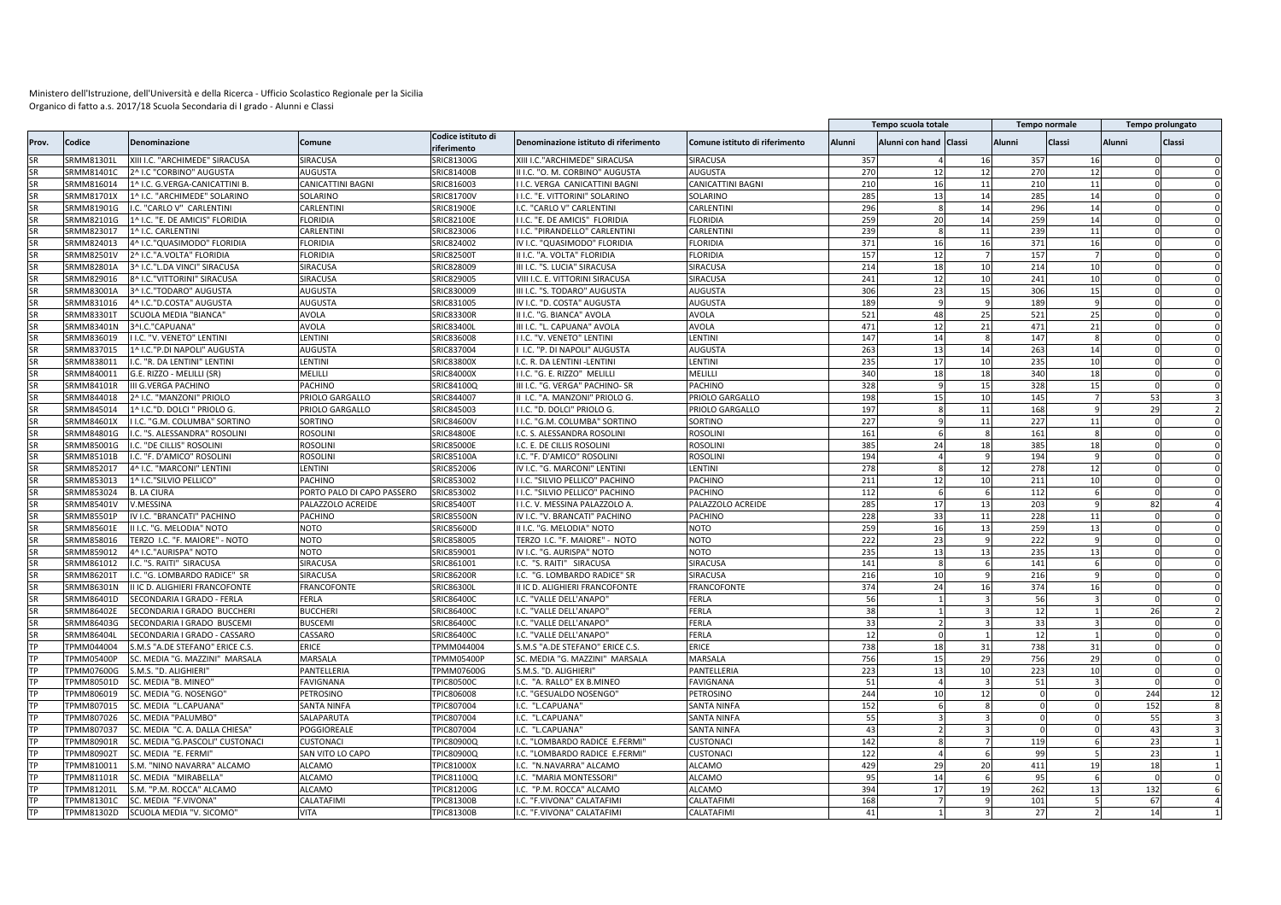|                 |                   |                                 |                            |                                   |                                       |                                |               | Tempo scuola totale    |        |          | Tempo normale   |        | Tempo prolungato |
|-----------------|-------------------|---------------------------------|----------------------------|-----------------------------------|---------------------------------------|--------------------------------|---------------|------------------------|--------|----------|-----------------|--------|------------------|
| Prov.           | Codice            | <b>Denominazione</b>            | Comune                     | Codice istituto di<br>riferimento | Denominazione istituto di riferimento | Comune istituto di riferimento | <b>Alunni</b> | Alunni con hand Classi |        | Alunni   | Classi          | Alunni | <b>Classi</b>    |
|                 | <b>SRMM81301L</b> | XIII I.C. "ARCHIMEDE" SIRACUSA  | SIRACUSA                   | SRIC81300G                        | XIII I.C. "ARCHIMEDE" SIRACUSA        | SIRACUSA                       | 357           |                        | 16     | 357      | 16              |        |                  |
|                 | SRMM81401C        | 2^ I.C "CORBINO" AUGUSTA        | AUGUSTA                    | SRIC81400B                        | II I.C. "O. M. CORBINO" AUGUSTA       | <b>AUGUSTA</b>                 | 270           | 12                     | 12     | 270      | 12              |        |                  |
|                 | SRMM816014        | 1^ I.C. G.VERGA-CANICATTINI B   | CANICATTINI BAGNI          | SRIC816003                        | I.C. VERGA CANICATTINI BAGNI          | CANICATTINI BAGNI              | 210           | 16                     | $11\,$ | 210      | 11              |        |                  |
|                 | SRMM81701X        | 1^ I.C. "ARCHIMEDE" SOLARINO    | SOLARINO                   | SRIC81700V                        | I I.C. "E. VITTORINI" SOLARINO        | SOLARINO                       | 285           | 13                     | 14     | 285      | 14              |        |                  |
| <b>SR</b>       | SRMM81901G        | I.C. "CARLO V" CARLENTINI       | CARLENTIN                  | SRIC81900E                        | .C. "CARLO V" CARLENTINI              | CARLENTIN                      | 296           |                        | 14     | 296      | 14              |        |                  |
| <b>SR</b>       | SRMM82101G        | 1^ I.C. "E. DE AMICIS" FLORIDIA | <b>ELORIDIA</b>            | SRIC82100E                        | I I.C. "E. DE AMICIS" FLORIDIA        | <b>FLORIDIA</b>                | 259           | 20                     | 14     | 259      | 14              |        |                  |
|                 | SRMM823017        | 1^ I.C. CARLENTINI              | CARLENTINI                 | SRIC823006                        | I I.C. "PIRANDELLO" CARLENTINI        | CARLENTIN                      | 239           |                        | $11\,$ | 239      | 11              |        |                  |
| <b>SR</b>       | SRMM824013        | 4^ I.C."QUASIMODO" FLORIDIA     | <b>FLORIDIA</b>            | SRIC824002                        | IV I.C. "QUASIMODO" FLORIDIA          | <b>FLORIDIA</b>                | 371           | 16                     | 16     | 371      | 16              |        |                  |
|                 | SRMM82501V        | 2^ I.C."A.VOLTA" FLORIDIA       | <b>ELORIDIA</b>            | SRIC825001                        | II I.C. "A. VOLTA" FLORIDIA           | <b>FLORIDIA</b>                | 157           | 12                     |        | 157      |                 |        |                  |
| <b>SR</b>       | <b>SRMM82801A</b> | 3^ I.C."L.DA VINCI" SIRACUSA    | SIRACUSA                   | SRIC828009                        | III I.C. "S. LUCIA" SIRACUSA          | SIRACUSA                       | 214           | 18                     | 10     | 214      | 10              |        |                  |
|                 | SRMM829016        | 8^ I.C."VITTORINI" SIRACUSA     | SIRACUSA                   | SRIC829005                        | VIII I.C. E. VITTORINI SIRACUSA       | SIRACUSA                       | 241           | 12                     | 10     | 241      | 10 <sup>1</sup> |        |                  |
| <b>SR</b>       | SRMM83001A        | 3^ I.C."TODARO" AUGUSTA         | <b>AUGUSTA</b>             | SRIC830009                        | III I.C. "S. TODARO" AUGUSTA          | <b>AUGUSTA</b>                 | 306           | 23                     | 15     | 306      | 15              |        |                  |
|                 | SRMM831016        | 4^ I.C."D.COSTA" AUGUSTA        | AUGUSTA                    | SRIC831005                        | IV I.C. "D. COSTA" AUGUSTA            | <b>AUGUSTA</b>                 | 189           |                        |        | 189      |                 |        |                  |
|                 | SRMM83301T        | <b>SCUOLA MEDIA "BIANCA"</b>    | AVOLA                      | <b>SRIC83300F</b>                 | II I.C. "G. BIANCA" AVOLA             | AVOLA                          | 521           | 48                     | 25     | 521      | 25              |        |                  |
|                 | SRMM83401N        | 3^I.C."CAPUANA'                 | <b>AVOLA</b>               | SRIC83400L                        | III I.C. "L. CAPUANA" AVOLA           | <b>AVOLA</b>                   | 471           | 12                     | 21     | 471      | 21              |        |                  |
|                 | SRMM836019        | I I.C. "V. VENETO" LENTINI      | LENTINI                    | SRIC836008                        | I.C. "V. VENETO" LENTINI              | LENTINI                        | 147           | 14                     |        | 147      |                 |        |                  |
|                 | SRMM837015        | 1^ I.C."P.DI NAPOLI" AUGUSTA    | AUGUSTA                    | SRIC837004                        | I.C. "P. DI NAPOLI" AUGUSTA           | <b>AUGUSTA</b>                 | 263           | 13                     | 14     | 263      | 14              |        | $\Omega$         |
|                 | SRMM838011        | I.C. "R. DA LENTINI" LENTINI    | <b>LENTINI</b>             | SRIC83800X                        | .C. R. DA LENTINI -LENTINI            | LENTINI                        | 235           | 17                     | 10     | 235      | 10              |        |                  |
| <b>SR</b>       | SRMM840011        | G.E. RIZZO - MELILLI (SR)       | MELILLI                    | SRIC84000X                        | I I.C. "G. E. RIZZO" MELILLI          | MELILLI                        | 340           | 18                     | 18     | 340      | 18              |        |                  |
| <b>SR</b>       | SRMM84101R        | <b>III G.VERGA PACHINO</b>      | PACHINO                    | SRIC84100Q                        | III I.C. "G. VERGA" PACHINO- SR       | PACHINO                        | 328           |                        | 15     | 328      | 15              |        |                  |
| <b>SR</b>       | SRMM844018        | 2^ I.C. "MANZONI" PRIOLO        | PRIOLO GARGALLO            | SRIC844007                        | II I.C. "A. MANZONI" PRIOLO G.        | PRIOLO GARGALLO                | 198           | 15                     | 10     | 145      |                 |        | 53               |
|                 | SRMM845014        | 1^ I.C."D. DOLCI " PRIOLO G.    | PRIOLO GARGALLO            |                                   | I.C. "D. DOLCI" PRIOLO G.             | PRIOLO GARGALLO                | 197           |                        | 11     | 168      |                 |        | 29               |
| <b>SR</b>       | SRMM84601X        | I I.C. "G.M. COLUMBA" SORTINO   | SORTINO                    | SRIC845003<br>SRIC84600V          | I I.C. "G.M. COLUMBA" SORTINO         | SORTINO                        | 227           |                        | 11     | 227      | 11              |        |                  |
|                 |                   |                                 |                            |                                   |                                       |                                |               |                        |        |          |                 |        |                  |
|                 | SRMM84801G        | I.C. "S. ALESSANDRA" ROSOLINI   | ROSOLINI                   | SRIC84800E                        | I.C. S. ALESSANDRA ROSOLINI           | <b>ROSOLINI</b>                | 161           |                        |        | 161      |                 |        |                  |
|                 | SRMM85001G        | I.C. "DE CILLIS" ROSOLINI       | <b>ROSOLINI</b>            | <b>SRIC85000E</b>                 | I.C. E. DE CILLIS ROSOLINI            | <b>ROSOLIN</b>                 | 385           | 24                     | 18     | 385      | 18              |        |                  |
|                 | SRMM85101B        | I.C. "F. D'AMICO" ROSOLINI      | <b>ROSOLINI</b>            | SRIC85100A                        | I.C. "F. D'AMICO" ROSOLINI            | <b>ROSOLIN</b>                 | 194           |                        |        | 194      |                 |        |                  |
| <b>SR</b>       | SRMM852017        | 4^ I.C. "MARCONI" LENTINI       | LENTINI                    | SRIC852006                        | IV I.C. "G. MARCONI" LENTINI          | LENTINI                        | 278           |                        | 12     | 278      | 12              |        |                  |
|                 | SRMM853013        | 1^ I.C."SILVIO PELLICO'         | PACHINO                    | SRIC853002                        | I.C. "SILVIO PELLICO" PACHINO         | PACHINO                        | 211           | 12                     | 10     | 211      | 10              |        |                  |
|                 | SRMM853024        | <b>B. LA CIURA</b>              | PORTO PALO DI CAPO PASSERO | SRIC853002                        | I I.C. "SILVIO PELLICO" PACHINO       | PACHINO                        | 112           |                        |        | 112      |                 |        |                  |
|                 | SRMM85401V        | V.MESSINA                       | PALAZZOLO ACREIDE          | SRIC854001                        | I.C. V. MESSINA PALAZZOLO A           | PALAZZOLO ACREIDE              | 285           | 17                     | 13     | 203      |                 |        | 82               |
|                 | SRMM85501P        | IV I.C. "BRANCATI" PACHINO      | PACHINO                    | <b>SRIC85500N</b>                 | IV I.C. "V. BRANCATI" PACHINO         | PACHINO                        | 228           | 33                     | 11     | 228      | 11              |        |                  |
|                 | SRMM85601E        | II I.C. "G. MELODIA" NOTO       | NOTO                       | SRIC85600D                        | II I.C. "G. MELODIA" NOTO             | NOTO                           | 259           | 16                     | 13     | 259      | 13              |        |                  |
|                 | SRMM858016        | TERZO I.C. "F. MAIORE" - NOTO   | NOTO                       | SRIC858005                        | TERZO I.C. "F. MAIORE" - NOTO         | <b>NOTO</b>                    | 222           | 23                     |        | 222      |                 |        |                  |
| <b>SR</b>       | SRMM859012        | 4^ I.C."AURISPA" NOTO           | <b>NOTO</b>                | SRIC859001                        | IV I.C. "G. AURISPA" NOTO             | <b>NOTO</b>                    | 235           | 13                     | 13     | 235      | 13              |        |                  |
| <b>SR</b>       | SRMM861012        | I.C. "S. RAITI" SIRACUSA        | SIRACUSA                   | SRIC861001                        | .C. "S. RAITI" SIRACUSA               | SIRACUSA                       | 141           |                        |        | 141      |                 |        |                  |
| <b>SR</b>       | SRMM86201T        | I.C. "G. LOMBARDO RADICE" SR    | SIRACUSA                   | <b>SRIC86200R</b>                 | I.C. "G. LOMBARDO RADICE" SR          | SIRACUSA                       | 216           | 10                     |        | 216      |                 |        |                  |
|                 | SRMM86301N        | II IC D. ALIGHIERI FRANCOFONTE  | <b>FRANCOFONTE</b>         | <b>SRIC86300L</b>                 | II IC D. ALIGHIERI FRANCOFONTE        | <b>FRANCOFONTE</b>             | 374           | 24                     | 16     | 374      | 16              |        |                  |
| <b>SR</b>       | SRMM86401D        | SECONDARIA I GRADO - FERLA      | FERLA                      | SRIC864000                        | I.C. "VALLE DELL'ANAPO'               | FERLA                          | 56            |                        |        | 56       |                 |        |                  |
|                 | <b>SRMM86402E</b> | SECONDARIA I GRADO BUCCHERI     | <b>BUCCHERI</b>            | SRIC864000                        | I.C. "VALLE DELL'ANAPO'               | <b>FERLA</b>                   | 38            |                        |        | 12       |                 |        | 26               |
|                 | SRMM86403G        | SECONDARIA I GRADO BUSCEMI      | <b>BUSCEMI</b>             | SRIC86400C                        | I.C. "VALLE DELL'ANAPO'               | FERLA                          | 33            |                        |        | 33       |                 |        |                  |
|                 | SRMM86404L        | SECONDARIA I GRADO - CASSARO    | CASSARO                    | SRIC86400C                        | I.C. "VALLE DELL'ANAPO'               | FERLA                          | 12            |                        |        | 12       |                 |        |                  |
| <b>TP</b>       | TPMM044004        | S.M.S "A.DE STEFANO" ERICE C.S. | ERICE                      | TPMM044004                        | S.M.S "A.DE STEFANO" ERICE C.S.       | ERICE                          | 738           | 18                     | 31     | 738      | 31              |        |                  |
|                 | <b>FPMM05400P</b> | SC. MEDIA "G. MAZZINI" MARSALA  | MARSALA                    | <b>TPMM05400P</b>                 | SC. MEDIA "G. MAZZINI" MARSALA        | MARSALA                        | 756           | 15                     | 29     | 756      | 29              |        |                  |
|                 | <b>FPMM07600G</b> | S.M.S. "D. ALIGHIERI            | PANTELLERIA                | <b>TPMM07600G</b>                 | S.M.S. "D. ALIGHIERI                  | PANTELLERIA                    | 223           | 13                     | 10     | 223      | 10              |        |                  |
|                 | <b>FPMM80501D</b> | SC. MEDIA "B. MINEO"            | FAVIGNANA                  | TPIC80500C                        | .C. "A. RALLO" EX B.MINEO             | FAVIGNANA                      | 51            |                        |        | 51       |                 |        |                  |
|                 | <b>FPMM806019</b> | SC. MEDIA "G. NOSENGO'          | PETROSINO                  | TPIC806008                        | .C. "GESUALDO NOSENGO                 | PETROSINO                      | 244           | 10                     | 12     |          |                 | 244    | 12               |
|                 | <b>FPMM807015</b> | SC. MEDIA "L.CAPUANA"           | SANTA NINFA                | TPIC807004                        | I.C. "L.CAPUANA"                      | SANTA NINFA                    | 152           |                        |        | $\Omega$ |                 | 152    | 8                |
|                 | FPMM807026        | SC. MEDIA "PALUMBO"             | SALAPARUTA                 | TPIC807004                        | .C. "L.CAPUANA'                       | <b>SANTA NINFA</b>             | 55            |                        |        | $\Omega$ |                 |        | 55               |
| $\overline{TP}$ | TPMM807037        | SC. MEDIA "C. A. DALLA CHIESA"  | POGGIOREALE                | TPIC807004                        | I.C. "L.CAPUANA"                      | <b>SANTA NINFA</b>             | 43            |                        |        | $\Omega$ |                 |        | 43               |
| TP              | <b>FPMM80901R</b> | SC. MEDIA "G.PASCOLI" CUSTONACI | CUSTONACI                  | TPIC80900Q                        | .C. "LOMBARDO RADICE E.FERMI'         | <b>CUSTONACI</b>               | 142           |                        |        | 119      |                 |        | 23               |
| <b>TP</b>       | TPMM80902T        | SC. MEDIA "E. FERMI"            | SAN VITO LO CAPO           | TPIC80900Q                        | I.C. "LOMBARDO RADICE E.FERMI"        | <b>CUSTONACI</b>               | 122           |                        |        | 99       |                 |        | 23               |
|                 | FPMM810011        | S.M. "NINO NAVARRA" ALCAMO      | <b>ALCAMO</b>              | TPIC81000X                        | I.C. "N.NAVARRA" ALCAMO               | <b>ALCAMO</b>                  | 429           | 29                     | 20     | 411      | 19              |        | 18               |
|                 |                   | SC. MEDIA "MIRABELLA"           | <b>ALCAMO</b>              |                                   |                                       |                                | 95            |                        |        | 95       | $6\overline{6}$ |        | $\sqrt{ }$       |
| <b>TP</b>       | TPMM81101R        |                                 | <b>ALCAMO</b>              | TPIC81100Q                        | I.C. "MARIA MONTESSORI"               | <b>ALCAMO</b><br><b>ALCAMO</b> |               | 14                     | -6     | 262      |                 |        |                  |
|                 | <b>FPMM81201L</b> | S.M. "P.M. ROCCA" ALCAMO        |                            | TPIC81200G                        | I.C. "P.M. ROCCA" ALCAMO              |                                | 394           | 17                     | 19     |          | 13              |        | 132              |
| <b>TP</b>       | TPMM81301C        | SC. MEDIA "F.VIVONA"            | CALATAFIMI                 | TPIC81300B                        | I.C. "F.VIVONA" CALATAFIMI            | CALATAFIM                      | 168           |                        |        | 101      |                 |        | 67               |
| <b>TP</b>       | TPMM81302D        | SCUOLA MEDIA "V. SICOMO"        | <b>VITA</b>                | TPIC81300B                        | I.C. "F.VIVONA" CALATAFIMI            | CALATAFIMI                     | 41            |                        |        | 27       |                 |        | 14               |